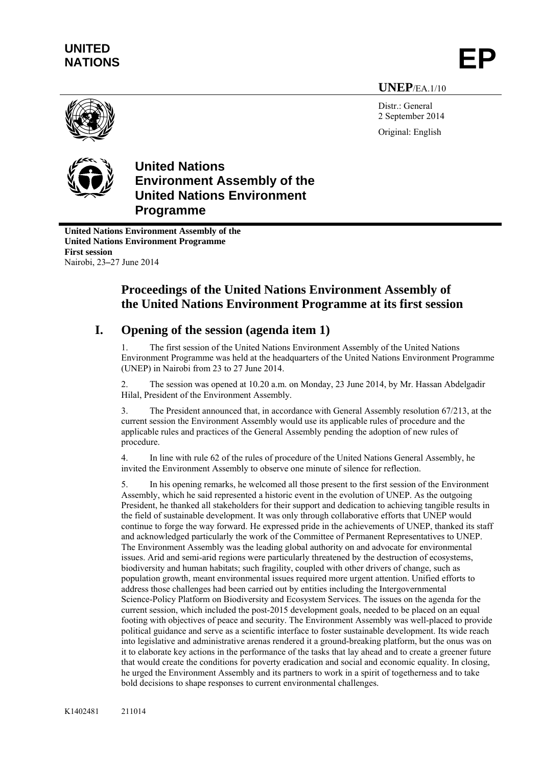# **UNITED**  UNITED<br>NATIONS **EP**

# **UNEP**/EA.1/10

Distr.: General 2 September 2014 Original: English





**United Nations Environment Assembly of the United Nations Environment Programme**

**United Nations Environment Assembly of the United Nations Environment Programme First session**  Nairobi, 23**–**27 June 2014

# **Proceedings of the United Nations Environment Assembly of the United Nations Environment Programme at its first session**

# **I. Opening of the session (agenda item 1)**

1. The first session of the United Nations Environment Assembly of the United Nations Environment Programme was held at the headquarters of the United Nations Environment Programme (UNEP) in Nairobi from 23 to 27 June 2014.

2. The session was opened at 10.20 a.m. on Monday, 23 June 2014, by Mr. Hassan Abdelgadir Hilal, President of the Environment Assembly.

3. The President announced that, in accordance with General Assembly resolution 67/213, at the current session the Environment Assembly would use its applicable rules of procedure and the applicable rules and practices of the General Assembly pending the adoption of new rules of procedure.

4. In line with rule 62 of the rules of procedure of the United Nations General Assembly, he invited the Environment Assembly to observe one minute of silence for reflection.

5. In his opening remarks, he welcomed all those present to the first session of the Environment Assembly, which he said represented a historic event in the evolution of UNEP. As the outgoing President, he thanked all stakeholders for their support and dedication to achieving tangible results in the field of sustainable development. It was only through collaborative efforts that UNEP would continue to forge the way forward. He expressed pride in the achievements of UNEP, thanked its staff and acknowledged particularly the work of the Committee of Permanent Representatives to UNEP. The Environment Assembly was the leading global authority on and advocate for environmental issues. Arid and semi-arid regions were particularly threatened by the destruction of ecosystems, biodiversity and human habitats; such fragility, coupled with other drivers of change, such as population growth, meant environmental issues required more urgent attention. Unified efforts to address those challenges had been carried out by entities including the Intergovernmental Science-Policy Platform on Biodiversity and Ecosystem Services. The issues on the agenda for the current session, which included the post-2015 development goals, needed to be placed on an equal footing with objectives of peace and security. The Environment Assembly was well-placed to provide political guidance and serve as a scientific interface to foster sustainable development. Its wide reach into legislative and administrative arenas rendered it a ground-breaking platform, but the onus was on it to elaborate key actions in the performance of the tasks that lay ahead and to create a greener future that would create the conditions for poverty eradication and social and economic equality. In closing, he urged the Environment Assembly and its partners to work in a spirit of togetherness and to take bold decisions to shape responses to current environmental challenges.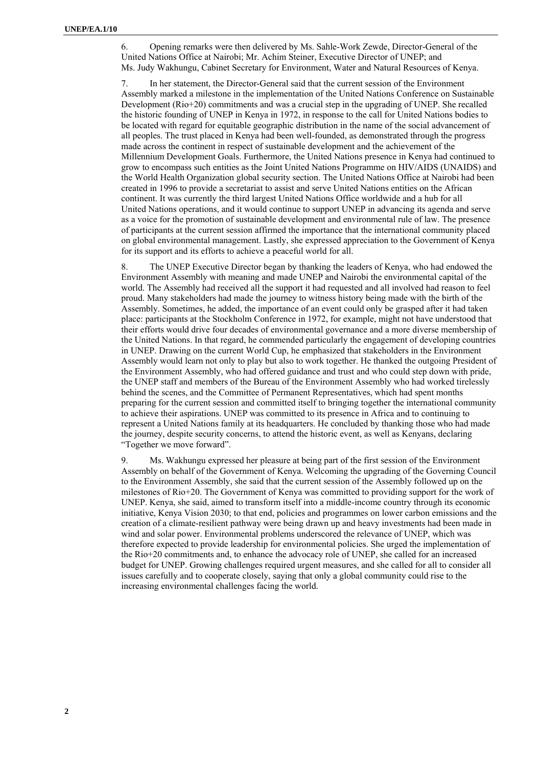6. Opening remarks were then delivered by Ms. Sahle-Work Zewde, Director-General of the United Nations Office at Nairobi; Mr. Achim Steiner, Executive Director of UNEP; and Ms. Judy Wakhungu, Cabinet Secretary for Environment, Water and Natural Resources of Kenya.

7. In her statement, the Director-General said that the current session of the Environment Assembly marked a milestone in the implementation of the United Nations Conference on Sustainable Development (Rio+20) commitments and was a crucial step in the upgrading of UNEP. She recalled the historic founding of UNEP in Kenya in 1972, in response to the call for United Nations bodies to be located with regard for equitable geographic distribution in the name of the social advancement of all peoples. The trust placed in Kenya had been well-founded, as demonstrated through the progress made across the continent in respect of sustainable development and the achievement of the Millennium Development Goals. Furthermore, the United Nations presence in Kenya had continued to grow to encompass such entities as the Joint United Nations Programme on HIV/AIDS (UNAIDS) and the World Health Organization global security section. The United Nations Office at Nairobi had been created in 1996 to provide a secretariat to assist and serve United Nations entities on the African continent. It was currently the third largest United Nations Office worldwide and a hub for all United Nations operations, and it would continue to support UNEP in advancing its agenda and serve as a voice for the promotion of sustainable development and environmental rule of law. The presence of participants at the current session affirmed the importance that the international community placed on global environmental management. Lastly, she expressed appreciation to the Government of Kenya for its support and its efforts to achieve a peaceful world for all.

8. The UNEP Executive Director began by thanking the leaders of Kenya, who had endowed the Environment Assembly with meaning and made UNEP and Nairobi the environmental capital of the world. The Assembly had received all the support it had requested and all involved had reason to feel proud. Many stakeholders had made the journey to witness history being made with the birth of the Assembly. Sometimes, he added, the importance of an event could only be grasped after it had taken place: participants at the Stockholm Conference in 1972, for example, might not have understood that their efforts would drive four decades of environmental governance and a more diverse membership of the United Nations. In that regard, he commended particularly the engagement of developing countries in UNEP. Drawing on the current World Cup, he emphasized that stakeholders in the Environment Assembly would learn not only to play but also to work together. He thanked the outgoing President of the Environment Assembly, who had offered guidance and trust and who could step down with pride, the UNEP staff and members of the Bureau of the Environment Assembly who had worked tirelessly behind the scenes, and the Committee of Permanent Representatives, which had spent months preparing for the current session and committed itself to bringing together the international community to achieve their aspirations. UNEP was committed to its presence in Africa and to continuing to represent a United Nations family at its headquarters. He concluded by thanking those who had made the journey, despite security concerns, to attend the historic event, as well as Kenyans, declaring "Together we move forward".

9. Ms. Wakhungu expressed her pleasure at being part of the first session of the Environment Assembly on behalf of the Government of Kenya. Welcoming the upgrading of the Governing Council to the Environment Assembly, she said that the current session of the Assembly followed up on the milestones of Rio+20. The Government of Kenya was committed to providing support for the work of UNEP. Kenya, she said, aimed to transform itself into a middle-income country through its economic initiative, Kenya Vision 2030; to that end, policies and programmes on lower carbon emissions and the creation of a climate-resilient pathway were being drawn up and heavy investments had been made in wind and solar power. Environmental problems underscored the relevance of UNEP, which was therefore expected to provide leadership for environmental policies. She urged the implementation of the Rio+20 commitments and, to enhance the advocacy role of UNEP, she called for an increased budget for UNEP. Growing challenges required urgent measures, and she called for all to consider all issues carefully and to cooperate closely, saying that only a global community could rise to the increasing environmental challenges facing the world.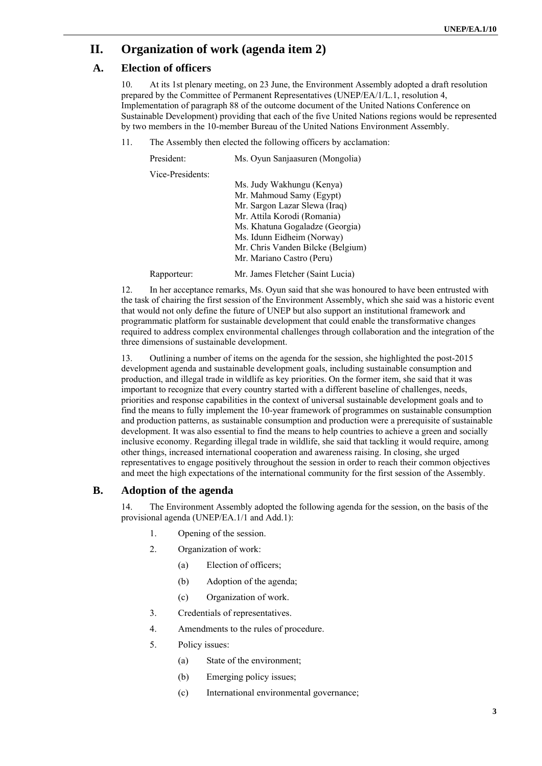# **II. Organization of work (agenda item 2)**

## **A. Election of officers**

10. At its 1st plenary meeting, on 23 June, the Environment Assembly adopted a draft resolution prepared by the Committee of Permanent Representatives (UNEP/EA/1/L.1, resolution 4, Implementation of paragraph 88 of the outcome document of the United Nations Conference on Sustainable Development) providing that each of the five United Nations regions would be represented by two members in the 10-member Bureau of the United Nations Environment Assembly.

11. The Assembly then elected the following officers by acclamation:

| President:       | Ms. Oyun Sanjaasuren (Mongolia)   |
|------------------|-----------------------------------|
| Vice-Presidents: |                                   |
|                  | Ms. Judy Wakhungu (Kenya)         |
|                  | Mr. Mahmoud Samy (Egypt)          |
|                  | Mr. Sargon Lazar Slewa (Iraq)     |
|                  | Mr. Attila Korodi (Romania)       |
|                  | Ms. Khatuna Gogaladze (Georgia)   |
|                  | Ms. Idunn Eidheim (Norway)        |
|                  | Mr. Chris Vanden Bilcke (Belgium) |
|                  | Mr. Mariano Castro (Peru)         |
| Rapporteur:      | Mr. James Fletcher (Saint Lucia)  |

12. In her acceptance remarks, Ms. Oyun said that she was honoured to have been entrusted with the task of chairing the first session of the Environment Assembly, which she said was a historic event that would not only define the future of UNEP but also support an institutional framework and programmatic platform for sustainable development that could enable the transformative changes required to address complex environmental challenges through collaboration and the integration of the three dimensions of sustainable development.

13. Outlining a number of items on the agenda for the session, she highlighted the post-2015 development agenda and sustainable development goals, including sustainable consumption and production, and illegal trade in wildlife as key priorities. On the former item, she said that it was important to recognize that every country started with a different baseline of challenges, needs, priorities and response capabilities in the context of universal sustainable development goals and to find the means to fully implement the 10-year framework of programmes on sustainable consumption and production patterns, as sustainable consumption and production were a prerequisite of sustainable development. It was also essential to find the means to help countries to achieve a green and socially inclusive economy. Regarding illegal trade in wildlife, she said that tackling it would require, among other things, increased international cooperation and awareness raising. In closing, she urged representatives to engage positively throughout the session in order to reach their common objectives and meet the high expectations of the international community for the first session of the Assembly.

### **B. Adoption of the agenda**

14. The Environment Assembly adopted the following agenda for the session, on the basis of the provisional agenda (UNEP/EA.1/1 and Add.1):

- 1. Opening of the session.
- 2. Organization of work:
	- (a) Election of officers;
	- (b) Adoption of the agenda;
	- (c) Organization of work.
- 3. Credentials of representatives.
- 4. Amendments to the rules of procedure.
- 5. Policy issues:
	- (a) State of the environment;
	- (b) Emerging policy issues;
	- (c) International environmental governance;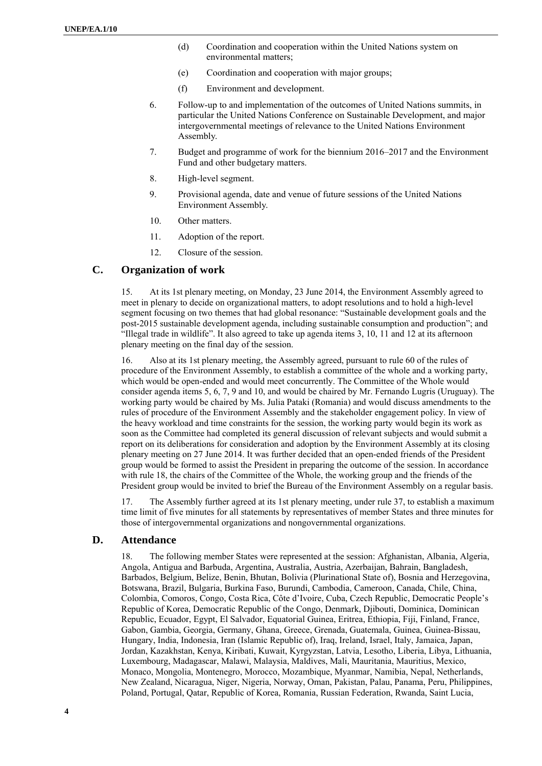- (d) Coordination and cooperation within the United Nations system on environmental matters;
- (e) Coordination and cooperation with major groups;
- (f) Environment and development.
- 6. Follow-up to and implementation of the outcomes of United Nations summits, in particular the United Nations Conference on Sustainable Development, and major intergovernmental meetings of relevance to the United Nations Environment Assembly.
- 7. Budget and programme of work for the biennium 2016–2017 and the Environment Fund and other budgetary matters.
- 8. High-level segment.
- 9. Provisional agenda, date and venue of future sessions of the United Nations Environment Assembly.
- 10. Other matters.
- 11. Adoption of the report.
- 12. Closure of the session.

## **C. Organization of work**

15. At its 1st plenary meeting, on Monday, 23 June 2014, the Environment Assembly agreed to meet in plenary to decide on organizational matters, to adopt resolutions and to hold a high-level segment focusing on two themes that had global resonance: "Sustainable development goals and the post-2015 sustainable development agenda, including sustainable consumption and production"; and "Illegal trade in wildlife". It also agreed to take up agenda items 3, 10, 11 and 12 at its afternoon plenary meeting on the final day of the session.

16. Also at its 1st plenary meeting, the Assembly agreed, pursuant to rule 60 of the rules of procedure of the Environment Assembly, to establish a committee of the whole and a working party, which would be open-ended and would meet concurrently. The Committee of the Whole would consider agenda items 5, 6, 7, 9 and 10, and would be chaired by Mr. Fernando Lugris (Uruguay). The working party would be chaired by Ms. Julia Pataki (Romania) and would discuss amendments to the rules of procedure of the Environment Assembly and the stakeholder engagement policy. In view of the heavy workload and time constraints for the session, the working party would begin its work as soon as the Committee had completed its general discussion of relevant subjects and would submit a report on its deliberations for consideration and adoption by the Environment Assembly at its closing plenary meeting on 27 June 2014. It was further decided that an open-ended friends of the President group would be formed to assist the President in preparing the outcome of the session. In accordance with rule 18, the chairs of the Committee of the Whole, the working group and the friends of the President group would be invited to brief the Bureau of the Environment Assembly on a regular basis.

17. The Assembly further agreed at its 1st plenary meeting, under rule 37, to establish a maximum time limit of five minutes for all statements by representatives of member States and three minutes for those of intergovernmental organizations and nongovernmental organizations.

### **D. Attendance**

18. The following member States were represented at the session: Afghanistan, Albania, Algeria, Angola, Antigua and Barbuda, Argentina, Australia, Austria, Azerbaijan, Bahrain, Bangladesh, Barbados, Belgium, Belize, Benin, Bhutan, Bolivia (Plurinational State of), Bosnia and Herzegovina, Botswana, Brazil, Bulgaria, Burkina Faso, Burundi, Cambodia, Cameroon, Canada, Chile, China, Colombia, Comoros, Congo, Costa Rica, Côte d'Ivoire, Cuba, Czech Republic, Democratic People's Republic of Korea, Democratic Republic of the Congo, Denmark, Djibouti, Dominica, Dominican Republic, Ecuador, Egypt, El Salvador, Equatorial Guinea, Eritrea, Ethiopia, Fiji, Finland, France, Gabon, Gambia, Georgia, Germany, Ghana, Greece, Grenada, Guatemala, Guinea, Guinea-Bissau, Hungary, India, Indonesia, Iran (Islamic Republic of), Iraq, Ireland, Israel, Italy, Jamaica, Japan, Jordan, Kazakhstan, Kenya, Kiribati, Kuwait, Kyrgyzstan, Latvia, Lesotho, Liberia, Libya, Lithuania, Luxembourg, Madagascar, Malawi, Malaysia, Maldives, Mali, Mauritania, Mauritius, Mexico, Monaco, Mongolia, Montenegro, Morocco, Mozambique, Myanmar, Namibia, Nepal, Netherlands, New Zealand, Nicaragua, Niger, Nigeria, Norway, Oman, Pakistan, Palau, Panama, Peru, Philippines, Poland, Portugal, Qatar, Republic of Korea, Romania, Russian Federation, Rwanda, Saint Lucia,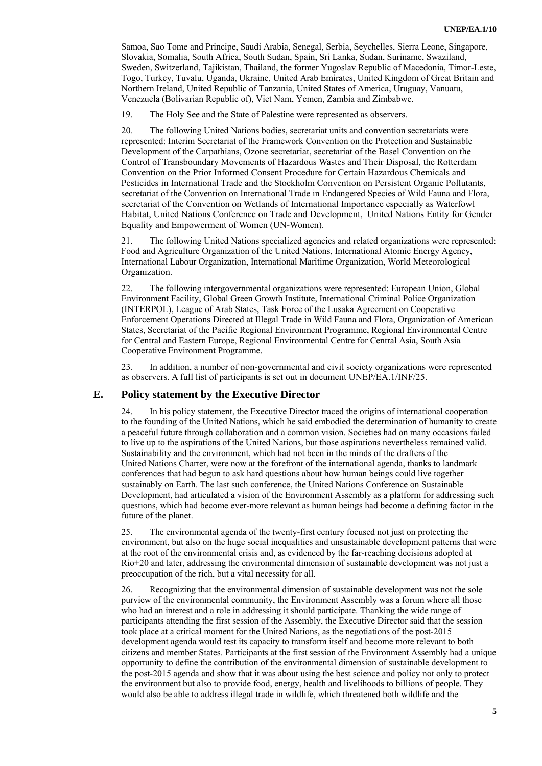Samoa, Sao Tome and Principe, Saudi Arabia, Senegal, Serbia, Seychelles, Sierra Leone, Singapore, Slovakia, Somalia, South Africa, South Sudan, Spain, Sri Lanka, Sudan, Suriname, Swaziland, Sweden, Switzerland, Tajikistan, Thailand, the former Yugoslav Republic of Macedonia, Timor-Leste, Togo, Turkey, Tuvalu, Uganda, Ukraine, United Arab Emirates, United Kingdom of Great Britain and Northern Ireland, United Republic of Tanzania, United States of America, Uruguay, Vanuatu, Venezuela (Bolivarian Republic of), Viet Nam, Yemen, Zambia and Zimbabwe.

19. The Holy See and the State of Palestine were represented as observers.

20. The following United Nations bodies, secretariat units and convention secretariats were represented: Interim Secretariat of the Framework Convention on the Protection and Sustainable Development of the Carpathians, Ozone secretariat, secretariat of the Basel Convention on the Control of Transboundary Movements of Hazardous Wastes and Their Disposal, the Rotterdam Convention on the Prior Informed Consent Procedure for Certain Hazardous Chemicals and Pesticides in International Trade and the Stockholm Convention on Persistent Organic Pollutants, secretariat of the Convention on International Trade in Endangered Species of Wild Fauna and Flora, secretariat of the Convention on Wetlands of International Importance especially as Waterfowl Habitat, United Nations Conference on Trade and Development, United Nations Entity for Gender Equality and Empowerment of Women (UN-Women).

21. The following United Nations specialized agencies and related organizations were represented: Food and Agriculture Organization of the United Nations, International Atomic Energy Agency, International Labour Organization, International Maritime Organization, World Meteorological Organization.

22. The following intergovernmental organizations were represented: European Union, Global Environment Facility, Global Green Growth Institute, International Criminal Police Organization (INTERPOL), League of Arab States, Task Force of the Lusaka Agreement on Cooperative Enforcement Operations Directed at Illegal Trade in Wild Fauna and Flora, Organization of American States, Secretariat of the Pacific Regional Environment Programme, Regional Environmental Centre for Central and Eastern Europe, Regional Environmental Centre for Central Asia, South Asia Cooperative Environment Programme.

23. In addition, a number of non-governmental and civil society organizations were represented as observers. A full list of participants is set out in document UNEP/EA.1/INF/25.

### **E. Policy statement by the Executive Director**

24. In his policy statement, the Executive Director traced the origins of international cooperation to the founding of the United Nations, which he said embodied the determination of humanity to create a peaceful future through collaboration and a common vision. Societies had on many occasions failed to live up to the aspirations of the United Nations, but those aspirations nevertheless remained valid. Sustainability and the environment, which had not been in the minds of the drafters of the United Nations Charter, were now at the forefront of the international agenda, thanks to landmark conferences that had begun to ask hard questions about how human beings could live together sustainably on Earth. The last such conference, the United Nations Conference on Sustainable Development, had articulated a vision of the Environment Assembly as a platform for addressing such questions, which had become ever-more relevant as human beings had become a defining factor in the future of the planet.

25. The environmental agenda of the twenty-first century focused not just on protecting the environment, but also on the huge social inequalities and unsustainable development patterns that were at the root of the environmental crisis and, as evidenced by the far-reaching decisions adopted at Rio+20 and later, addressing the environmental dimension of sustainable development was not just a preoccupation of the rich, but a vital necessity for all.

26. Recognizing that the environmental dimension of sustainable development was not the sole purview of the environmental community, the Environment Assembly was a forum where all those who had an interest and a role in addressing it should participate. Thanking the wide range of participants attending the first session of the Assembly, the Executive Director said that the session took place at a critical moment for the United Nations, as the negotiations of the post-2015 development agenda would test its capacity to transform itself and become more relevant to both citizens and member States. Participants at the first session of the Environment Assembly had a unique opportunity to define the contribution of the environmental dimension of sustainable development to the post-2015 agenda and show that it was about using the best science and policy not only to protect the environment but also to provide food, energy, health and livelihoods to billions of people. They would also be able to address illegal trade in wildlife, which threatened both wildlife and the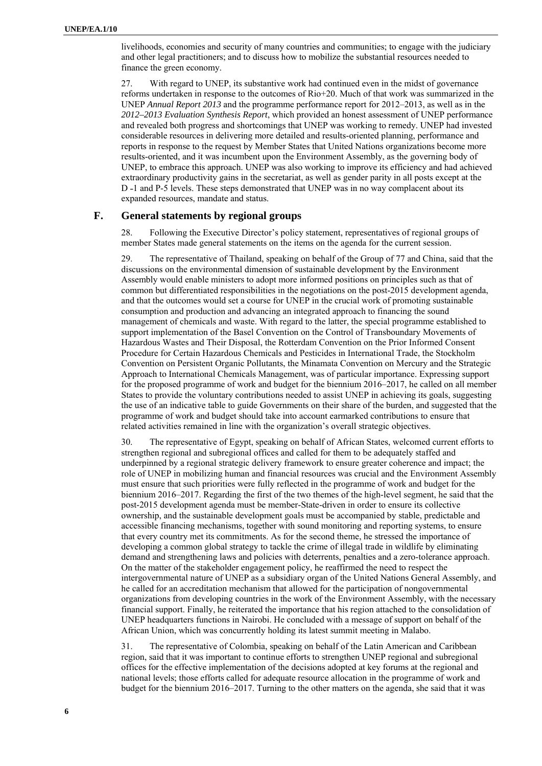livelihoods, economies and security of many countries and communities; to engage with the judiciary and other legal practitioners; and to discuss how to mobilize the substantial resources needed to finance the green economy.

27. With regard to UNEP, its substantive work had continued even in the midst of governance reforms undertaken in response to the outcomes of Rio+20. Much of that work was summarized in the UNEP *Annual Report 2013* and the programme performance report for 2012–2013, as well as in the *2012–2013 Evaluation Synthesis Report*, which provided an honest assessment of UNEP performance and revealed both progress and shortcomings that UNEP was working to remedy. UNEP had invested considerable resources in delivering more detailed and results-oriented planning, performance and reports in response to the request by Member States that United Nations organizations become more results-oriented, and it was incumbent upon the Environment Assembly, as the governing body of UNEP, to embrace this approach. UNEP was also working to improve its efficiency and had achieved extraordinary productivity gains in the secretariat, as well as gender parity in all posts except at the D -1 and P-5 levels. These steps demonstrated that UNEP was in no way complacent about its expanded resources, mandate and status.

### **F. General statements by regional groups**

28. Following the Executive Director's policy statement, representatives of regional groups of member States made general statements on the items on the agenda for the current session.

29. The representative of Thailand, speaking on behalf of the Group of 77 and China, said that the discussions on the environmental dimension of sustainable development by the Environment Assembly would enable ministers to adopt more informed positions on principles such as that of common but differentiated responsibilities in the negotiations on the post-2015 development agenda, and that the outcomes would set a course for UNEP in the crucial work of promoting sustainable consumption and production and advancing an integrated approach to financing the sound management of chemicals and waste. With regard to the latter, the special programme established to support implementation of the Basel Convention on the Control of Transboundary Movements of Hazardous Wastes and Their Disposal, the Rotterdam Convention on the Prior Informed Consent Procedure for Certain Hazardous Chemicals and Pesticides in International Trade, the Stockholm Convention on Persistent Organic Pollutants, the Minamata Convention on Mercury and the Strategic Approach to International Chemicals Management, was of particular importance. Expressing support for the proposed programme of work and budget for the biennium 2016–2017, he called on all member States to provide the voluntary contributions needed to assist UNEP in achieving its goals, suggesting the use of an indicative table to guide Governments on their share of the burden, and suggested that the programme of work and budget should take into account earmarked contributions to ensure that related activities remained in line with the organization's overall strategic objectives.

30. The representative of Egypt, speaking on behalf of African States, welcomed current efforts to strengthen regional and subregional offices and called for them to be adequately staffed and underpinned by a regional strategic delivery framework to ensure greater coherence and impact; the role of UNEP in mobilizing human and financial resources was crucial and the Environment Assembly must ensure that such priorities were fully reflected in the programme of work and budget for the biennium 2016–2017. Regarding the first of the two themes of the high-level segment, he said that the post-2015 development agenda must be member-State-driven in order to ensure its collective ownership, and the sustainable development goals must be accompanied by stable, predictable and accessible financing mechanisms, together with sound monitoring and reporting systems, to ensure that every country met its commitments. As for the second theme, he stressed the importance of developing a common global strategy to tackle the crime of illegal trade in wildlife by eliminating demand and strengthening laws and policies with deterrents, penalties and a zero-tolerance approach. On the matter of the stakeholder engagement policy, he reaffirmed the need to respect the intergovernmental nature of UNEP as a subsidiary organ of the United Nations General Assembly, and he called for an accreditation mechanism that allowed for the participation of nongovernmental organizations from developing countries in the work of the Environment Assembly, with the necessary financial support. Finally, he reiterated the importance that his region attached to the consolidation of UNEP headquarters functions in Nairobi. He concluded with a message of support on behalf of the African Union, which was concurrently holding its latest summit meeting in Malabo.

31. The representative of Colombia, speaking on behalf of the Latin American and Caribbean region, said that it was important to continue efforts to strengthen UNEP regional and subregional offices for the effective implementation of the decisions adopted at key forums at the regional and national levels; those efforts called for adequate resource allocation in the programme of work and budget for the biennium 2016–2017. Turning to the other matters on the agenda, she said that it was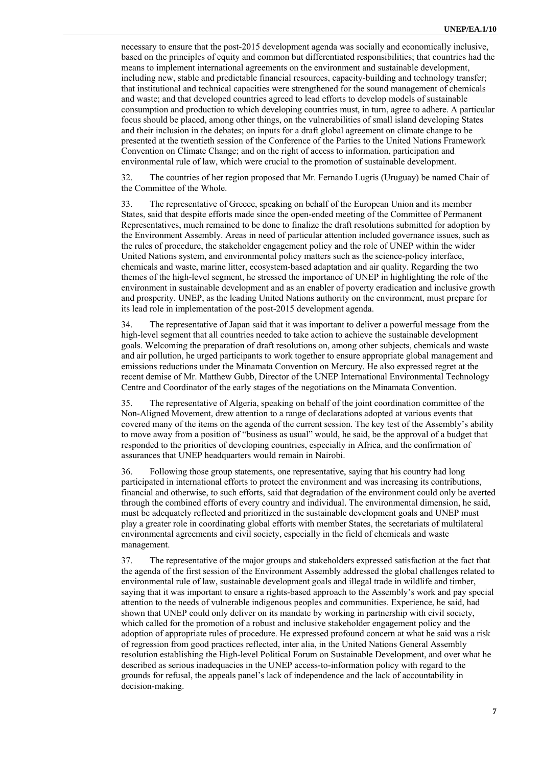necessary to ensure that the post-2015 development agenda was socially and economically inclusive, based on the principles of equity and common but differentiated responsibilities; that countries had the means to implement international agreements on the environment and sustainable development, including new, stable and predictable financial resources, capacity-building and technology transfer; that institutional and technical capacities were strengthened for the sound management of chemicals and waste; and that developed countries agreed to lead efforts to develop models of sustainable consumption and production to which developing countries must, in turn, agree to adhere. A particular focus should be placed, among other things, on the vulnerabilities of small island developing States and their inclusion in the debates; on inputs for a draft global agreement on climate change to be presented at the twentieth session of the Conference of the Parties to the United Nations Framework Convention on Climate Change; and on the right of access to information, participation and environmental rule of law, which were crucial to the promotion of sustainable development.

32. The countries of her region proposed that Mr. Fernando Lugris (Uruguay) be named Chair of the Committee of the Whole.

33. The representative of Greece, speaking on behalf of the European Union and its member States, said that despite efforts made since the open-ended meeting of the Committee of Permanent Representatives, much remained to be done to finalize the draft resolutions submitted for adoption by the Environment Assembly. Areas in need of particular attention included governance issues, such as the rules of procedure, the stakeholder engagement policy and the role of UNEP within the wider United Nations system, and environmental policy matters such as the science-policy interface, chemicals and waste, marine litter, ecosystem-based adaptation and air quality. Regarding the two themes of the high-level segment, he stressed the importance of UNEP in highlighting the role of the environment in sustainable development and as an enabler of poverty eradication and inclusive growth and prosperity. UNEP, as the leading United Nations authority on the environment, must prepare for its lead role in implementation of the post-2015 development agenda.

34. The representative of Japan said that it was important to deliver a powerful message from the high-level segment that all countries needed to take action to achieve the sustainable development goals. Welcoming the preparation of draft resolutions on, among other subjects, chemicals and waste and air pollution, he urged participants to work together to ensure appropriate global management and emissions reductions under the Minamata Convention on Mercury. He also expressed regret at the recent demise of Mr. Matthew Gubb, Director of the UNEP International Environmental Technology Centre and Coordinator of the early stages of the negotiations on the Minamata Convention.

35. The representative of Algeria, speaking on behalf of the joint coordination committee of the Non-Aligned Movement, drew attention to a range of declarations adopted at various events that covered many of the items on the agenda of the current session. The key test of the Assembly's ability to move away from a position of "business as usual" would, he said, be the approval of a budget that responded to the priorities of developing countries, especially in Africa, and the confirmation of assurances that UNEP headquarters would remain in Nairobi.

36. Following those group statements, one representative, saying that his country had long participated in international efforts to protect the environment and was increasing its contributions, financial and otherwise, to such efforts, said that degradation of the environment could only be averted through the combined efforts of every country and individual. The environmental dimension, he said, must be adequately reflected and prioritized in the sustainable development goals and UNEP must play a greater role in coordinating global efforts with member States, the secretariats of multilateral environmental agreements and civil society, especially in the field of chemicals and waste management.

37. The representative of the major groups and stakeholders expressed satisfaction at the fact that the agenda of the first session of the Environment Assembly addressed the global challenges related to environmental rule of law, sustainable development goals and illegal trade in wildlife and timber, saying that it was important to ensure a rights-based approach to the Assembly's work and pay special attention to the needs of vulnerable indigenous peoples and communities. Experience, he said, had shown that UNEP could only deliver on its mandate by working in partnership with civil society, which called for the promotion of a robust and inclusive stakeholder engagement policy and the adoption of appropriate rules of procedure. He expressed profound concern at what he said was a risk of regression from good practices reflected, inter alia, in the United Nations General Assembly resolution establishing the High-level Political Forum on Sustainable Development, and over what he described as serious inadequacies in the UNEP access-to-information policy with regard to the grounds for refusal, the appeals panel's lack of independence and the lack of accountability in decision-making.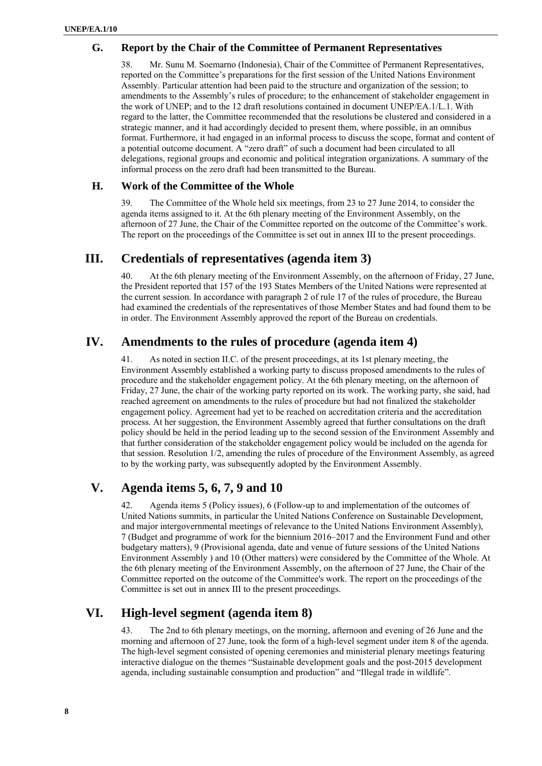### **G. Report by the Chair of the Committee of Permanent Representatives**

38. Mr. Sunu M. Soemarno (Indonesia), Chair of the Committee of Permanent Representatives, reported on the Committee's preparations for the first session of the United Nations Environment Assembly. Particular attention had been paid to the structure and organization of the session; to amendments to the Assembly's rules of procedure; to the enhancement of stakeholder engagement in the work of UNEP; and to the 12 draft resolutions contained in document UNEP/EA.1/L.1. With regard to the latter, the Committee recommended that the resolutions be clustered and considered in a strategic manner, and it had accordingly decided to present them, where possible, in an omnibus format. Furthermore, it had engaged in an informal process to discuss the scope, format and content of a potential outcome document. A "zero draft" of such a document had been circulated to all delegations, regional groups and economic and political integration organizations. A summary of the informal process on the zero draft had been transmitted to the Bureau.

### **H. Work of the Committee of the Whole**

39. The Committee of the Whole held six meetings, from 23 to 27 June 2014, to consider the agenda items assigned to it. At the 6th plenary meeting of the Environment Assembly, on the afternoon of 27 June, the Chair of the Committee reported on the outcome of the Committee's work. The report on the proceedings of the Committee is set out in annex III to the present proceedings.

## **III. Credentials of representatives (agenda item 3)**

40. At the 6th plenary meeting of the Environment Assembly, on the afternoon of Friday, 27 June, the President reported that 157 of the 193 States Members of the United Nations were represented at the current session. In accordance with paragraph 2 of rule 17 of the rules of procedure, the Bureau had examined the credentials of the representatives of those Member States and had found them to be in order. The Environment Assembly approved the report of the Bureau on credentials.

# **IV. Amendments to the rules of procedure (agenda item 4)**

41. As noted in section II.C. of the present proceedings, at its 1st plenary meeting, the Environment Assembly established a working party to discuss proposed amendments to the rules of procedure and the stakeholder engagement policy. At the 6th plenary meeting, on the afternoon of Friday, 27 June, the chair of the working party reported on its work. The working party, she said, had reached agreement on amendments to the rules of procedure but had not finalized the stakeholder engagement policy. Agreement had yet to be reached on accreditation criteria and the accreditation process. At her suggestion, the Environment Assembly agreed that further consultations on the draft policy should be held in the period leading up to the second session of the Environment Assembly and that further consideration of the stakeholder engagement policy would be included on the agenda for that session. Resolution 1/2, amending the rules of procedure of the Environment Assembly, as agreed to by the working party, was subsequently adopted by the Environment Assembly.

# **V. Agenda items 5, 6, 7, 9 and 10**

42. Agenda items 5 (Policy issues), 6 (Follow-up to and implementation of the outcomes of United Nations summits, in particular the United Nations Conference on Sustainable Development, and major intergovernmental meetings of relevance to the United Nations Environment Assembly), 7 (Budget and programme of work for the biennium 2016–2017 and the Environment Fund and other budgetary matters), 9 (Provisional agenda, date and venue of future sessions of the United Nations Environment Assembly ) and 10 (Other matters) were considered by the Committee of the Whole. At the 6th plenary meeting of the Environment Assembly, on the afternoon of 27 June, the Chair of the Committee reported on the outcome of the Committee's work. The report on the proceedings of the Committee is set out in annex III to the present proceedings.

# **VI. High-level segment (agenda item 8)**

43. The 2nd to 6th plenary meetings, on the morning, afternoon and evening of 26 June and the morning and afternoon of 27 June, took the form of a high-level segment under item 8 of the agenda. The high-level segment consisted of opening ceremonies and ministerial plenary meetings featuring interactive dialogue on the themes "Sustainable development goals and the post-2015 development agenda, including sustainable consumption and production" and "Illegal trade in wildlife".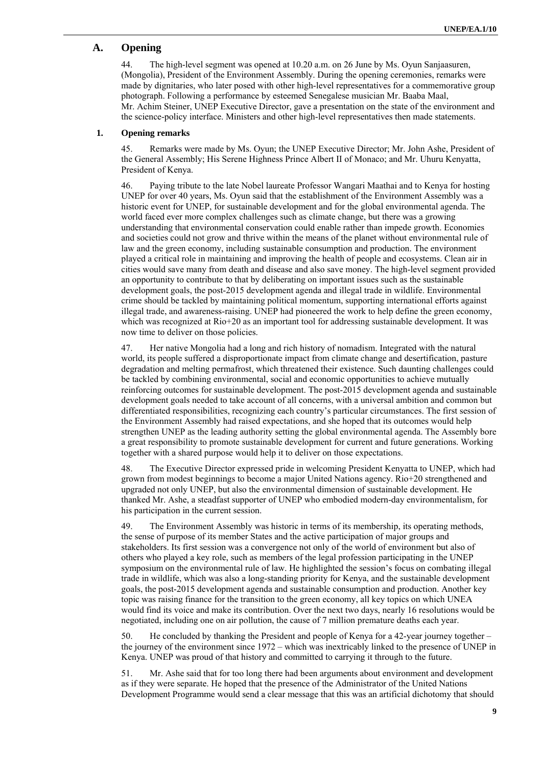### **A. Opening**

44. The high-level segment was opened at 10.20 a.m. on 26 June by Ms. Oyun Sanjaasuren, (Mongolia), President of the Environment Assembly. During the opening ceremonies, remarks were made by dignitaries, who later posed with other high-level representatives for a commemorative group photograph. Following a performance by esteemed Senegalese musician Mr. Baaba Maal, Mr. Achim Steiner, UNEP Executive Director, gave a presentation on the state of the environment and the science-policy interface. Ministers and other high-level representatives then made statements.

#### **1. Opening remarks**

45. Remarks were made by Ms. Oyun; the UNEP Executive Director; Mr. John Ashe, President of the General Assembly; His Serene Highness Prince Albert II of Monaco; and Mr. Uhuru Kenyatta, President of Kenya.

46. Paying tribute to the late Nobel laureate Professor Wangari Maathai and to Kenya for hosting UNEP for over 40 years, Ms. Oyun said that the establishment of the Environment Assembly was a historic event for UNEP, for sustainable development and for the global environmental agenda. The world faced ever more complex challenges such as climate change, but there was a growing understanding that environmental conservation could enable rather than impede growth. Economies and societies could not grow and thrive within the means of the planet without environmental rule of law and the green economy, including sustainable consumption and production. The environment played a critical role in maintaining and improving the health of people and ecosystems. Clean air in cities would save many from death and disease and also save money. The high-level segment provided an opportunity to contribute to that by deliberating on important issues such as the sustainable development goals, the post-2015 development agenda and illegal trade in wildlife. Environmental crime should be tackled by maintaining political momentum, supporting international efforts against illegal trade, and awareness-raising. UNEP had pioneered the work to help define the green economy, which was recognized at Rio+20 as an important tool for addressing sustainable development. It was now time to deliver on those policies.

47. Her native Mongolia had a long and rich history of nomadism. Integrated with the natural world, its people suffered a disproportionate impact from climate change and desertification, pasture degradation and melting permafrost, which threatened their existence. Such daunting challenges could be tackled by combining environmental, social and economic opportunities to achieve mutually reinforcing outcomes for sustainable development. The post-2015 development agenda and sustainable development goals needed to take account of all concerns, with a universal ambition and common but differentiated responsibilities, recognizing each country's particular circumstances. The first session of the Environment Assembly had raised expectations, and she hoped that its outcomes would help strengthen UNEP as the leading authority setting the global environmental agenda. The Assembly bore a great responsibility to promote sustainable development for current and future generations. Working together with a shared purpose would help it to deliver on those expectations.

48. The Executive Director expressed pride in welcoming President Kenyatta to UNEP, which had grown from modest beginnings to become a major United Nations agency. Rio+20 strengthened and upgraded not only UNEP, but also the environmental dimension of sustainable development. He thanked Mr. Ashe, a steadfast supporter of UNEP who embodied modern-day environmentalism, for his participation in the current session.

49. The Environment Assembly was historic in terms of its membership, its operating methods, the sense of purpose of its member States and the active participation of major groups and stakeholders. Its first session was a convergence not only of the world of environment but also of others who played a key role, such as members of the legal profession participating in the UNEP symposium on the environmental rule of law. He highlighted the session's focus on combating illegal trade in wildlife, which was also a long-standing priority for Kenya, and the sustainable development goals, the post-2015 development agenda and sustainable consumption and production. Another key topic was raising finance for the transition to the green economy, all key topics on which UNEA would find its voice and make its contribution. Over the next two days, nearly 16 resolutions would be negotiated, including one on air pollution, the cause of 7 million premature deaths each year.

50. He concluded by thanking the President and people of Kenya for a 42-year journey together – the journey of the environment since 1972 – which was inextricably linked to the presence of UNEP in Kenya. UNEP was proud of that history and committed to carrying it through to the future.

51. Mr. Ashe said that for too long there had been arguments about environment and development as if they were separate. He hoped that the presence of the Administrator of the United Nations Development Programme would send a clear message that this was an artificial dichotomy that should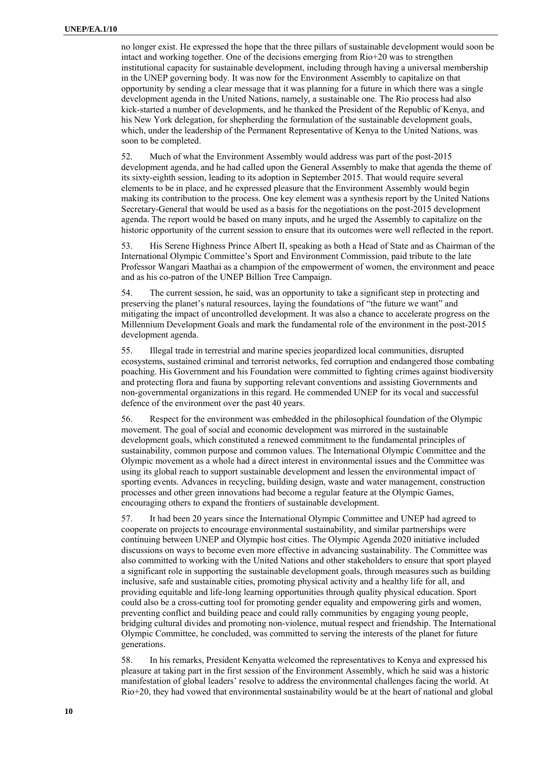no longer exist. He expressed the hope that the three pillars of sustainable development would soon be intact and working together. One of the decisions emerging from Rio+20 was to strengthen institutional capacity for sustainable development, including through having a universal membership in the UNEP governing body. It was now for the Environment Assembly to capitalize on that opportunity by sending a clear message that it was planning for a future in which there was a single development agenda in the United Nations, namely, a sustainable one. The Rio process had also kick-started a number of developments, and he thanked the President of the Republic of Kenya, and his New York delegation, for shepherding the formulation of the sustainable development goals, which, under the leadership of the Permanent Representative of Kenya to the United Nations, was soon to be completed.

52. Much of what the Environment Assembly would address was part of the post-2015 development agenda, and he had called upon the General Assembly to make that agenda the theme of its sixty-eighth session, leading to its adoption in September 2015. That would require several elements to be in place, and he expressed pleasure that the Environment Assembly would begin making its contribution to the process. One key element was a synthesis report by the United Nations Secretary-General that would be used as a basis for the negotiations on the post-2015 development agenda. The report would be based on many inputs, and he urged the Assembly to capitalize on the historic opportunity of the current session to ensure that its outcomes were well reflected in the report.

53. His Serene Highness Prince Albert II, speaking as both a Head of State and as Chairman of the International Olympic Committee's Sport and Environment Commission, paid tribute to the late Professor Wangari Maathai as a champion of the empowerment of women, the environment and peace and as his co-patron of the UNEP Billion Tree Campaign.

54. The current session, he said, was an opportunity to take a significant step in protecting and preserving the planet's natural resources, laying the foundations of "the future we want" and mitigating the impact of uncontrolled development. It was also a chance to accelerate progress on the Millennium Development Goals and mark the fundamental role of the environment in the post-2015 development agenda.

55. Illegal trade in terrestrial and marine species jeopardized local communities, disrupted ecosystems, sustained criminal and terrorist networks, fed corruption and endangered those combating poaching. His Government and his Foundation were committed to fighting crimes against biodiversity and protecting flora and fauna by supporting relevant conventions and assisting Governments and non-governmental organizations in this regard. He commended UNEP for its vocal and successful defence of the environment over the past 40 years.

56. Respect for the environment was embedded in the philosophical foundation of the Olympic movement. The goal of social and economic development was mirrored in the sustainable development goals, which constituted a renewed commitment to the fundamental principles of sustainability, common purpose and common values. The International Olympic Committee and the Olympic movement as a whole had a direct interest in environmental issues and the Committee was using its global reach to support sustainable development and lessen the environmental impact of sporting events. Advances in recycling, building design, waste and water management, construction processes and other green innovations had become a regular feature at the Olympic Games, encouraging others to expand the frontiers of sustainable development.

57. It had been 20 years since the International Olympic Committee and UNEP had agreed to cooperate on projects to encourage environmental sustainability, and similar partnerships were continuing between UNEP and Olympic host cities. The Olympic Agenda 2020 initiative included discussions on ways to become even more effective in advancing sustainability. The Committee was also committed to working with the United Nations and other stakeholders to ensure that sport played a significant role in supporting the sustainable development goals, through measures such as building inclusive, safe and sustainable cities, promoting physical activity and a healthy life for all, and providing equitable and life-long learning opportunities through quality physical education. Sport could also be a cross-cutting tool for promoting gender equality and empowering girls and women, preventing conflict and building peace and could rally communities by engaging young people, bridging cultural divides and promoting non-violence, mutual respect and friendship. The International Olympic Committee, he concluded, was committed to serving the interests of the planet for future generations.

58. In his remarks, President Kenyatta welcomed the representatives to Kenya and expressed his pleasure at taking part in the first session of the Environment Assembly, which he said was a historic manifestation of global leaders' resolve to address the environmental challenges facing the world. At Rio+20, they had vowed that environmental sustainability would be at the heart of national and global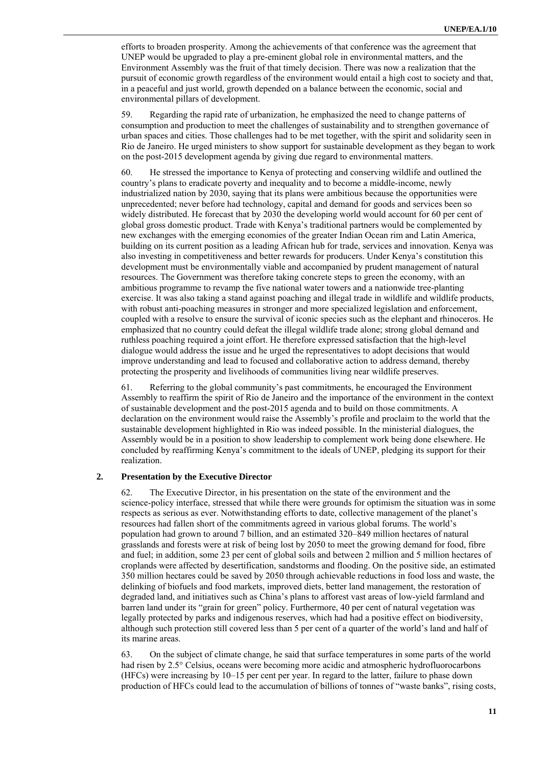efforts to broaden prosperity. Among the achievements of that conference was the agreement that UNEP would be upgraded to play a pre-eminent global role in environmental matters, and the Environment Assembly was the fruit of that timely decision. There was now a realization that the pursuit of economic growth regardless of the environment would entail a high cost to society and that, in a peaceful and just world, growth depended on a balance between the economic, social and environmental pillars of development.

59. Regarding the rapid rate of urbanization, he emphasized the need to change patterns of consumption and production to meet the challenges of sustainability and to strengthen governance of urban spaces and cities. Those challenges had to be met together, with the spirit and solidarity seen in Rio de Janeiro. He urged ministers to show support for sustainable development as they began to work on the post-2015 development agenda by giving due regard to environmental matters.

60. He stressed the importance to Kenya of protecting and conserving wildlife and outlined the country's plans to eradicate poverty and inequality and to become a middle-income, newly industrialized nation by 2030, saying that its plans were ambitious because the opportunities were unprecedented; never before had technology, capital and demand for goods and services been so widely distributed. He forecast that by 2030 the developing world would account for 60 per cent of global gross domestic product. Trade with Kenya's traditional partners would be complemented by new exchanges with the emerging economies of the greater Indian Ocean rim and Latin America, building on its current position as a leading African hub for trade, services and innovation. Kenya was also investing in competitiveness and better rewards for producers. Under Kenya's constitution this development must be environmentally viable and accompanied by prudent management of natural resources. The Government was therefore taking concrete steps to green the economy, with an ambitious programme to revamp the five national water towers and a nationwide tree-planting exercise. It was also taking a stand against poaching and illegal trade in wildlife and wildlife products, with robust anti-poaching measures in stronger and more specialized legislation and enforcement, coupled with a resolve to ensure the survival of iconic species such as the elephant and rhinoceros. He emphasized that no country could defeat the illegal wildlife trade alone; strong global demand and ruthless poaching required a joint effort. He therefore expressed satisfaction that the high-level dialogue would address the issue and he urged the representatives to adopt decisions that would improve understanding and lead to focused and collaborative action to address demand, thereby protecting the prosperity and livelihoods of communities living near wildlife preserves.

61. Referring to the global community's past commitments, he encouraged the Environment Assembly to reaffirm the spirit of Rio de Janeiro and the importance of the environment in the context of sustainable development and the post-2015 agenda and to build on those commitments. A declaration on the environment would raise the Assembly's profile and proclaim to the world that the sustainable development highlighted in Rio was indeed possible. In the ministerial dialogues, the Assembly would be in a position to show leadership to complement work being done elsewhere. He concluded by reaffirming Kenya's commitment to the ideals of UNEP, pledging its support for their realization.

#### **2. Presentation by the Executive Director**

62. The Executive Director, in his presentation on the state of the environment and the science-policy interface, stressed that while there were grounds for optimism the situation was in some respects as serious as ever. Notwithstanding efforts to date, collective management of the planet's resources had fallen short of the commitments agreed in various global forums. The world's population had grown to around 7 billion, and an estimated 320–849 million hectares of natural grasslands and forests were at risk of being lost by 2050 to meet the growing demand for food, fibre and fuel; in addition, some 23 per cent of global soils and between 2 million and 5 million hectares of croplands were affected by desertification, sandstorms and flooding. On the positive side, an estimated 350 million hectares could be saved by 2050 through achievable reductions in food loss and waste, the delinking of biofuels and food markets, improved diets, better land management, the restoration of degraded land, and initiatives such as China's plans to afforest vast areas of low-yield farmland and barren land under its "grain for green" policy. Furthermore, 40 per cent of natural vegetation was legally protected by parks and indigenous reserves, which had had a positive effect on biodiversity, although such protection still covered less than 5 per cent of a quarter of the world's land and half of its marine areas.

63. On the subject of climate change, he said that surface temperatures in some parts of the world had risen by 2.5° Celsius, oceans were becoming more acidic and atmospheric hydrofluorocarbons (HFCs) were increasing by 10–15 per cent per year. In regard to the latter, failure to phase down production of HFCs could lead to the accumulation of billions of tonnes of "waste banks", rising costs,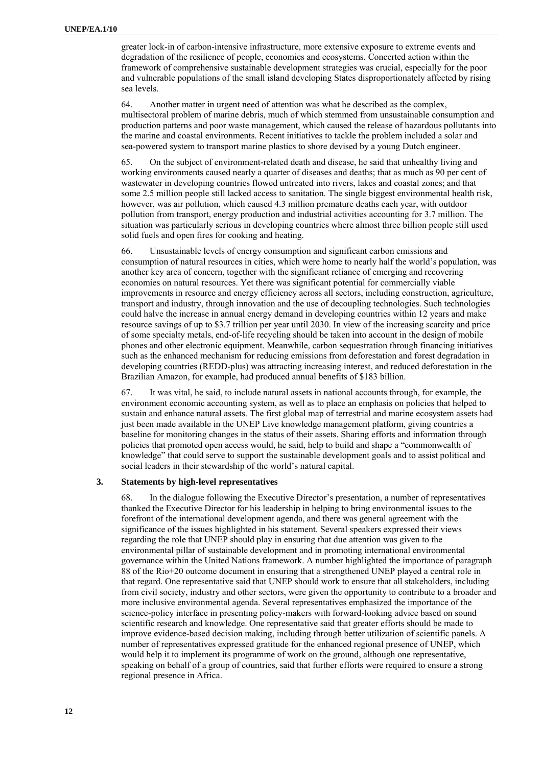greater lock-in of carbon-intensive infrastructure, more extensive exposure to extreme events and degradation of the resilience of people, economies and ecosystems. Concerted action within the framework of comprehensive sustainable development strategies was crucial, especially for the poor and vulnerable populations of the small island developing States disproportionately affected by rising sea levels.

64. Another matter in urgent need of attention was what he described as the complex, multisectoral problem of marine debris, much of which stemmed from unsustainable consumption and production patterns and poor waste management, which caused the release of hazardous pollutants into the marine and coastal environments. Recent initiatives to tackle the problem included a solar and sea-powered system to transport marine plastics to shore devised by a young Dutch engineer.

65. On the subject of environment-related death and disease, he said that unhealthy living and working environments caused nearly a quarter of diseases and deaths; that as much as 90 per cent of wastewater in developing countries flowed untreated into rivers, lakes and coastal zones; and that some 2.5 million people still lacked access to sanitation. The single biggest environmental health risk, however, was air pollution, which caused 4.3 million premature deaths each year, with outdoor pollution from transport, energy production and industrial activities accounting for 3.7 million. The situation was particularly serious in developing countries where almost three billion people still used solid fuels and open fires for cooking and heating.

66. Unsustainable levels of energy consumption and significant carbon emissions and consumption of natural resources in cities, which were home to nearly half the world's population, was another key area of concern, together with the significant reliance of emerging and recovering economies on natural resources. Yet there was significant potential for commercially viable improvements in resource and energy efficiency across all sectors, including construction, agriculture, transport and industry, through innovation and the use of decoupling technologies. Such technologies could halve the increase in annual energy demand in developing countries within 12 years and make resource savings of up to \$3.7 trillion per year until 2030. In view of the increasing scarcity and price of some specialty metals, end-of-life recycling should be taken into account in the design of mobile phones and other electronic equipment. Meanwhile, carbon sequestration through financing initiatives such as the enhanced mechanism for reducing emissions from deforestation and forest degradation in developing countries (REDD-plus) was attracting increasing interest, and reduced deforestation in the Brazilian Amazon, for example, had produced annual benefits of \$183 billion.

67. It was vital, he said, to include natural assets in national accounts through, for example, the environment economic accounting system, as well as to place an emphasis on policies that helped to sustain and enhance natural assets. The first global map of terrestrial and marine ecosystem assets had just been made available in the UNEP Live knowledge management platform, giving countries a baseline for monitoring changes in the status of their assets. Sharing efforts and information through policies that promoted open access would, he said, help to build and shape a "commonwealth of knowledge" that could serve to support the sustainable development goals and to assist political and social leaders in their stewardship of the world's natural capital.

#### **3. Statements by high-level representatives**

68. In the dialogue following the Executive Director's presentation, a number of representatives thanked the Executive Director for his leadership in helping to bring environmental issues to the forefront of the international development agenda, and there was general agreement with the significance of the issues highlighted in his statement. Several speakers expressed their views regarding the role that UNEP should play in ensuring that due attention was given to the environmental pillar of sustainable development and in promoting international environmental governance within the United Nations framework. A number highlighted the importance of paragraph 88 of the Rio+20 outcome document in ensuring that a strengthened UNEP played a central role in that regard. One representative said that UNEP should work to ensure that all stakeholders, including from civil society, industry and other sectors, were given the opportunity to contribute to a broader and more inclusive environmental agenda. Several representatives emphasized the importance of the science-policy interface in presenting policy-makers with forward-looking advice based on sound scientific research and knowledge. One representative said that greater efforts should be made to improve evidence-based decision making, including through better utilization of scientific panels. A number of representatives expressed gratitude for the enhanced regional presence of UNEP, which would help it to implement its programme of work on the ground, although one representative, speaking on behalf of a group of countries, said that further efforts were required to ensure a strong regional presence in Africa.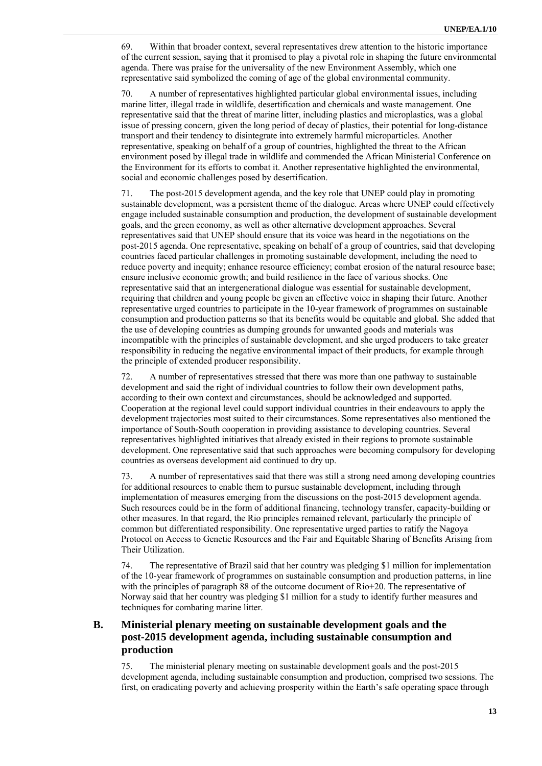69. Within that broader context, several representatives drew attention to the historic importance of the current session, saying that it promised to play a pivotal role in shaping the future environmental agenda. There was praise for the universality of the new Environment Assembly, which one representative said symbolized the coming of age of the global environmental community.

70. A number of representatives highlighted particular global environmental issues, including marine litter, illegal trade in wildlife, desertification and chemicals and waste management. One representative said that the threat of marine litter, including plastics and microplastics, was a global issue of pressing concern, given the long period of decay of plastics, their potential for long-distance transport and their tendency to disintegrate into extremely harmful microparticles. Another representative, speaking on behalf of a group of countries, highlighted the threat to the African environment posed by illegal trade in wildlife and commended the African Ministerial Conference on the Environment for its efforts to combat it. Another representative highlighted the environmental, social and economic challenges posed by desertification.

71. The post-2015 development agenda, and the key role that UNEP could play in promoting sustainable development, was a persistent theme of the dialogue. Areas where UNEP could effectively engage included sustainable consumption and production, the development of sustainable development goals, and the green economy, as well as other alternative development approaches. Several representatives said that UNEP should ensure that its voice was heard in the negotiations on the post-2015 agenda. One representative, speaking on behalf of a group of countries, said that developing countries faced particular challenges in promoting sustainable development, including the need to reduce poverty and inequity; enhance resource efficiency; combat erosion of the natural resource base; ensure inclusive economic growth; and build resilience in the face of various shocks. One representative said that an intergenerational dialogue was essential for sustainable development, requiring that children and young people be given an effective voice in shaping their future. Another representative urged countries to participate in the 10-year framework of programmes on sustainable consumption and production patterns so that its benefits would be equitable and global. She added that the use of developing countries as dumping grounds for unwanted goods and materials was incompatible with the principles of sustainable development, and she urged producers to take greater responsibility in reducing the negative environmental impact of their products, for example through the principle of extended producer responsibility.

72. A number of representatives stressed that there was more than one pathway to sustainable development and said the right of individual countries to follow their own development paths, according to their own context and circumstances, should be acknowledged and supported. Cooperation at the regional level could support individual countries in their endeavours to apply the development trajectories most suited to their circumstances. Some representatives also mentioned the importance of South-South cooperation in providing assistance to developing countries. Several representatives highlighted initiatives that already existed in their regions to promote sustainable development. One representative said that such approaches were becoming compulsory for developing countries as overseas development aid continued to dry up.

73. A number of representatives said that there was still a strong need among developing countries for additional resources to enable them to pursue sustainable development, including through implementation of measures emerging from the discussions on the post-2015 development agenda. Such resources could be in the form of additional financing, technology transfer, capacity-building or other measures. In that regard, the Rio principles remained relevant, particularly the principle of common but differentiated responsibility. One representative urged parties to ratify the Nagoya Protocol on Access to Genetic Resources and the Fair and Equitable Sharing of Benefits Arising from Their Utilization.

74. The representative of Brazil said that her country was pledging \$1 million for implementation of the 10-year framework of programmes on sustainable consumption and production patterns, in line with the principles of paragraph 88 of the outcome document of Rio+20. The representative of Norway said that her country was pledging \$1 million for a study to identify further measures and techniques for combating marine litter.

## **B. Ministerial plenary meeting on sustainable development goals and the post-2015 development agenda, including sustainable consumption and production**

75. The ministerial plenary meeting on sustainable development goals and the post-2015 development agenda, including sustainable consumption and production, comprised two sessions. The first, on eradicating poverty and achieving prosperity within the Earth's safe operating space through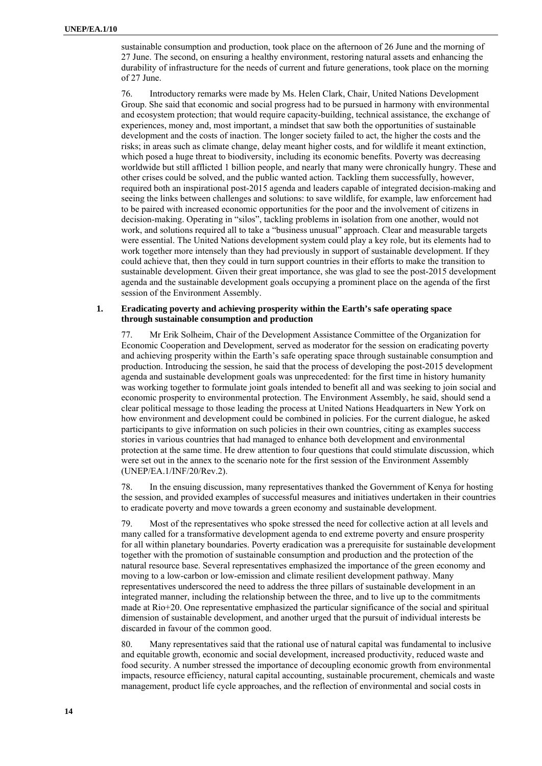sustainable consumption and production, took place on the afternoon of 26 June and the morning of 27 June. The second, on ensuring a healthy environment, restoring natural assets and enhancing the durability of infrastructure for the needs of current and future generations, took place on the morning of 27 June.

76. Introductory remarks were made by Ms. Helen Clark, Chair, United Nations Development Group. She said that economic and social progress had to be pursued in harmony with environmental and ecosystem protection; that would require capacity-building, technical assistance, the exchange of experiences, money and, most important, a mindset that saw both the opportunities of sustainable development and the costs of inaction. The longer society failed to act, the higher the costs and the risks; in areas such as climate change, delay meant higher costs, and for wildlife it meant extinction, which posed a huge threat to biodiversity, including its economic benefits. Poverty was decreasing worldwide but still afflicted 1 billion people, and nearly that many were chronically hungry. These and other crises could be solved, and the public wanted action. Tackling them successfully, however, required both an inspirational post-2015 agenda and leaders capable of integrated decision-making and seeing the links between challenges and solutions: to save wildlife, for example, law enforcement had to be paired with increased economic opportunities for the poor and the involvement of citizens in decision-making. Operating in "silos", tackling problems in isolation from one another, would not work, and solutions required all to take a "business unusual" approach. Clear and measurable targets were essential. The United Nations development system could play a key role, but its elements had to work together more intensely than they had previously in support of sustainable development. If they could achieve that, then they could in turn support countries in their efforts to make the transition to sustainable development. Given their great importance, she was glad to see the post-2015 development agenda and the sustainable development goals occupying a prominent place on the agenda of the first session of the Environment Assembly.

#### **1. Eradicating poverty and achieving prosperity within the Earth's safe operating space through sustainable consumption and production**

77. Mr Erik Solheim, Chair of the Development Assistance Committee of the Organization for Economic Cooperation and Development, served as moderator for the session on eradicating poverty and achieving prosperity within the Earth's safe operating space through sustainable consumption and production. Introducing the session, he said that the process of developing the post-2015 development agenda and sustainable development goals was unprecedented: for the first time in history humanity was working together to formulate joint goals intended to benefit all and was seeking to join social and economic prosperity to environmental protection. The Environment Assembly, he said, should send a clear political message to those leading the process at United Nations Headquarters in New York on how environment and development could be combined in policies. For the current dialogue, he asked participants to give information on such policies in their own countries, citing as examples success stories in various countries that had managed to enhance both development and environmental protection at the same time. He drew attention to four questions that could stimulate discussion, which were set out in the annex to the scenario note for the first session of the Environment Assembly (UNEP/EA.1/INF/20/Rev.2).

78. In the ensuing discussion, many representatives thanked the Government of Kenya for hosting the session, and provided examples of successful measures and initiatives undertaken in their countries to eradicate poverty and move towards a green economy and sustainable development.

79. Most of the representatives who spoke stressed the need for collective action at all levels and many called for a transformative development agenda to end extreme poverty and ensure prosperity for all within planetary boundaries. Poverty eradication was a prerequisite for sustainable development together with the promotion of sustainable consumption and production and the protection of the natural resource base. Several representatives emphasized the importance of the green economy and moving to a low-carbon or low-emission and climate resilient development pathway. Many representatives underscored the need to address the three pillars of sustainable development in an integrated manner, including the relationship between the three, and to live up to the commitments made at Rio+20. One representative emphasized the particular significance of the social and spiritual dimension of sustainable development, and another urged that the pursuit of individual interests be discarded in favour of the common good.

80. Many representatives said that the rational use of natural capital was fundamental to inclusive and equitable growth, economic and social development, increased productivity, reduced waste and food security. A number stressed the importance of decoupling economic growth from environmental impacts, resource efficiency, natural capital accounting, sustainable procurement, chemicals and waste management, product life cycle approaches, and the reflection of environmental and social costs in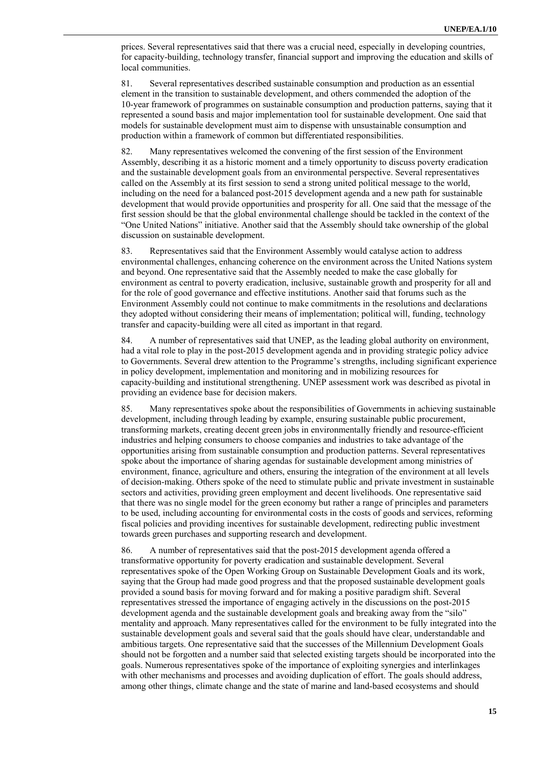prices. Several representatives said that there was a crucial need, especially in developing countries, for capacity-building, technology transfer, financial support and improving the education and skills of local communities.

81. Several representatives described sustainable consumption and production as an essential element in the transition to sustainable development, and others commended the adoption of the 10-year framework of programmes on sustainable consumption and production patterns, saying that it represented a sound basis and major implementation tool for sustainable development. One said that models for sustainable development must aim to dispense with unsustainable consumption and production within a framework of common but differentiated responsibilities.

82. Many representatives welcomed the convening of the first session of the Environment Assembly, describing it as a historic moment and a timely opportunity to discuss poverty eradication and the sustainable development goals from an environmental perspective. Several representatives called on the Assembly at its first session to send a strong united political message to the world, including on the need for a balanced post-2015 development agenda and a new path for sustainable development that would provide opportunities and prosperity for all. One said that the message of the first session should be that the global environmental challenge should be tackled in the context of the "One United Nations" initiative. Another said that the Assembly should take ownership of the global discussion on sustainable development.

83. Representatives said that the Environment Assembly would catalyse action to address environmental challenges, enhancing coherence on the environment across the United Nations system and beyond. One representative said that the Assembly needed to make the case globally for environment as central to poverty eradication, inclusive, sustainable growth and prosperity for all and for the role of good governance and effective institutions. Another said that forums such as the Environment Assembly could not continue to make commitments in the resolutions and declarations they adopted without considering their means of implementation; political will, funding, technology transfer and capacity-building were all cited as important in that regard.

84. A number of representatives said that UNEP, as the leading global authority on environment, had a vital role to play in the post-2015 development agenda and in providing strategic policy advice to Governments. Several drew attention to the Programme's strengths, including significant experience in policy development, implementation and monitoring and in mobilizing resources for capacity-building and institutional strengthening. UNEP assessment work was described as pivotal in providing an evidence base for decision makers.

85. Many representatives spoke about the responsibilities of Governments in achieving sustainable development, including through leading by example, ensuring sustainable public procurement, transforming markets, creating decent green jobs in environmentally friendly and resource-efficient industries and helping consumers to choose companies and industries to take advantage of the opportunities arising from sustainable consumption and production patterns. Several representatives spoke about the importance of sharing agendas for sustainable development among ministries of environment, finance, agriculture and others, ensuring the integration of the environment at all levels of decision-making. Others spoke of the need to stimulate public and private investment in sustainable sectors and activities, providing green employment and decent livelihoods. One representative said that there was no single model for the green economy but rather a range of principles and parameters to be used, including accounting for environmental costs in the costs of goods and services, reforming fiscal policies and providing incentives for sustainable development, redirecting public investment towards green purchases and supporting research and development.

86. A number of representatives said that the post-2015 development agenda offered a transformative opportunity for poverty eradication and sustainable development. Several representatives spoke of the Open Working Group on Sustainable Development Goals and its work, saying that the Group had made good progress and that the proposed sustainable development goals provided a sound basis for moving forward and for making a positive paradigm shift. Several representatives stressed the importance of engaging actively in the discussions on the post-2015 development agenda and the sustainable development goals and breaking away from the "silo" mentality and approach. Many representatives called for the environment to be fully integrated into the sustainable development goals and several said that the goals should have clear, understandable and ambitious targets. One representative said that the successes of the Millennium Development Goals should not be forgotten and a number said that selected existing targets should be incorporated into the goals. Numerous representatives spoke of the importance of exploiting synergies and interlinkages with other mechanisms and processes and avoiding duplication of effort. The goals should address, among other things, climate change and the state of marine and land-based ecosystems and should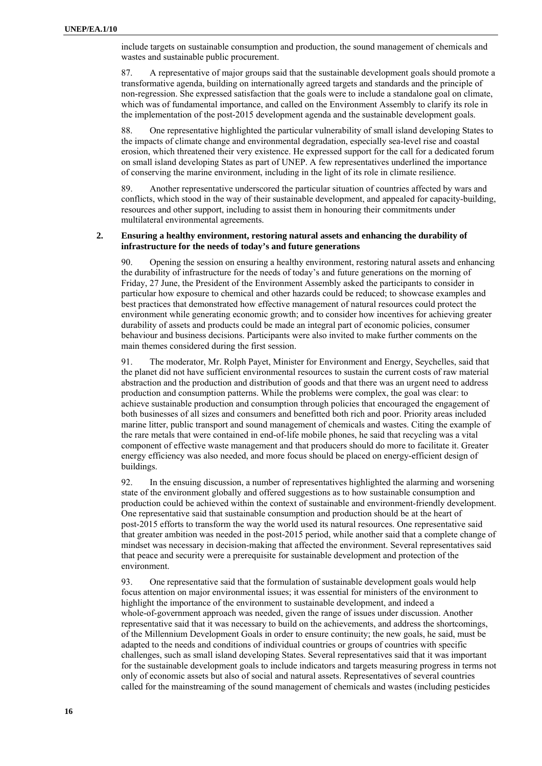include targets on sustainable consumption and production, the sound management of chemicals and wastes and sustainable public procurement.

87. A representative of major groups said that the sustainable development goals should promote a transformative agenda, building on internationally agreed targets and standards and the principle of non-regression. She expressed satisfaction that the goals were to include a standalone goal on climate, which was of fundamental importance, and called on the Environment Assembly to clarify its role in the implementation of the post-2015 development agenda and the sustainable development goals.

88. One representative highlighted the particular vulnerability of small island developing States to the impacts of climate change and environmental degradation, especially sea-level rise and coastal erosion, which threatened their very existence. He expressed support for the call for a dedicated forum on small island developing States as part of UNEP. A few representatives underlined the importance of conserving the marine environment, including in the light of its role in climate resilience.

89. Another representative underscored the particular situation of countries affected by wars and conflicts, which stood in the way of their sustainable development, and appealed for capacity-building, resources and other support, including to assist them in honouring their commitments under multilateral environmental agreements.

### **2. Ensuring a healthy environment, restoring natural assets and enhancing the durability of infrastructure for the needs of today's and future generations**

90. Opening the session on ensuring a healthy environment, restoring natural assets and enhancing the durability of infrastructure for the needs of today's and future generations on the morning of Friday, 27 June, the President of the Environment Assembly asked the participants to consider in particular how exposure to chemical and other hazards could be reduced; to showcase examples and best practices that demonstrated how effective management of natural resources could protect the environment while generating economic growth; and to consider how incentives for achieving greater durability of assets and products could be made an integral part of economic policies, consumer behaviour and business decisions. Participants were also invited to make further comments on the main themes considered during the first session.

91. The moderator, Mr. Rolph Payet, Minister for Environment and Energy, Seychelles, said that the planet did not have sufficient environmental resources to sustain the current costs of raw material abstraction and the production and distribution of goods and that there was an urgent need to address production and consumption patterns. While the problems were complex, the goal was clear: to achieve sustainable production and consumption through policies that encouraged the engagement of both businesses of all sizes and consumers and benefitted both rich and poor. Priority areas included marine litter, public transport and sound management of chemicals and wastes. Citing the example of the rare metals that were contained in end-of-life mobile phones, he said that recycling was a vital component of effective waste management and that producers should do more to facilitate it. Greater energy efficiency was also needed, and more focus should be placed on energy-efficient design of buildings.

92. In the ensuing discussion, a number of representatives highlighted the alarming and worsening state of the environment globally and offered suggestions as to how sustainable consumption and production could be achieved within the context of sustainable and environment-friendly development. One representative said that sustainable consumption and production should be at the heart of post-2015 efforts to transform the way the world used its natural resources. One representative said that greater ambition was needed in the post-2015 period, while another said that a complete change of mindset was necessary in decision-making that affected the environment. Several representatives said that peace and security were a prerequisite for sustainable development and protection of the environment.

93. One representative said that the formulation of sustainable development goals would help focus attention on major environmental issues; it was essential for ministers of the environment to highlight the importance of the environment to sustainable development, and indeed a whole-of-government approach was needed, given the range of issues under discussion. Another representative said that it was necessary to build on the achievements, and address the shortcomings, of the Millennium Development Goals in order to ensure continuity; the new goals, he said, must be adapted to the needs and conditions of individual countries or groups of countries with specific challenges, such as small island developing States. Several representatives said that it was important for the sustainable development goals to include indicators and targets measuring progress in terms not only of economic assets but also of social and natural assets. Representatives of several countries called for the mainstreaming of the sound management of chemicals and wastes (including pesticides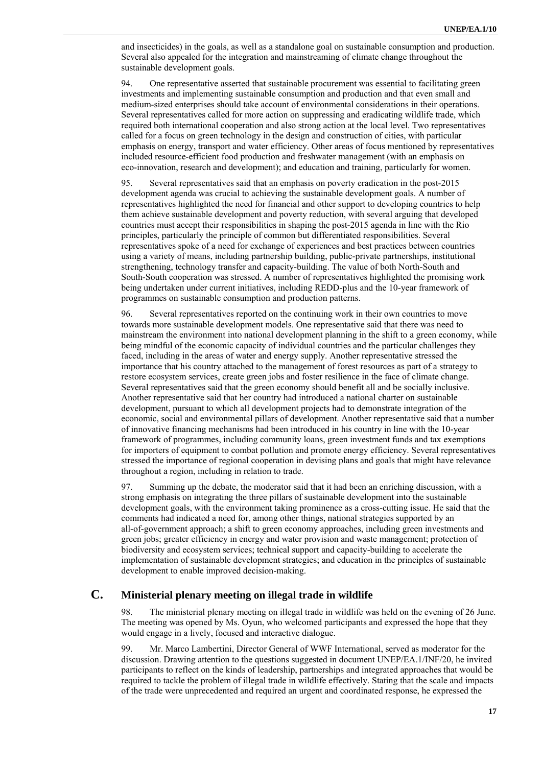and insecticides) in the goals, as well as a standalone goal on sustainable consumption and production. Several also appealed for the integration and mainstreaming of climate change throughout the sustainable development goals.

94. One representative asserted that sustainable procurement was essential to facilitating green investments and implementing sustainable consumption and production and that even small and medium-sized enterprises should take account of environmental considerations in their operations. Several representatives called for more action on suppressing and eradicating wildlife trade, which required both international cooperation and also strong action at the local level. Two representatives called for a focus on green technology in the design and construction of cities, with particular emphasis on energy, transport and water efficiency. Other areas of focus mentioned by representatives included resource-efficient food production and freshwater management (with an emphasis on eco-innovation, research and development); and education and training, particularly for women.

95. Several representatives said that an emphasis on poverty eradication in the post-2015 development agenda was crucial to achieving the sustainable development goals. A number of representatives highlighted the need for financial and other support to developing countries to help them achieve sustainable development and poverty reduction, with several arguing that developed countries must accept their responsibilities in shaping the post-2015 agenda in line with the Rio principles, particularly the principle of common but differentiated responsibilities. Several representatives spoke of a need for exchange of experiences and best practices between countries using a variety of means, including partnership building, public-private partnerships, institutional strengthening, technology transfer and capacity-building. The value of both North-South and South-South cooperation was stressed. A number of representatives highlighted the promising work being undertaken under current initiatives, including REDD-plus and the 10-year framework of programmes on sustainable consumption and production patterns.

96. Several representatives reported on the continuing work in their own countries to move towards more sustainable development models. One representative said that there was need to mainstream the environment into national development planning in the shift to a green economy, while being mindful of the economic capacity of individual countries and the particular challenges they faced, including in the areas of water and energy supply. Another representative stressed the importance that his country attached to the management of forest resources as part of a strategy to restore ecosystem services, create green jobs and foster resilience in the face of climate change. Several representatives said that the green economy should benefit all and be socially inclusive. Another representative said that her country had introduced a national charter on sustainable development, pursuant to which all development projects had to demonstrate integration of the economic, social and environmental pillars of development. Another representative said that a number of innovative financing mechanisms had been introduced in his country in line with the 10-year framework of programmes, including community loans, green investment funds and tax exemptions for importers of equipment to combat pollution and promote energy efficiency. Several representatives stressed the importance of regional cooperation in devising plans and goals that might have relevance throughout a region, including in relation to trade.

97. Summing up the debate, the moderator said that it had been an enriching discussion, with a strong emphasis on integrating the three pillars of sustainable development into the sustainable development goals, with the environment taking prominence as a cross-cutting issue. He said that the comments had indicated a need for, among other things, national strategies supported by an all-of-government approach; a shift to green economy approaches, including green investments and green jobs; greater efficiency in energy and water provision and waste management; protection of biodiversity and ecosystem services; technical support and capacity-building to accelerate the implementation of sustainable development strategies; and education in the principles of sustainable development to enable improved decision-making.

## **C. Ministerial plenary meeting on illegal trade in wildlife**

The ministerial plenary meeting on illegal trade in wildlife was held on the evening of 26 June. The meeting was opened by Ms. Oyun, who welcomed participants and expressed the hope that they would engage in a lively, focused and interactive dialogue.

99. Mr. Marco Lambertini, Director General of WWF International, served as moderator for the discussion. Drawing attention to the questions suggested in document UNEP/EA.1/INF/20, he invited participants to reflect on the kinds of leadership, partnerships and integrated approaches that would be required to tackle the problem of illegal trade in wildlife effectively. Stating that the scale and impacts of the trade were unprecedented and required an urgent and coordinated response, he expressed the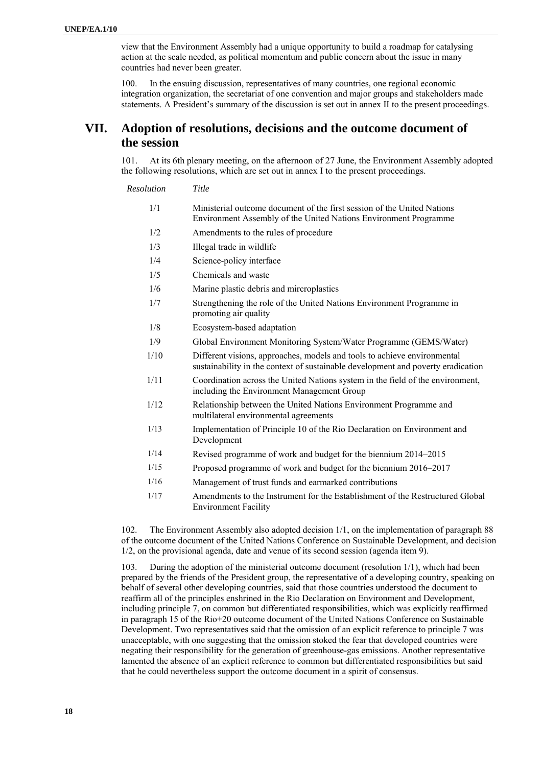view that the Environment Assembly had a unique opportunity to build a roadmap for catalysing action at the scale needed, as political momentum and public concern about the issue in many countries had never been greater.

100. In the ensuing discussion, representatives of many countries, one regional economic integration organization, the secretariat of one convention and major groups and stakeholders made statements. A President's summary of the discussion is set out in annex II to the present proceedings.

# **VII. Adoption of resolutions, decisions and the outcome document of the session**

101. At its 6th plenary meeting, on the afternoon of 27 June, the Environment Assembly adopted the following resolutions, which are set out in annex I to the present proceedings.

*Resolution Title* 

| 1/1 | Ministerial outcome document of the first session of the United Nations |
|-----|-------------------------------------------------------------------------|
|     | Environment Assembly of the United Nations Environment Programme        |

- 1/2 Amendments to the rules of procedure
- 1/3 Illegal trade in wildlife
- 1/4 Science-policy interface
- 1/5 Chemicals and waste
- 1/6 Marine plastic debris and mircroplastics
- 1/7 Strengthening the role of the United Nations Environment Programme in promoting air quality
- 1/8 Ecosystem-based adaptation
- 1/9 Global Environment Monitoring System/Water Programme (GEMS/Water)
- 1/10 Different visions, approaches, models and tools to achieve environmental sustainability in the context of sustainable development and poverty eradication
- 1/11 Coordination across the United Nations system in the field of the environment, including the Environment Management Group
- 1/12 Relationship between the United Nations Environment Programme and multilateral environmental agreements
- 1/13 Implementation of Principle 10 of the Rio Declaration on Environment and Development
- 1/14 Revised programme of work and budget for the biennium 2014–2015
- 1/15 Proposed programme of work and budget for the biennium 2016–2017
- 1/16 Management of trust funds and earmarked contributions
- 1/17 Amendments to the Instrument for the Establishment of the Restructured Global Environment Facility

102. The Environment Assembly also adopted decision 1/1, on the implementation of paragraph 88 of the outcome document of the United Nations Conference on Sustainable Development, and decision 1/2, on the provisional agenda, date and venue of its second session (agenda item 9).

103. During the adoption of the ministerial outcome document (resolution 1/1), which had been prepared by the friends of the President group, the representative of a developing country, speaking on behalf of several other developing countries, said that those countries understood the document to reaffirm all of the principles enshrined in the Rio Declaration on Environment and Development, including principle 7, on common but differentiated responsibilities, which was explicitly reaffirmed in paragraph 15 of the Rio+20 outcome document of the United Nations Conference on Sustainable Development. Two representatives said that the omission of an explicit reference to principle 7 was unacceptable, with one suggesting that the omission stoked the fear that developed countries were negating their responsibility for the generation of greenhouse-gas emissions. Another representative lamented the absence of an explicit reference to common but differentiated responsibilities but said that he could nevertheless support the outcome document in a spirit of consensus.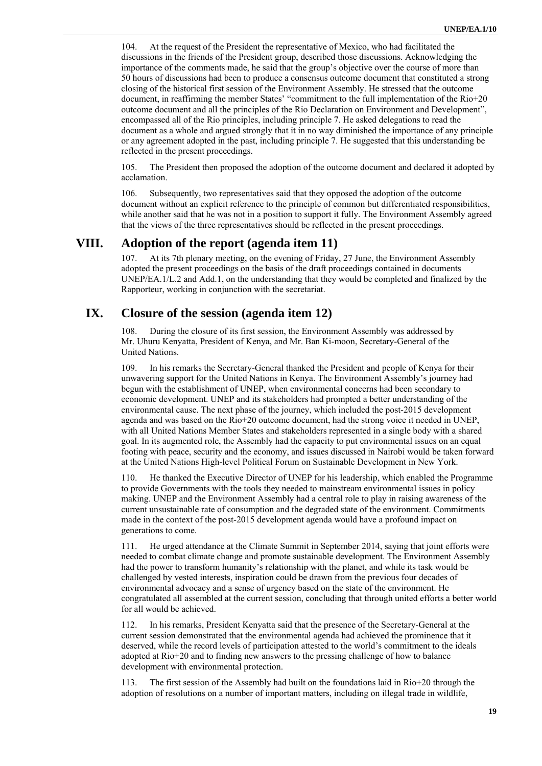104. At the request of the President the representative of Mexico, who had facilitated the discussions in the friends of the President group, described those discussions. Acknowledging the importance of the comments made, he said that the group's objective over the course of more than 50 hours of discussions had been to produce a consensus outcome document that constituted a strong closing of the historical first session of the Environment Assembly. He stressed that the outcome document, in reaffirming the member States' "commitment to the full implementation of the Rio+20 outcome document and all the principles of the Rio Declaration on Environment and Development", encompassed all of the Rio principles, including principle 7. He asked delegations to read the document as a whole and argued strongly that it in no way diminished the importance of any principle or any agreement adopted in the past, including principle 7. He suggested that this understanding be reflected in the present proceedings.

105. The President then proposed the adoption of the outcome document and declared it adopted by acclamation.

106. Subsequently, two representatives said that they opposed the adoption of the outcome document without an explicit reference to the principle of common but differentiated responsibilities, while another said that he was not in a position to support it fully. The Environment Assembly agreed that the views of the three representatives should be reflected in the present proceedings.

## **VIII. Adoption of the report (agenda item 11)**

At its 7th plenary meeting, on the evening of Friday, 27 June, the Environment Assembly adopted the present proceedings on the basis of the draft proceedings contained in documents UNEP/EA.1/L.2 and Add.1, on the understanding that they would be completed and finalized by the Rapporteur, working in conjunction with the secretariat.

## **IX. Closure of the session (agenda item 12)**

108. During the closure of its first session, the Environment Assembly was addressed by Mr. Uhuru Kenyatta, President of Kenya, and Mr. Ban Ki-moon, Secretary-General of the United Nations.

109. In his remarks the Secretary-General thanked the President and people of Kenya for their unwavering support for the United Nations in Kenya. The Environment Assembly's journey had begun with the establishment of UNEP, when environmental concerns had been secondary to economic development. UNEP and its stakeholders had prompted a better understanding of the environmental cause. The next phase of the journey, which included the post-2015 development agenda and was based on the Rio+20 outcome document, had the strong voice it needed in UNEP, with all United Nations Member States and stakeholders represented in a single body with a shared goal. In its augmented role, the Assembly had the capacity to put environmental issues on an equal footing with peace, security and the economy, and issues discussed in Nairobi would be taken forward at the United Nations High-level Political Forum on Sustainable Development in New York.

110. He thanked the Executive Director of UNEP for his leadership, which enabled the Programme to provide Governments with the tools they needed to mainstream environmental issues in policy making. UNEP and the Environment Assembly had a central role to play in raising awareness of the current unsustainable rate of consumption and the degraded state of the environment. Commitments made in the context of the post-2015 development agenda would have a profound impact on generations to come.

111. He urged attendance at the Climate Summit in September 2014, saying that joint efforts were needed to combat climate change and promote sustainable development. The Environment Assembly had the power to transform humanity's relationship with the planet, and while its task would be challenged by vested interests, inspiration could be drawn from the previous four decades of environmental advocacy and a sense of urgency based on the state of the environment. He congratulated all assembled at the current session, concluding that through united efforts a better world for all would be achieved.

112. In his remarks, President Kenyatta said that the presence of the Secretary-General at the current session demonstrated that the environmental agenda had achieved the prominence that it deserved, while the record levels of participation attested to the world's commitment to the ideals adopted at Rio+20 and to finding new answers to the pressing challenge of how to balance development with environmental protection.

113. The first session of the Assembly had built on the foundations laid in Rio+20 through the adoption of resolutions on a number of important matters, including on illegal trade in wildlife,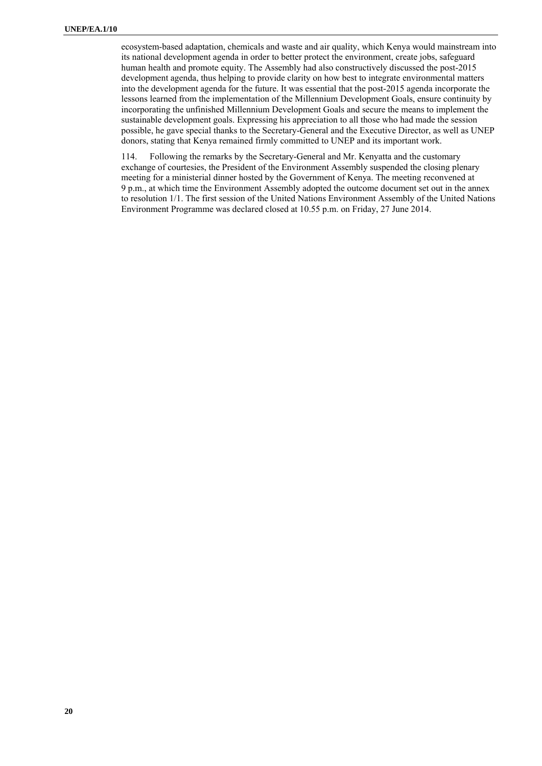ecosystem-based adaptation, chemicals and waste and air quality, which Kenya would mainstream into its national development agenda in order to better protect the environment, create jobs, safeguard human health and promote equity. The Assembly had also constructively discussed the post-2015 development agenda, thus helping to provide clarity on how best to integrate environmental matters into the development agenda for the future. It was essential that the post-2015 agenda incorporate the lessons learned from the implementation of the Millennium Development Goals, ensure continuity by incorporating the unfinished Millennium Development Goals and secure the means to implement the sustainable development goals. Expressing his appreciation to all those who had made the session possible, he gave special thanks to the Secretary-General and the Executive Director, as well as UNEP donors, stating that Kenya remained firmly committed to UNEP and its important work.

114. Following the remarks by the Secretary-General and Mr. Kenyatta and the customary exchange of courtesies, the President of the Environment Assembly suspended the closing plenary meeting for a ministerial dinner hosted by the Government of Kenya. The meeting reconvened at 9 p.m., at which time the Environment Assembly adopted the outcome document set out in the annex to resolution 1/1. The first session of the United Nations Environment Assembly of the United Nations Environment Programme was declared closed at 10.55 p.m. on Friday, 27 June 2014.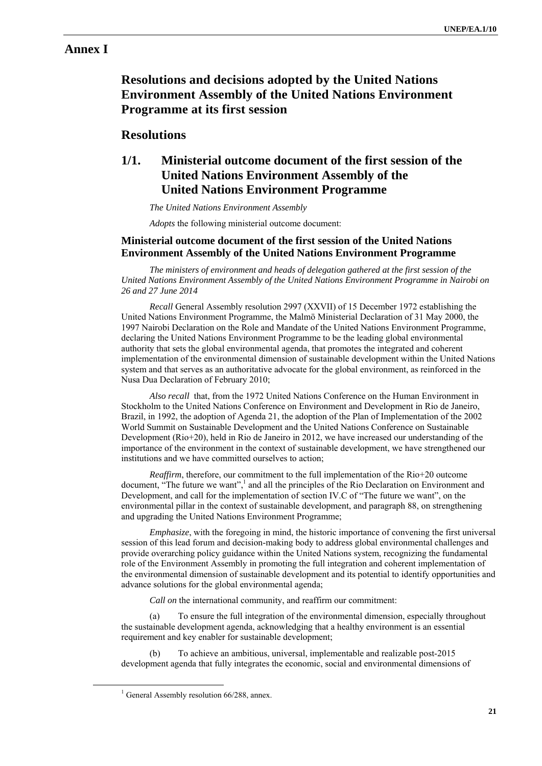## **Annex I**

# **Resolutions and decisions adopted by the United Nations Environment Assembly of the United Nations Environment Programme at its first session**

## **Resolutions**

# **1/1. Ministerial outcome document of the first session of the United Nations Environment Assembly of the United Nations Environment Programme**

*The United Nations Environment Assembly* 

*Adopts* the following ministerial outcome document:

### **Ministerial outcome document of the first session of the United Nations Environment Assembly of the United Nations Environment Programme**

*The ministers of environment and heads of delegation gathered at the first session of the United Nations Environment Assembly of the United Nations Environment Programme in Nairobi on 26 and 27 June 2014*

*Recall* General Assembly resolution 2997 (XXVII) of 15 December 1972 establishing the United Nations Environment Programme, the Malmö Ministerial Declaration of 31 May 2000, the 1997 Nairobi Declaration on the Role and Mandate of the United Nations Environment Programme, declaring the United Nations Environment Programme to be the leading global environmental authority that sets the global environmental agenda, that promotes the integrated and coherent implementation of the environmental dimension of sustainable development within the United Nations system and that serves as an authoritative advocate for the global environment, as reinforced in the Nusa Dua Declaration of February 2010;

*Also recall* that, from the 1972 United Nations Conference on the Human Environment in Stockholm to the United Nations Conference on Environment and Development in Rio de Janeiro, Brazil, in 1992, the adoption of Agenda 21, the adoption of the Plan of Implementation of the 2002 World Summit on Sustainable Development and the United Nations Conference on Sustainable Development (Rio+20), held in Rio de Janeiro in 2012, we have increased our understanding of the importance of the environment in the context of sustainable development, we have strengthened our institutions and we have committed ourselves to action;

*Reaffirm*, therefore, our commitment to the full implementation of the Rio+20 outcome document, "The future we want",<sup>1</sup> and all the principles of the Rio Declaration on Environment and Development, and call for the implementation of section IV.C of "The future we want", on the environmental pillar in the context of sustainable development, and paragraph 88, on strengthening and upgrading the United Nations Environment Programme;

*Emphasize*, with the foregoing in mind, the historic importance of convening the first universal session of this lead forum and decision-making body to address global environmental challenges and provide overarching policy guidance within the United Nations system, recognizing the fundamental role of the Environment Assembly in promoting the full integration and coherent implementation of the environmental dimension of sustainable development and its potential to identify opportunities and advance solutions for the global environmental agenda;

*Call on* the international community, and reaffirm our commitment:

(a) To ensure the full integration of the environmental dimension, especially throughout the sustainable development agenda, acknowledging that a healthy environment is an essential requirement and key enabler for sustainable development;

(b) To achieve an ambitious, universal, implementable and realizable post-2015 development agenda that fully integrates the economic, social and environmental dimensions of

<sup>&</sup>lt;u>1</u>  $^{1}$  General Assembly resolution 66/288, annex.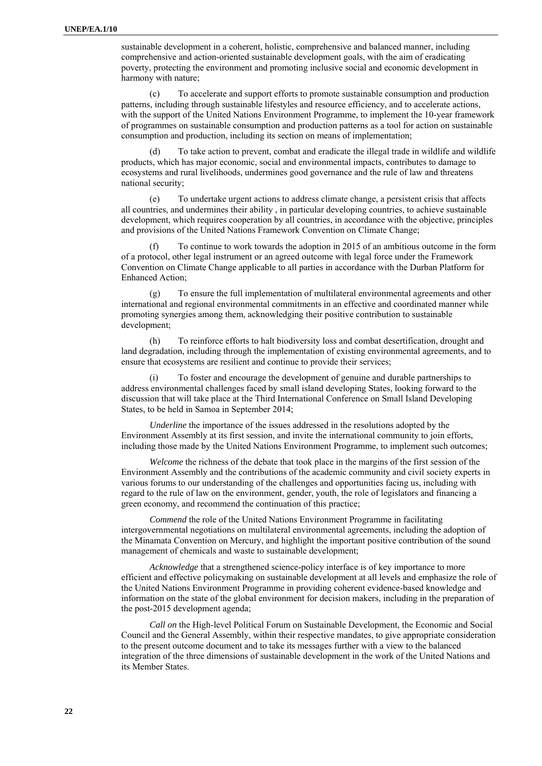sustainable development in a coherent, holistic, comprehensive and balanced manner, including comprehensive and action-oriented sustainable development goals, with the aim of eradicating poverty, protecting the environment and promoting inclusive social and economic development in harmony with nature;

(c) To accelerate and support efforts to promote sustainable consumption and production patterns, including through sustainable lifestyles and resource efficiency, and to accelerate actions, with the support of the United Nations Environment Programme, to implement the 10-year framework of programmes on sustainable consumption and production patterns as a tool for action on sustainable consumption and production, including its section on means of implementation;

(d) To take action to prevent, combat and eradicate the illegal trade in wildlife and wildlife products, which has major economic, social and environmental impacts, contributes to damage to ecosystems and rural livelihoods, undermines good governance and the rule of law and threatens national security;

(e) To undertake urgent actions to address climate change, a persistent crisis that affects all countries, and undermines their ability , in particular developing countries, to achieve sustainable development, which requires cooperation by all countries, in accordance with the objective, principles and provisions of the United Nations Framework Convention on Climate Change;

(f) To continue to work towards the adoption in 2015 of an ambitious outcome in the form of a protocol, other legal instrument or an agreed outcome with legal force under the Framework Convention on Climate Change applicable to all parties in accordance with the Durban Platform for Enhanced Action;

(g) To ensure the full implementation of multilateral environmental agreements and other international and regional environmental commitments in an effective and coordinated manner while promoting synergies among them, acknowledging their positive contribution to sustainable development;

(h) To reinforce efforts to halt biodiversity loss and combat desertification, drought and land degradation, including through the implementation of existing environmental agreements, and to ensure that ecosystems are resilient and continue to provide their services;

To foster and encourage the development of genuine and durable partnerships to address environmental challenges faced by small island developing States, looking forward to the discussion that will take place at the Third International Conference on Small Island Developing States, to be held in Samoa in September 2014;

*Underline* the importance of the issues addressed in the resolutions adopted by the Environment Assembly at its first session, and invite the international community to join efforts, including those made by the United Nations Environment Programme, to implement such outcomes;

*Welcome* the richness of the debate that took place in the margins of the first session of the Environment Assembly and the contributions of the academic community and civil society experts in various forums to our understanding of the challenges and opportunities facing us, including with regard to the rule of law on the environment, gender, youth, the role of legislators and financing a green economy, and recommend the continuation of this practice;

*Commend* the role of the United Nations Environment Programme in facilitating intergovernmental negotiations on multilateral environmental agreements, including the adoption of the Minamata Convention on Mercury, and highlight the important positive contribution of the sound management of chemicals and waste to sustainable development;

*Acknowledge* that a strengthened science-policy interface is of key importance to more efficient and effective policymaking on sustainable development at all levels and emphasize the role of the United Nations Environment Programme in providing coherent evidence-based knowledge and information on the state of the global environment for decision makers, including in the preparation of the post-2015 development agenda;

*Call on* the High-level Political Forum on Sustainable Development, the Economic and Social Council and the General Assembly, within their respective mandates, to give appropriate consideration to the present outcome document and to take its messages further with a view to the balanced integration of the three dimensions of sustainable development in the work of the United Nations and its Member States.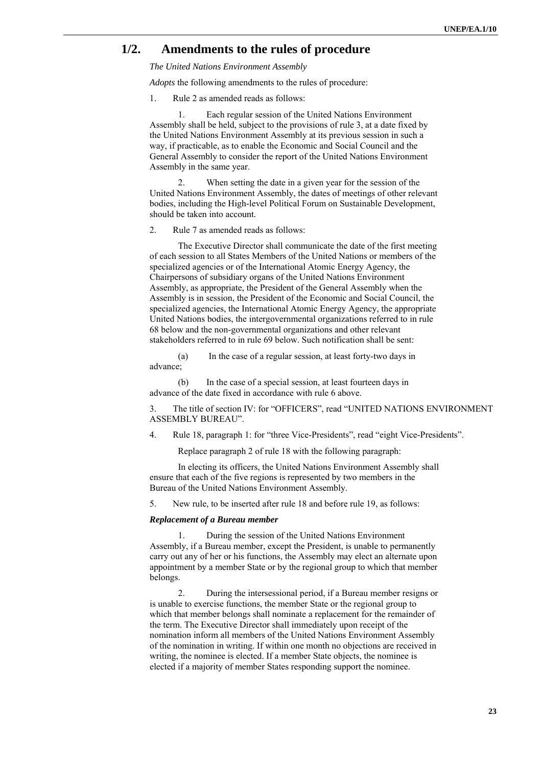## **1/2. Amendments to the rules of procedure**

*The United Nations Environment Assembly* 

*Adopts* the following amendments to the rules of procedure:

1. Rule 2 as amended reads as follows:

1. Each regular session of the United Nations Environment Assembly shall be held, subject to the provisions of rule 3, at a date fixed by the United Nations Environment Assembly at its previous session in such a way, if practicable, as to enable the Economic and Social Council and the General Assembly to consider the report of the United Nations Environment Assembly in the same year.

2. When setting the date in a given year for the session of the United Nations Environment Assembly, the dates of meetings of other relevant bodies, including the High-level Political Forum on Sustainable Development, should be taken into account.

2. Rule 7 as amended reads as follows:

The Executive Director shall communicate the date of the first meeting of each session to all States Members of the United Nations or members of the specialized agencies or of the International Atomic Energy Agency, the Chairpersons of subsidiary organs of the United Nations Environment Assembly, as appropriate, the President of the General Assembly when the Assembly is in session, the President of the Economic and Social Council, the specialized agencies, the International Atomic Energy Agency, the appropriate United Nations bodies, the intergovernmental organizations referred to in rule 68 below and the non-governmental organizations and other relevant stakeholders referred to in rule 69 below. Such notification shall be sent:

(a) In the case of a regular session, at least forty-two days in advance;

(b) In the case of a special session, at least fourteen days in advance of the date fixed in accordance with rule 6 above.

3. The title of section IV: for "OFFICERS", read "UNITED NATIONS ENVIRONMENT ASSEMBLY BUREAU".

4. Rule 18, paragraph 1: for "three Vice-Presidents", read "eight Vice-Presidents".

Replace paragraph 2 of rule 18 with the following paragraph:

In electing its officers, the United Nations Environment Assembly shall ensure that each of the five regions is represented by two members in the Bureau of the United Nations Environment Assembly.

5. New rule, to be inserted after rule 18 and before rule 19, as follows:

#### *Replacement of a Bureau member*

1. During the session of the United Nations Environment Assembly, if a Bureau member, except the President, is unable to permanently carry out any of her or his functions, the Assembly may elect an alternate upon appointment by a member State or by the regional group to which that member belongs.

2. During the intersessional period, if a Bureau member resigns or is unable to exercise functions, the member State or the regional group to which that member belongs shall nominate a replacement for the remainder of the term. The Executive Director shall immediately upon receipt of the nomination inform all members of the United Nations Environment Assembly of the nomination in writing. If within one month no objections are received in writing, the nominee is elected. If a member State objects, the nominee is elected if a majority of member States responding support the nominee.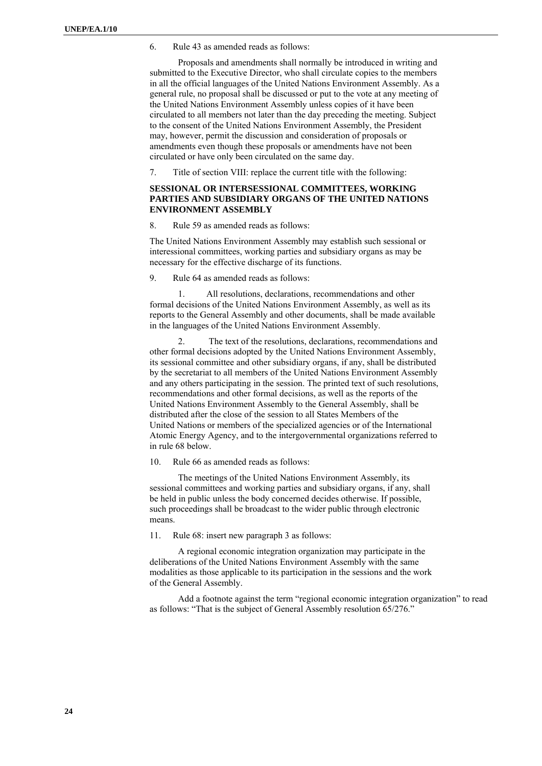6. Rule 43 as amended reads as follows:

Proposals and amendments shall normally be introduced in writing and submitted to the Executive Director, who shall circulate copies to the members in all the official languages of the United Nations Environment Assembly. As a general rule, no proposal shall be discussed or put to the vote at any meeting of the United Nations Environment Assembly unless copies of it have been circulated to all members not later than the day preceding the meeting. Subject to the consent of the United Nations Environment Assembly, the President may, however, permit the discussion and consideration of proposals or amendments even though these proposals or amendments have not been circulated or have only been circulated on the same day.

7. Title of section VIII: replace the current title with the following:

### **SESSIONAL OR INTERSESSIONAL COMMITTEES, WORKING PARTIES AND SUBSIDIARY ORGANS OF THE UNITED NATIONS ENVIRONMENT ASSEMBLY**

8. Rule 59 as amended reads as follows:

The United Nations Environment Assembly may establish such sessional or interessional committees, working parties and subsidiary organs as may be necessary for the effective discharge of its functions.

9. Rule 64 as amended reads as follows:

All resolutions, declarations, recommendations and other formal decisions of the United Nations Environment Assembly, as well as its reports to the General Assembly and other documents, shall be made available in the languages of the United Nations Environment Assembly.

2. The text of the resolutions, declarations, recommendations and other formal decisions adopted by the United Nations Environment Assembly, its sessional committee and other subsidiary organs, if any, shall be distributed by the secretariat to all members of the United Nations Environment Assembly and any others participating in the session. The printed text of such resolutions, recommendations and other formal decisions, as well as the reports of the United Nations Environment Assembly to the General Assembly, shall be distributed after the close of the session to all States Members of the United Nations or members of the specialized agencies or of the International Atomic Energy Agency, and to the intergovernmental organizations referred to in rule 68 below.

10. Rule 66 as amended reads as follows:

The meetings of the United Nations Environment Assembly, its sessional committees and working parties and subsidiary organs, if any, shall be held in public unless the body concerned decides otherwise. If possible, such proceedings shall be broadcast to the wider public through electronic means.

11. Rule 68: insert new paragraph 3 as follows:

A regional economic integration organization may participate in the deliberations of the United Nations Environment Assembly with the same modalities as those applicable to its participation in the sessions and the work of the General Assembly.

Add a footnote against the term "regional economic integration organization" to read as follows: "That is the subject of General Assembly resolution 65/276."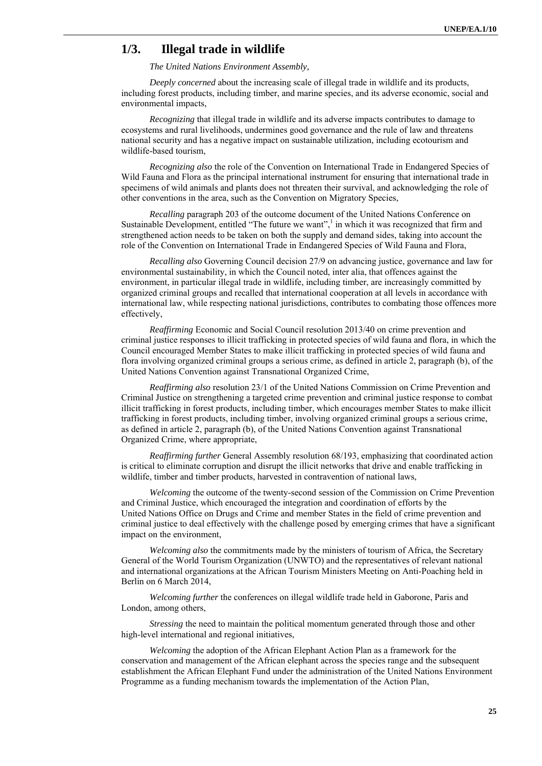## **1/3. Illegal trade in wildlife**

*The United Nations Environment Assembly,* 

*Deeply concerned* about the increasing scale of illegal trade in wildlife and its products, including forest products, including timber, and marine species, and its adverse economic, social and environmental impacts,

*Recognizing* that illegal trade in wildlife and its adverse impacts contributes to damage to ecosystems and rural livelihoods, undermines good governance and the rule of law and threatens national security and has a negative impact on sustainable utilization, including ecotourism and wildlife-based tourism,

*Recognizing also* the role of the Convention on International Trade in Endangered Species of Wild Fauna and Flora as the principal international instrument for ensuring that international trade in specimens of wild animals and plants does not threaten their survival, and acknowledging the role of other conventions in the area, such as the Convention on Migratory Species,

*Recalling* paragraph 203 of the outcome document of the United Nations Conference on Sustainable Development, entitled "The future we want",<sup>1</sup> in which it was recognized that firm and strengthened action needs to be taken on both the supply and demand sides, taking into account the role of the Convention on International Trade in Endangered Species of Wild Fauna and Flora,

*Recalling also* Governing Council decision 27/9 on advancing justice, governance and law for environmental sustainability, in which the Council noted, inter alia, that offences against the environment, in particular illegal trade in wildlife, including timber, are increasingly committed by organized criminal groups and recalled that international cooperation at all levels in accordance with international law, while respecting national jurisdictions, contributes to combating those offences more effectively,

*Reaffirming* Economic and Social Council resolution 2013/40 on crime prevention and criminal justice responses to illicit trafficking in protected species of wild fauna and flora, in which the Council encouraged Member States to make illicit trafficking in protected species of wild fauna and flora involving organized criminal groups a serious crime, as defined in article 2, paragraph (b), of the United Nations Convention against Transnational Organized Crime,

*Reaffirming also* resolution 23/1 of the United Nations Commission on Crime Prevention and Criminal Justice on strengthening a targeted crime prevention and criminal justice response to combat illicit trafficking in forest products, including timber, which encourages member States to make illicit trafficking in forest products, including timber, involving organized criminal groups a serious crime, as defined in article 2, paragraph (b), of the United Nations Convention against Transnational Organized Crime, where appropriate,

*Reaffirming further* General Assembly resolution 68/193, emphasizing that coordinated action is critical to eliminate corruption and disrupt the illicit networks that drive and enable trafficking in wildlife, timber and timber products, harvested in contravention of national laws,

*Welcoming* the outcome of the twenty-second session of the Commission on Crime Prevention and Criminal Justice, which encouraged the integration and coordination of efforts by the United Nations Office on Drugs and Crime and member States in the field of crime prevention and criminal justice to deal effectively with the challenge posed by emerging crimes that have a significant impact on the environment,

*Welcoming also* the commitments made by the ministers of tourism of Africa, the Secretary General of the World Tourism Organization (UNWTO) and the representatives of relevant national and international organizations at the African Tourism Ministers Meeting on Anti-Poaching held in Berlin on 6 March 2014,

*Welcoming further* the conferences on illegal wildlife trade held in Gaborone, Paris and London, among others,

*Stressing* the need to maintain the political momentum generated through those and other high-level international and regional initiatives,

*Welcoming* the adoption of the African Elephant Action Plan as a framework for the conservation and management of the African elephant across the species range and the subsequent establishment the African Elephant Fund under the administration of the United Nations Environment Programme as a funding mechanism towards the implementation of the Action Plan,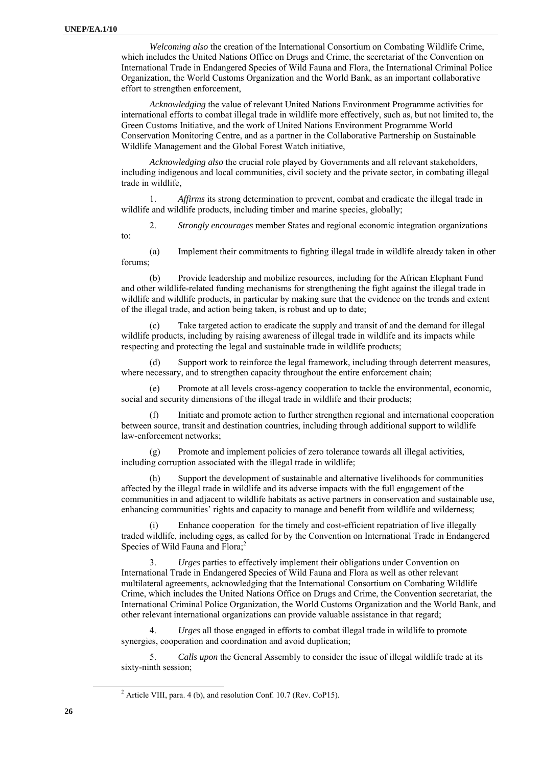*Welcoming also* the creation of the International Consortium on Combating Wildlife Crime, which includes the United Nations Office on Drugs and Crime, the secretariat of the Convention on International Trade in Endangered Species of Wild Fauna and Flora, the International Criminal Police Organization, the World Customs Organization and the World Bank, as an important collaborative effort to strengthen enforcement,

*Acknowledging* the value of relevant United Nations Environment Programme activities for international efforts to combat illegal trade in wildlife more effectively, such as, but not limited to, the Green Customs Initiative, and the work of United Nations Environment Programme World Conservation Monitoring Centre, and as a partner in the Collaborative Partnership on Sustainable Wildlife Management and the Global Forest Watch initiative,

*Acknowledging also* the crucial role played by Governments and all relevant stakeholders, including indigenous and local communities, civil society and the private sector, in combating illegal trade in wildlife,

1. *Affirms* its strong determination to prevent, combat and eradicate the illegal trade in wildlife and wildlife products, including timber and marine species, globally;

2. *Strongly encourages* member States and regional economic integration organizations to:

(a) Implement their commitments to fighting illegal trade in wildlife already taken in other forums;

(b) Provide leadership and mobilize resources, including for the African Elephant Fund and other wildlife-related funding mechanisms for strengthening the fight against the illegal trade in wildlife and wildlife products, in particular by making sure that the evidence on the trends and extent of the illegal trade, and action being taken, is robust and up to date;

Take targeted action to eradicate the supply and transit of and the demand for illegal wildlife products, including by raising awareness of illegal trade in wildlife and its impacts while respecting and protecting the legal and sustainable trade in wildlife products;

(d) Support work to reinforce the legal framework, including through deterrent measures, where necessary, and to strengthen capacity throughout the entire enforcement chain;

(e) Promote at all levels cross-agency cooperation to tackle the environmental, economic, social and security dimensions of the illegal trade in wildlife and their products;

(f) Initiate and promote action to further strengthen regional and international cooperation between source, transit and destination countries, including through additional support to wildlife law-enforcement networks;

(g) Promote and implement policies of zero tolerance towards all illegal activities, including corruption associated with the illegal trade in wildlife;

(h) Support the development of sustainable and alternative livelihoods for communities affected by the illegal trade in wildlife and its adverse impacts with the full engagement of the communities in and adjacent to wildlife habitats as active partners in conservation and sustainable use, enhancing communities' rights and capacity to manage and benefit from wildlife and wilderness;

Enhance cooperation for the timely and cost-efficient repatriation of live illegally traded wildlife, including eggs, as called for by the Convention on International Trade in Endangered Species of Wild Fauna and Flora;<sup>2</sup>

3. *Urges* parties to effectively implement their obligations under Convention on International Trade in Endangered Species of Wild Fauna and Flora as well as other relevant multilateral agreements, acknowledging that the International Consortium on Combating Wildlife Crime, which includes the United Nations Office on Drugs and Crime, the Convention secretariat, the International Criminal Police Organization, the World Customs Organization and the World Bank, and other relevant international organizations can provide valuable assistance in that regard;

4. *Urges* all those engaged in efforts to combat illegal trade in wildlife to promote synergies, cooperation and coordination and avoid duplication;

5. *Calls upon* the General Assembly to consider the issue of illegal wildlife trade at its sixty-ninth session;

 $\overline{\phantom{a}}$  2  $^2$  Article VIII, para. 4 (b), and resolution Conf. 10.7 (Rev. CoP15).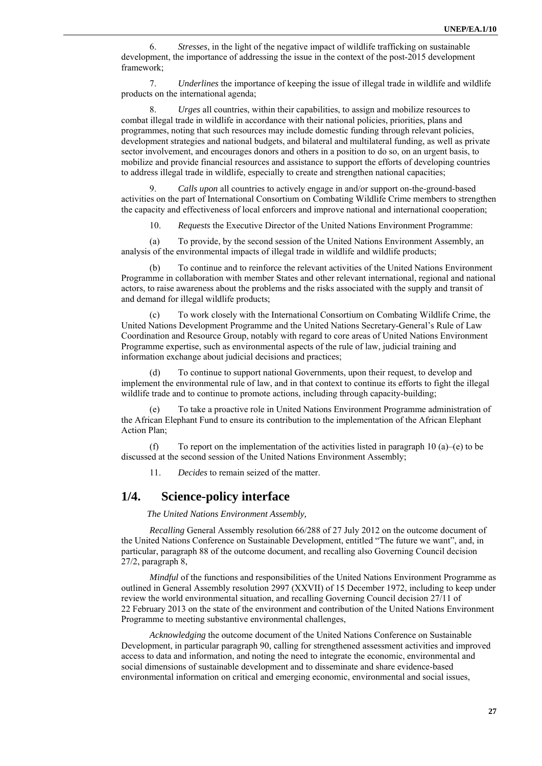6. *Stresses*, in the light of the negative impact of wildlife trafficking on sustainable development, the importance of addressing the issue in the context of the post-2015 development framework;

7. *Underlines* the importance of keeping the issue of illegal trade in wildlife and wildlife products on the international agenda;

8. *Urges* all countries, within their capabilities, to assign and mobilize resources to combat illegal trade in wildlife in accordance with their national policies, priorities, plans and programmes, noting that such resources may include domestic funding through relevant policies, development strategies and national budgets, and bilateral and multilateral funding, as well as private sector involvement, and encourages donors and others in a position to do so, on an urgent basis, to mobilize and provide financial resources and assistance to support the efforts of developing countries to address illegal trade in wildlife, especially to create and strengthen national capacities;

9. *Calls upon* all countries to actively engage in and/or support on-the-ground-based activities on the part of International Consortium on Combating Wildlife Crime members to strengthen the capacity and effectiveness of local enforcers and improve national and international cooperation;

10. *Requests* the Executive Director of the United Nations Environment Programme:

(a) To provide, by the second session of the United Nations Environment Assembly, an analysis of the environmental impacts of illegal trade in wildlife and wildlife products;

(b) To continue and to reinforce the relevant activities of the United Nations Environment Programme in collaboration with member States and other relevant international, regional and national actors, to raise awareness about the problems and the risks associated with the supply and transit of and demand for illegal wildlife products;

(c) To work closely with the International Consortium on Combating Wildlife Crime, the United Nations Development Programme and the United Nations Secretary-General's Rule of Law Coordination and Resource Group, notably with regard to core areas of United Nations Environment Programme expertise, such as environmental aspects of the rule of law, judicial training and information exchange about judicial decisions and practices;

(d) To continue to support national Governments, upon their request, to develop and implement the environmental rule of law, and in that context to continue its efforts to fight the illegal wildlife trade and to continue to promote actions, including through capacity-building;

(e) To take a proactive role in United Nations Environment Programme administration of the African Elephant Fund to ensure its contribution to the implementation of the African Elephant Action Plan;

(f) To report on the implementation of the activities listed in paragraph 10 (a)–(e) to be discussed at the second session of the United Nations Environment Assembly;

11. *Decides* to remain seized of the matter.

## **1/4. Science-policy interface**

*The United Nations Environment Assembly,* 

*Recalling* General Assembly resolution 66/288 of 27 July 2012 on the outcome document of the United Nations Conference on Sustainable Development, entitled "The future we want", and, in particular, paragraph 88 of the outcome document, and recalling also Governing Council decision 27/2, paragraph 8,

*Mindful* of the functions and responsibilities of the United Nations Environment Programme as outlined in General Assembly resolution 2997 (XXVII) of 15 December 1972, including to keep under review the world environmental situation, and recalling Governing Council decision 27/11 of 22 February 2013 on the state of the environment and contribution of the United Nations Environment Programme to meeting substantive environmental challenges,

*Acknowledging* the outcome document of the United Nations Conference on Sustainable Development, in particular paragraph 90, calling for strengthened assessment activities and improved access to data and information, and noting the need to integrate the economic, environmental and social dimensions of sustainable development and to disseminate and share evidence-based environmental information on critical and emerging economic, environmental and social issues,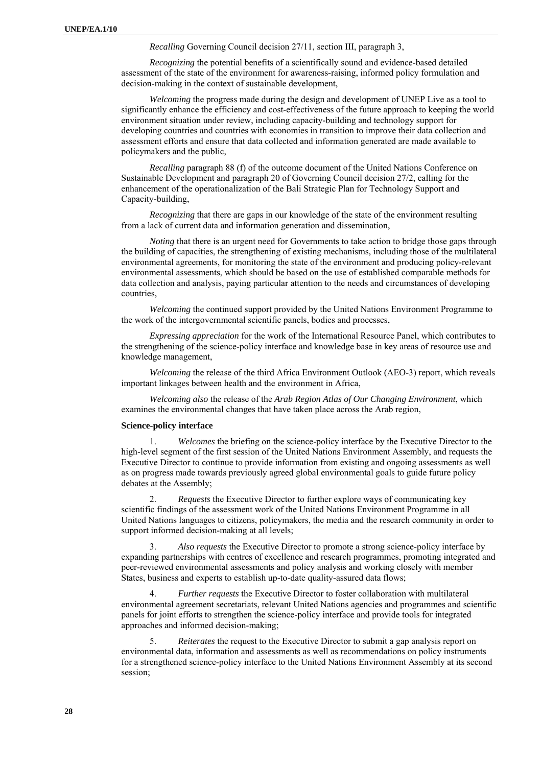*Recalling* Governing Council decision 27/11, section III, paragraph 3,

*Recognizing* the potential benefits of a scientifically sound and evidence-based detailed assessment of the state of the environment for awareness-raising, informed policy formulation and decision-making in the context of sustainable development,

*Welcoming* the progress made during the design and development of UNEP Live as a tool to significantly enhance the efficiency and cost-effectiveness of the future approach to keeping the world environment situation under review, including capacity-building and technology support for developing countries and countries with economies in transition to improve their data collection and assessment efforts and ensure that data collected and information generated are made available to policymakers and the public,

*Recalling* paragraph 88 (f) of the outcome document of the United Nations Conference on Sustainable Development and paragraph 20 of Governing Council decision 27/2, calling for the enhancement of the operationalization of the Bali Strategic Plan for Technology Support and Capacity-building,

*Recognizing* that there are gaps in our knowledge of the state of the environment resulting from a lack of current data and information generation and dissemination,

*Noting* that there is an urgent need for Governments to take action to bridge those gaps through the building of capacities, the strengthening of existing mechanisms, including those of the multilateral environmental agreements, for monitoring the state of the environment and producing policy-relevant environmental assessments, which should be based on the use of established comparable methods for data collection and analysis, paying particular attention to the needs and circumstances of developing countries,

*Welcoming* the continued support provided by the United Nations Environment Programme to the work of the intergovernmental scientific panels, bodies and processes,

*Expressing appreciation* for the work of the International Resource Panel, which contributes to the strengthening of the science-policy interface and knowledge base in key areas of resource use and knowledge management,

*Welcoming* the release of the third Africa Environment Outlook (AEO-3) report, which reveals important linkages between health and the environment in Africa,

*Welcoming also* the release of the *Arab Region Atlas of Our Changing Environment*, which examines the environmental changes that have taken place across the Arab region,

#### **Science-policy interface**

1. *Welcomes* the briefing on the science-policy interface by the Executive Director to the high-level segment of the first session of the United Nations Environment Assembly, and requests the Executive Director to continue to provide information from existing and ongoing assessments as well as on progress made towards previously agreed global environmental goals to guide future policy debates at the Assembly;

2. *Requests* the Executive Director to further explore ways of communicating key scientific findings of the assessment work of the United Nations Environment Programme in all United Nations languages to citizens, policymakers, the media and the research community in order to support informed decision-making at all levels;

3. *Also requests* the Executive Director to promote a strong science-policy interface by expanding partnerships with centres of excellence and research programmes, promoting integrated and peer-reviewed environmental assessments and policy analysis and working closely with member States, business and experts to establish up-to-date quality-assured data flows;

4. *Further requests* the Executive Director to foster collaboration with multilateral environmental agreement secretariats, relevant United Nations agencies and programmes and scientific panels for joint efforts to strengthen the science-policy interface and provide tools for integrated approaches and informed decision-making;

5. *Reiterates* the request to the Executive Director to submit a gap analysis report on environmental data, information and assessments as well as recommendations on policy instruments for a strengthened science-policy interface to the United Nations Environment Assembly at its second session;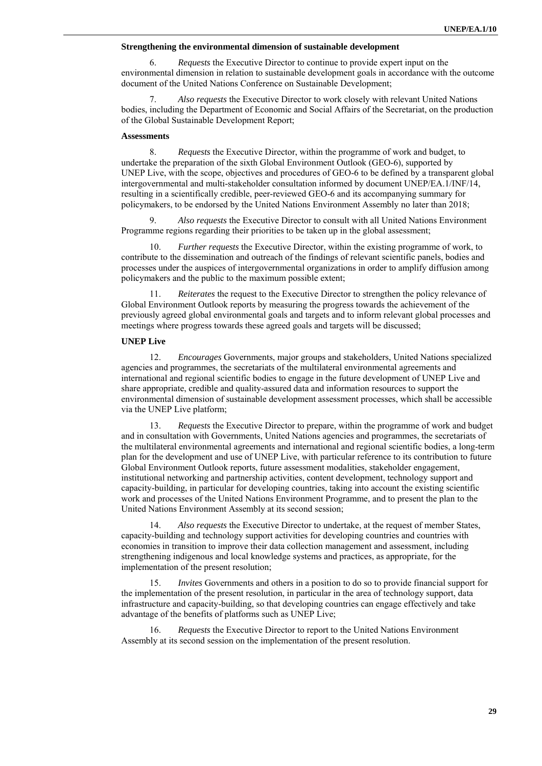### **Strengthening the environmental dimension of sustainable development**

6. *Requests* the Executive Director to continue to provide expert input on the environmental dimension in relation to sustainable development goals in accordance with the outcome document of the United Nations Conference on Sustainable Development;

Also requests the Executive Director to work closely with relevant United Nations bodies, including the Department of Economic and Social Affairs of the Secretariat, on the production of the Global Sustainable Development Report;

### **Assessments**

8. *Requests* the Executive Director, within the programme of work and budget, to undertake the preparation of the sixth Global Environment Outlook (GEO-6), supported by UNEP Live, with the scope, objectives and procedures of GEO-6 to be defined by a transparent global intergovernmental and multi-stakeholder consultation informed by document UNEP/EA.1/INF/14, resulting in a scientifically credible, peer-reviewed GEO-6 and its accompanying summary for policymakers, to be endorsed by the United Nations Environment Assembly no later than 2018;

9. *Also requests* the Executive Director to consult with all United Nations Environment Programme regions regarding their priorities to be taken up in the global assessment;

10. *Further requests* the Executive Director, within the existing programme of work, to contribute to the dissemination and outreach of the findings of relevant scientific panels, bodies and processes under the auspices of intergovernmental organizations in order to amplify diffusion among policymakers and the public to the maximum possible extent;

11. *Reiterates* the request to the Executive Director to strengthen the policy relevance of Global Environment Outlook reports by measuring the progress towards the achievement of the previously agreed global environmental goals and targets and to inform relevant global processes and meetings where progress towards these agreed goals and targets will be discussed;

#### **UNEP Live**

12. *Encourages* Governments, major groups and stakeholders, United Nations specialized agencies and programmes, the secretariats of the multilateral environmental agreements and international and regional scientific bodies to engage in the future development of UNEP Live and share appropriate, credible and quality-assured data and information resources to support the environmental dimension of sustainable development assessment processes, which shall be accessible via the UNEP Live platform;

13. *Requests* the Executive Director to prepare, within the programme of work and budget and in consultation with Governments, United Nations agencies and programmes, the secretariats of the multilateral environmental agreements and international and regional scientific bodies, a long-term plan for the development and use of UNEP Live, with particular reference to its contribution to future Global Environment Outlook reports, future assessment modalities, stakeholder engagement, institutional networking and partnership activities, content development, technology support and capacity-building, in particular for developing countries, taking into account the existing scientific work and processes of the United Nations Environment Programme, and to present the plan to the United Nations Environment Assembly at its second session;

14. *Also requests* the Executive Director to undertake, at the request of member States, capacity-building and technology support activities for developing countries and countries with economies in transition to improve their data collection management and assessment, including strengthening indigenous and local knowledge systems and practices, as appropriate, for the implementation of the present resolution;

15. *Invites* Governments and others in a position to do so to provide financial support for the implementation of the present resolution, in particular in the area of technology support, data infrastructure and capacity-building, so that developing countries can engage effectively and take advantage of the benefits of platforms such as UNEP Live;

16. *Requests* the Executive Director to report to the United Nations Environment Assembly at its second session on the implementation of the present resolution.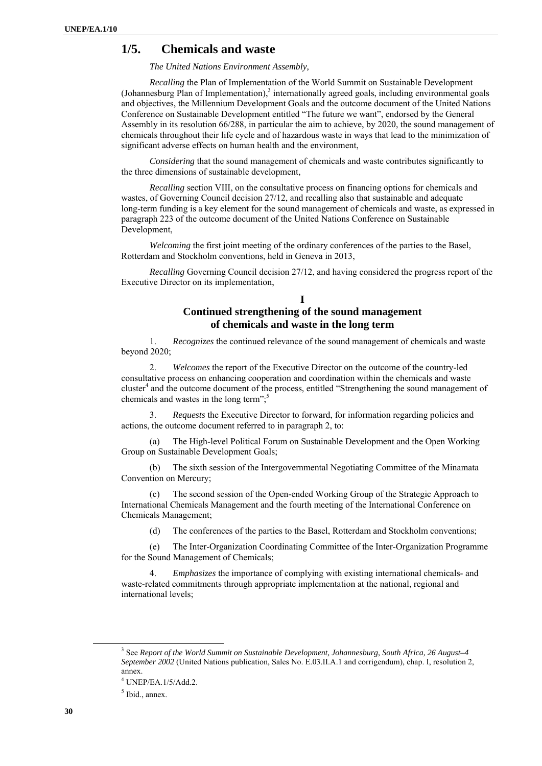## **1/5. Chemicals and waste**

*The United Nations Environment Assembly,* 

*Recalling* the Plan of Implementation of the World Summit on Sustainable Development  $(Johnnessburg$  Plan of Implementation), $3$  internationally agreed goals, including environmental goals and objectives, the Millennium Development Goals and the outcome document of the United Nations Conference on Sustainable Development entitled "The future we want", endorsed by the General Assembly in its resolution 66/288, in particular the aim to achieve, by 2020, the sound management of chemicals throughout their life cycle and of hazardous waste in ways that lead to the minimization of significant adverse effects on human health and the environment,

*Considering* that the sound management of chemicals and waste contributes significantly to the three dimensions of sustainable development,

*Recalling* section VIII, on the consultative process on financing options for chemicals and wastes, of Governing Council decision 27/12, and recalling also that sustainable and adequate long-term funding is a key element for the sound management of chemicals and waste, as expressed in paragraph 223 of the outcome document of the United Nations Conference on Sustainable Development,

*Welcoming* the first joint meeting of the ordinary conferences of the parties to the Basel, Rotterdam and Stockholm conventions, held in Geneva in 2013,

*Recalling* Governing Council decision 27/12, and having considered the progress report of the Executive Director on its implementation,

# **Continued strengthening of the sound management of chemicals and waste in the long term**

**I** 

1. *Recognizes* the continued relevance of the sound management of chemicals and waste beyond 2020;

2. *Welcomes* the report of the Executive Director on the outcome of the country-led consultative process on enhancing cooperation and coordination within the chemicals and waste cluster<sup>4</sup> and the outcome document of the process, entitled "Strengthening the sound management of chemicals and wastes in the long term";<sup>5</sup>

3. *Requests* the Executive Director to forward, for information regarding policies and actions, the outcome document referred to in paragraph 2, to:

(a) The High-level Political Forum on Sustainable Development and the Open Working Group on Sustainable Development Goals;

(b) The sixth session of the Intergovernmental Negotiating Committee of the Minamata Convention on Mercury;

(c) The second session of the Open-ended Working Group of the Strategic Approach to International Chemicals Management and the fourth meeting of the International Conference on Chemicals Management;

(d) The conferences of the parties to the Basel, Rotterdam and Stockholm conventions;

(e) The Inter-Organization Coordinating Committee of the Inter-Organization Programme for the Sound Management of Chemicals;

4. *Emphasizes* the importance of complying with existing international chemicals- and waste-related commitments through appropriate implementation at the national, regional and international levels;

 $\frac{3}{3}$  See *Report of the World Summit on Sustainable Development, Johannesburg, South Africa, 26 August–4 September 2002* (United Nations publication, Sales No. E.03.II.A.1 and corrigendum), chap. I, resolution 2, annex.

<sup>4</sup> UNEP/EA.1/5/Add.2.

 $<sup>5</sup>$  Ibid., annex.</sup>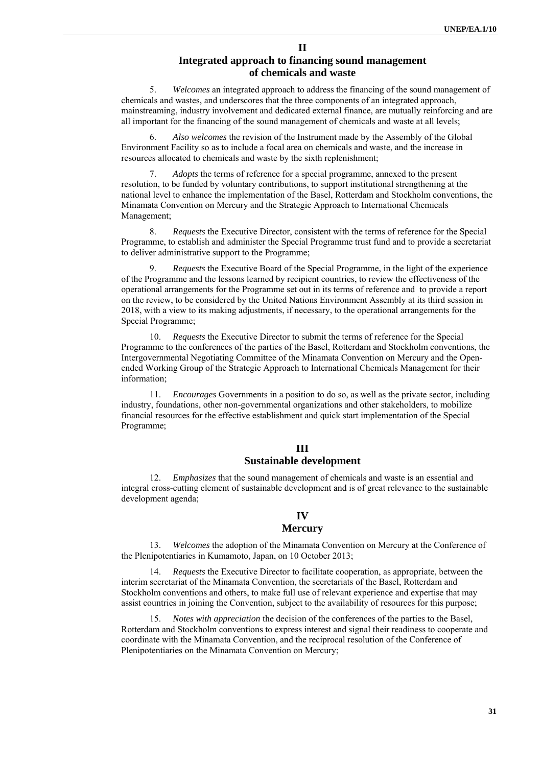## **Integrated approach to financing sound management of chemicals and waste**

**II** 

5. *Welcomes* an integrated approach to address the financing of the sound management of chemicals and wastes, and underscores that the three components of an integrated approach, mainstreaming, industry involvement and dedicated external finance, are mutually reinforcing and are all important for the financing of the sound management of chemicals and waste at all levels;

6. *Also welcomes* the revision of the Instrument made by the Assembly of the Global Environment Facility so as to include a focal area on chemicals and waste, and the increase in resources allocated to chemicals and waste by the sixth replenishment;

7. *Adopts* the terms of reference for a special programme, annexed to the present resolution, to be funded by voluntary contributions, to support institutional strengthening at the national level to enhance the implementation of the Basel, Rotterdam and Stockholm conventions, the Minamata Convention on Mercury and the Strategic Approach to International Chemicals Management;

8. *Requests* the Executive Director, consistent with the terms of reference for the Special Programme, to establish and administer the Special Programme trust fund and to provide a secretariat to deliver administrative support to the Programme;

9. *Requests* the Executive Board of the Special Programme, in the light of the experience of the Programme and the lessons learned by recipient countries, to review the effectiveness of the operational arrangements for the Programme set out in its terms of reference and to provide a report on the review, to be considered by the United Nations Environment Assembly at its third session in 2018, with a view to its making adjustments, if necessary, to the operational arrangements for the Special Programme;

10. *Requests* the Executive Director to submit the terms of reference for the Special Programme to the conferences of the parties of the Basel, Rotterdam and Stockholm conventions, the Intergovernmental Negotiating Committee of the Minamata Convention on Mercury and the Openended Working Group of the Strategic Approach to International Chemicals Management for their information;

11. *Encourages* Governments in a position to do so, as well as the private sector, including industry, foundations, other non-governmental organizations and other stakeholders, to mobilize financial resources for the effective establishment and quick start implementation of the Special Programme;

### **III Sustainable development**

12. *Emphasizes* that the sound management of chemicals and waste is an essential and integral cross-cutting element of sustainable development and is of great relevance to the sustainable development agenda;

#### **IV**

### **Mercury**

13. *Welcomes* the adoption of the Minamata Convention on Mercury at the Conference of the Plenipotentiaries in Kumamoto, Japan, on 10 October 2013;

14. *Requests* the Executive Director to facilitate cooperation, as appropriate, between the interim secretariat of the Minamata Convention, the secretariats of the Basel, Rotterdam and Stockholm conventions and others, to make full use of relevant experience and expertise that may assist countries in joining the Convention, subject to the availability of resources for this purpose;

15. *Notes with appreciation* the decision of the conferences of the parties to the Basel, Rotterdam and Stockholm conventions to express interest and signal their readiness to cooperate and coordinate with the Minamata Convention, and the reciprocal resolution of the Conference of Plenipotentiaries on the Minamata Convention on Mercury;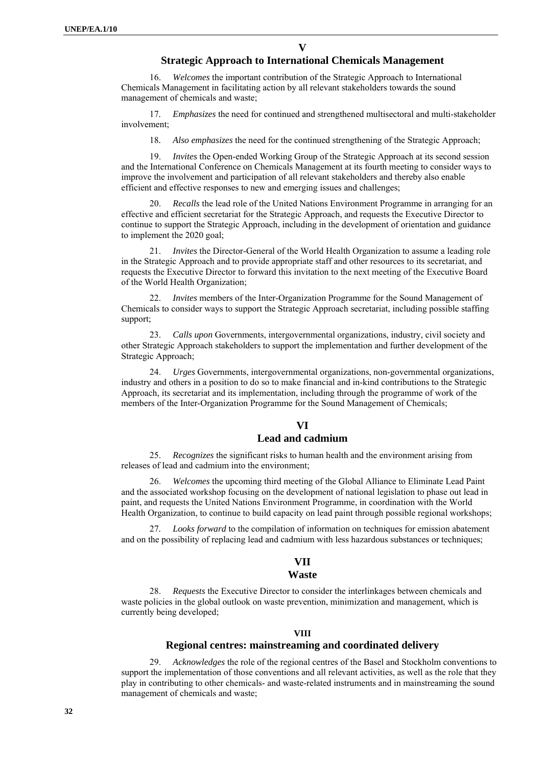**V** 

### **Strategic Approach to International Chemicals Management**

16. *Welcomes* the important contribution of the Strategic Approach to International Chemicals Management in facilitating action by all relevant stakeholders towards the sound management of chemicals and waste;

17*. Emphasizes* the need for continued and strengthened multisectoral and multi-stakeholder involvement;

18*. Also emphasizes* the need for the continued strengthening of the Strategic Approach;

19. *Invites* the Open-ended Working Group of the Strategic Approach at its second session and the International Conference on Chemicals Management at its fourth meeting to consider ways to improve the involvement and participation of all relevant stakeholders and thereby also enable efficient and effective responses to new and emerging issues and challenges;

*Recalls* the lead role of the United Nations Environment Programme in arranging for an effective and efficient secretariat for the Strategic Approach, and requests the Executive Director to continue to support the Strategic Approach, including in the development of orientation and guidance to implement the 2020 goal;

21. *Invites* the Director-General of the World Health Organization to assume a leading role in the Strategic Approach and to provide appropriate staff and other resources to its secretariat, and requests the Executive Director to forward this invitation to the next meeting of the Executive Board of the World Health Organization;

22. *Invites* members of the Inter-Organization Programme for the Sound Management of Chemicals to consider ways to support the Strategic Approach secretariat, including possible staffing support;

23. *Calls upon* Governments, intergovernmental organizations, industry, civil society and other Strategic Approach stakeholders to support the implementation and further development of the Strategic Approach;

24. *Urges* Governments, intergovernmental organizations, non-governmental organizations, industry and others in a position to do so to make financial and in-kind contributions to the Strategic Approach, its secretariat and its implementation, including through the programme of work of the members of the Inter-Organization Programme for the Sound Management of Chemicals;

## **VI**

## **Lead and cadmium**

25. *Recognizes* the significant risks to human health and the environment arising from releases of lead and cadmium into the environment;

26. *Welcomes* the upcoming third meeting of the Global Alliance to Eliminate Lead Paint and the associated workshop focusing on the development of national legislation to phase out lead in paint, and requests the United Nations Environment Programme, in coordination with the World Health Organization, to continue to build capacity on lead paint through possible regional workshops;

27*. Looks forward* to the compilation of information on techniques for emission abatement and on the possibility of replacing lead and cadmium with less hazardous substances or techniques;

### **VII**

### **Waste**

28. *Requests* the Executive Director to consider the interlinkages between chemicals and waste policies in the global outlook on waste prevention, minimization and management, which is currently being developed;

### **VIII**

### **Regional centres: mainstreaming and coordinated delivery**

29. *Acknowledges* the role of the regional centres of the Basel and Stockholm conventions to support the implementation of those conventions and all relevant activities, as well as the role that they play in contributing to other chemicals- and waste-related instruments and in mainstreaming the sound management of chemicals and waste;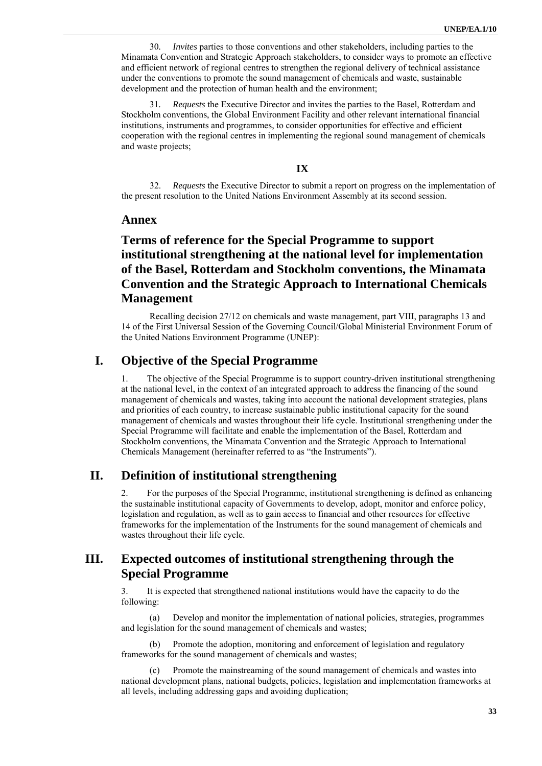30*. Invites* parties to those conventions and other stakeholders, including parties to the Minamata Convention and Strategic Approach stakeholders, to consider ways to promote an effective and efficient network of regional centres to strengthen the regional delivery of technical assistance under the conventions to promote the sound management of chemicals and waste, sustainable development and the protection of human health and the environment;

31*. Requests* the Executive Director and invites the parties to the Basel, Rotterdam and Stockholm conventions, the Global Environment Facility and other relevant international financial institutions, instruments and programmes, to consider opportunities for effective and efficient cooperation with the regional centres in implementing the regional sound management of chemicals and waste projects;

### **IX**

32. *Requests* the Executive Director to submit a report on progress on the implementation of the present resolution to the United Nations Environment Assembly at its second session.

### **Annex**

# **Terms of reference for the Special Programme to support institutional strengthening at the national level for implementation of the Basel, Rotterdam and Stockholm conventions, the Minamata Convention and the Strategic Approach to International Chemicals Management**

Recalling decision 27/12 on chemicals and waste management, part VIII, paragraphs 13 and 14 of the First Universal Session of the Governing Council/Global Ministerial Environment Forum of the United Nations Environment Programme (UNEP):

## **I. Objective of the Special Programme**

1. The objective of the Special Programme is to support country-driven institutional strengthening at the national level, in the context of an integrated approach to address the financing of the sound management of chemicals and wastes, taking into account the national development strategies, plans and priorities of each country, to increase sustainable public institutional capacity for the sound management of chemicals and wastes throughout their life cycle. Institutional strengthening under the Special Programme will facilitate and enable the implementation of the Basel, Rotterdam and Stockholm conventions, the Minamata Convention and the Strategic Approach to International Chemicals Management (hereinafter referred to as "the Instruments").

# **II. Definition of institutional strengthening**

2. For the purposes of the Special Programme, institutional strengthening is defined as enhancing the sustainable institutional capacity of Governments to develop, adopt, monitor and enforce policy, legislation and regulation, as well as to gain access to financial and other resources for effective frameworks for the implementation of the Instruments for the sound management of chemicals and wastes throughout their life cycle.

## **III. Expected outcomes of institutional strengthening through the Special Programme**

3. It is expected that strengthened national institutions would have the capacity to do the following:

(a) Develop and monitor the implementation of national policies, strategies, programmes and legislation for the sound management of chemicals and wastes;

(b) Promote the adoption, monitoring and enforcement of legislation and regulatory frameworks for the sound management of chemicals and wastes;

(c) Promote the mainstreaming of the sound management of chemicals and wastes into national development plans, national budgets, policies, legislation and implementation frameworks at all levels, including addressing gaps and avoiding duplication;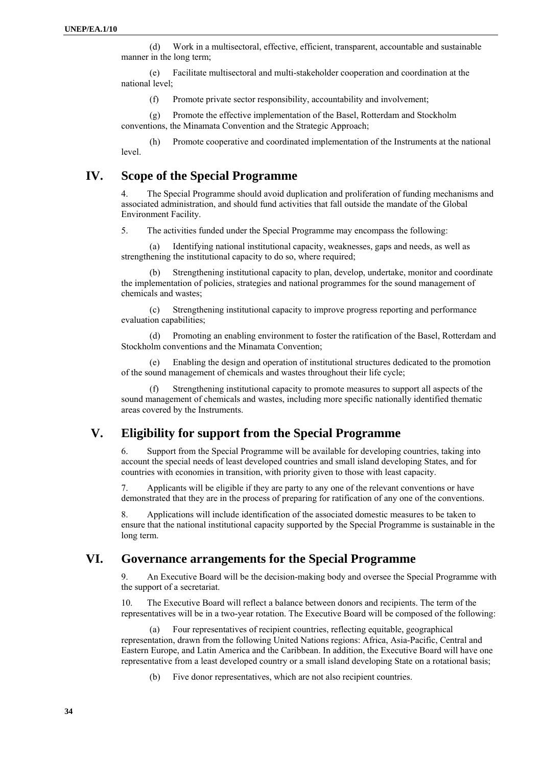(d) Work in a multisectoral, effective, efficient, transparent, accountable and sustainable manner in the long term;

(e) Facilitate multisectoral and multi-stakeholder cooperation and coordination at the national level;

(f) Promote private sector responsibility, accountability and involvement;

(g) Promote the effective implementation of the Basel, Rotterdam and Stockholm conventions, the Minamata Convention and the Strategic Approach;

(h) Promote cooperative and coordinated implementation of the Instruments at the national level.

## **IV. Scope of the Special Programme**

4. The Special Programme should avoid duplication and proliferation of funding mechanisms and associated administration, and should fund activities that fall outside the mandate of the Global Environment Facility.

5. The activities funded under the Special Programme may encompass the following:

(a) Identifying national institutional capacity, weaknesses, gaps and needs, as well as strengthening the institutional capacity to do so, where required;

Strengthening institutional capacity to plan, develop, undertake, monitor and coordinate the implementation of policies, strategies and national programmes for the sound management of chemicals and wastes;

(c) Strengthening institutional capacity to improve progress reporting and performance evaluation capabilities;

(d) Promoting an enabling environment to foster the ratification of the Basel, Rotterdam and Stockholm conventions and the Minamata Convention;

(e) Enabling the design and operation of institutional structures dedicated to the promotion of the sound management of chemicals and wastes throughout their life cycle;

(f) Strengthening institutional capacity to promote measures to support all aspects of the sound management of chemicals and wastes, including more specific nationally identified thematic areas covered by the Instruments.

# **V. Eligibility for support from the Special Programme**

6. Support from the Special Programme will be available for developing countries, taking into account the special needs of least developed countries and small island developing States, and for countries with economies in transition, with priority given to those with least capacity.

7. Applicants will be eligible if they are party to any one of the relevant conventions or have demonstrated that they are in the process of preparing for ratification of any one of the conventions.

8. Applications will include identification of the associated domestic measures to be taken to ensure that the national institutional capacity supported by the Special Programme is sustainable in the long term.

## **VI. Governance arrangements for the Special Programme**

9. An Executive Board will be the decision-making body and oversee the Special Programme with the support of a secretariat.

10. The Executive Board will reflect a balance between donors and recipients. The term of the representatives will be in a two-year rotation. The Executive Board will be composed of the following:

(a) Four representatives of recipient countries, reflecting equitable, geographical representation, drawn from the following United Nations regions: Africa, Asia-Pacific, Central and Eastern Europe, and Latin America and the Caribbean. In addition, the Executive Board will have one representative from a least developed country or a small island developing State on a rotational basis;

(b) Five donor representatives, which are not also recipient countries.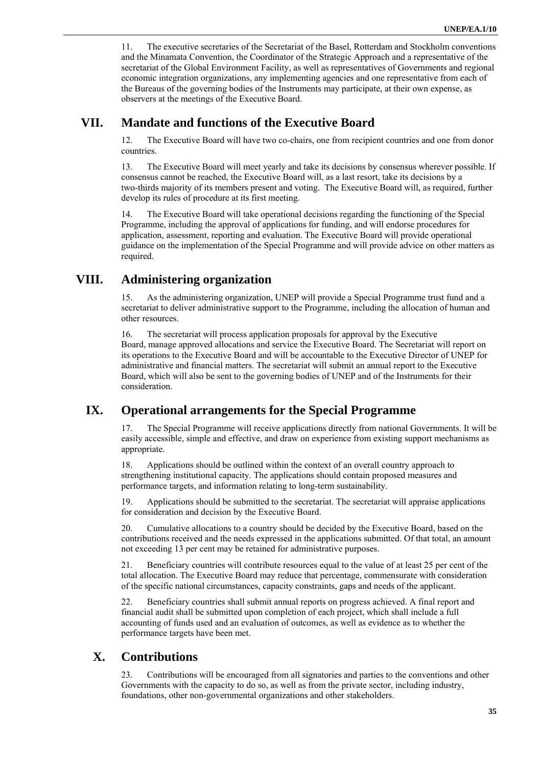11. The executive secretaries of the Secretariat of the Basel, Rotterdam and Stockholm conventions and the Minamata Convention, the Coordinator of the Strategic Approach and a representative of the secretariat of the Global Environment Facility, as well as representatives of Governments and regional economic integration organizations, any implementing agencies and one representative from each of the Bureaus of the governing bodies of the Instruments may participate, at their own expense, as observers at the meetings of the Executive Board.

# **VII. Mandate and functions of the Executive Board**

12. The Executive Board will have two co-chairs, one from recipient countries and one from donor countries.

13. The Executive Board will meet yearly and take its decisions by consensus wherever possible. If consensus cannot be reached, the Executive Board will, as a last resort, take its decisions by a two-thirds majority of its members present and voting. The Executive Board will, as required, further develop its rules of procedure at its first meeting.

14. The Executive Board will take operational decisions regarding the functioning of the Special Programme, including the approval of applications for funding, and will endorse procedures for application, assessment, reporting and evaluation. The Executive Board will provide operational guidance on the implementation of the Special Programme and will provide advice on other matters as required.

# **VIII. Administering organization**

15. As the administering organization, UNEP will provide a Special Programme trust fund and a secretariat to deliver administrative support to the Programme, including the allocation of human and other resources.

16. The secretariat will process application proposals for approval by the Executive Board, manage approved allocations and service the Executive Board. The Secretariat will report on its operations to the Executive Board and will be accountable to the Executive Director of UNEP for administrative and financial matters. The secretariat will submit an annual report to the Executive Board, which will also be sent to the governing bodies of UNEP and of the Instruments for their consideration.

# **IX. Operational arrangements for the Special Programme**

17. The Special Programme will receive applications directly from national Governments. It will be easily accessible, simple and effective, and draw on experience from existing support mechanisms as appropriate.

18. Applications should be outlined within the context of an overall country approach to strengthening institutional capacity. The applications should contain proposed measures and performance targets, and information relating to long-term sustainability.

19. Applications should be submitted to the secretariat. The secretariat will appraise applications for consideration and decision by the Executive Board.

20. Cumulative allocations to a country should be decided by the Executive Board, based on the contributions received and the needs expressed in the applications submitted. Of that total, an amount not exceeding 13 per cent may be retained for administrative purposes.

21. Beneficiary countries will contribute resources equal to the value of at least 25 per cent of the total allocation. The Executive Board may reduce that percentage, commensurate with consideration of the specific national circumstances, capacity constraints, gaps and needs of the applicant.

22. Beneficiary countries shall submit annual reports on progress achieved. A final report and financial audit shall be submitted upon completion of each project, which shall include a full accounting of funds used and an evaluation of outcomes, as well as evidence as to whether the performance targets have been met.

# **X. Contributions**

23. Contributions will be encouraged from all signatories and parties to the conventions and other Governments with the capacity to do so, as well as from the private sector, including industry, foundations, other non-governmental organizations and other stakeholders.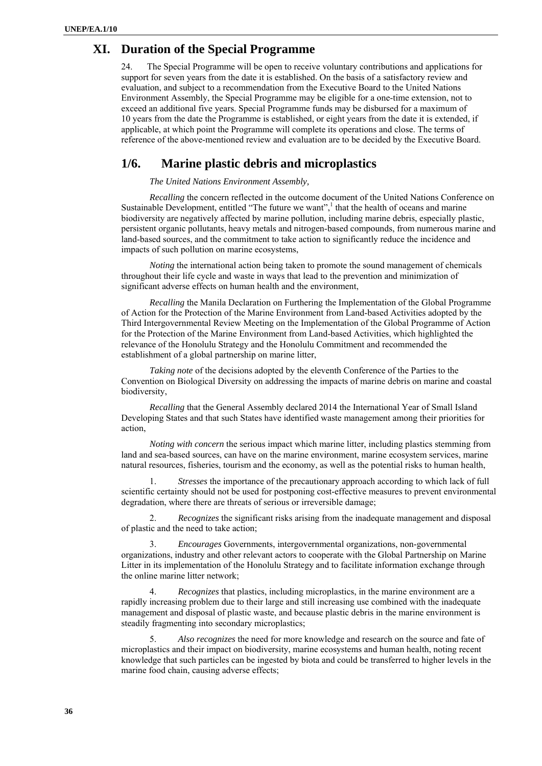## **XI. Duration of the Special Programme**

24. The Special Programme will be open to receive voluntary contributions and applications for support for seven years from the date it is established. On the basis of a satisfactory review and evaluation, and subject to a recommendation from the Executive Board to the United Nations Environment Assembly, the Special Programme may be eligible for a one-time extension, not to exceed an additional five years. Special Programme funds may be disbursed for a maximum of 10 years from the date the Programme is established, or eight years from the date it is extended, if applicable, at which point the Programme will complete its operations and close. The terms of reference of the above-mentioned review and evaluation are to be decided by the Executive Board.

## **1/6. Marine plastic debris and microplastics**

*The United Nations Environment Assembly,* 

*Recalling* the concern reflected in the outcome document of the United Nations Conference on Sustainable Development, entitled "The future we want",<sup>1</sup> that the health of oceans and marine biodiversity are negatively affected by marine pollution, including marine debris, especially plastic, persistent organic pollutants, heavy metals and nitrogen-based compounds, from numerous marine and land-based sources, and the commitment to take action to significantly reduce the incidence and impacts of such pollution on marine ecosystems,

*Noting* the international action being taken to promote the sound management of chemicals throughout their life cycle and waste in ways that lead to the prevention and minimization of significant adverse effects on human health and the environment,

*Recalling* the Manila Declaration on Furthering the Implementation of the Global Programme of Action for the Protection of the Marine Environment from Land-based Activities adopted by the Third Intergovernmental Review Meeting on the Implementation of the Global Programme of Action for the Protection of the Marine Environment from Land-based Activities, which highlighted the relevance of the Honolulu Strategy and the Honolulu Commitment and recommended the establishment of a global partnership on marine litter,

*Taking note* of the decisions adopted by the eleventh Conference of the Parties to the Convention on Biological Diversity on addressing the impacts of marine debris on marine and coastal biodiversity,

*Recalling* that the General Assembly declared 2014 the International Year of Small Island Developing States and that such States have identified waste management among their priorities for action,

*Noting with concern* the serious impact which marine litter, including plastics stemming from land and sea-based sources, can have on the marine environment, marine ecosystem services, marine natural resources, fisheries, tourism and the economy, as well as the potential risks to human health,

1. *Stresses* the importance of the precautionary approach according to which lack of full scientific certainty should not be used for postponing cost-effective measures to prevent environmental degradation, where there are threats of serious or irreversible damage;

2. *Recognizes* the significant risks arising from the inadequate management and disposal of plastic and the need to take action;

3. *Encourages* Governments, intergovernmental organizations, non-governmental organizations, industry and other relevant actors to cooperate with the Global Partnership on Marine Litter in its implementation of the Honolulu Strategy and to facilitate information exchange through the online marine litter network;

4. *Recognizes* that plastics, including microplastics, in the marine environment are a rapidly increasing problem due to their large and still increasing use combined with the inadequate management and disposal of plastic waste, and because plastic debris in the marine environment is steadily fragmenting into secondary microplastics;

5. *Also recognizes* the need for more knowledge and research on the source and fate of microplastics and their impact on biodiversity, marine ecosystems and human health, noting recent knowledge that such particles can be ingested by biota and could be transferred to higher levels in the marine food chain, causing adverse effects;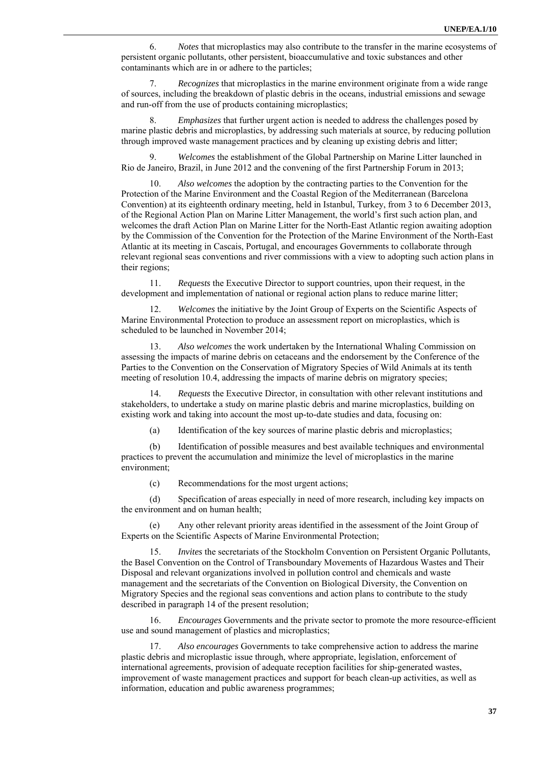6. *Notes* that microplastics may also contribute to the transfer in the marine ecosystems of persistent organic pollutants, other persistent, bioaccumulative and toxic substances and other contaminants which are in or adhere to the particles;

7. *Recognizes* that microplastics in the marine environment originate from a wide range of sources, including the breakdown of plastic debris in the oceans, industrial emissions and sewage and run-off from the use of products containing microplastics;

8. *Emphasizes* that further urgent action is needed to address the challenges posed by marine plastic debris and microplastics, by addressing such materials at source, by reducing pollution through improved waste management practices and by cleaning up existing debris and litter;

9. *Welcomes* the establishment of the Global Partnership on Marine Litter launched in Rio de Janeiro, Brazil, in June 2012 and the convening of the first Partnership Forum in 2013;

10. *Also welcomes* the adoption by the contracting parties to the Convention for the Protection of the Marine Environment and the Coastal Region of the Mediterranean (Barcelona Convention) at its eighteenth ordinary meeting, held in Istanbul, Turkey, from 3 to 6 December 2013, of the Regional Action Plan on Marine Litter Management, the world's first such action plan, and welcomes the draft Action Plan on Marine Litter for the North-East Atlantic region awaiting adoption by the Commission of the Convention for the Protection of the Marine Environment of the North-East Atlantic at its meeting in Cascais, Portugal, and encourages Governments to collaborate through relevant regional seas conventions and river commissions with a view to adopting such action plans in their regions;

11. *Requests* the Executive Director to support countries, upon their request, in the development and implementation of national or regional action plans to reduce marine litter;

12. *Welcomes* the initiative by the Joint Group of Experts on the Scientific Aspects of Marine Environmental Protection to produce an assessment report on microplastics, which is scheduled to be launched in November 2014;

13. *Also welcomes* the work undertaken by the International Whaling Commission on assessing the impacts of marine debris on cetaceans and the endorsement by the Conference of the Parties to the Convention on the Conservation of Migratory Species of Wild Animals at its tenth meeting of resolution 10.4, addressing the impacts of marine debris on migratory species;

14. *Requests* the Executive Director, in consultation with other relevant institutions and stakeholders, to undertake a study on marine plastic debris and marine microplastics, building on existing work and taking into account the most up-to-date studies and data, focusing on:

(a) Identification of the key sources of marine plastic debris and microplastics;

(b) Identification of possible measures and best available techniques and environmental practices to prevent the accumulation and minimize the level of microplastics in the marine environment;

(c) Recommendations for the most urgent actions;

(d) Specification of areas especially in need of more research, including key impacts on the environment and on human health;

Any other relevant priority areas identified in the assessment of the Joint Group of Experts on the Scientific Aspects of Marine Environmental Protection;

15. *Invites* the secretariats of the Stockholm Convention on Persistent Organic Pollutants, the Basel Convention on the Control of Transboundary Movements of Hazardous Wastes and Their Disposal and relevant organizations involved in pollution control and chemicals and waste management and the secretariats of the Convention on Biological Diversity, the Convention on Migratory Species and the regional seas conventions and action plans to contribute to the study described in paragraph 14 of the present resolution;

16. *Encourages* Governments and the private sector to promote the more resource-efficient use and sound management of plastics and microplastics;

17. *Also encourages* Governments to take comprehensive action to address the marine plastic debris and microplastic issue through, where appropriate, legislation, enforcement of international agreements, provision of adequate reception facilities for ship-generated wastes, improvement of waste management practices and support for beach clean-up activities, as well as information, education and public awareness programmes;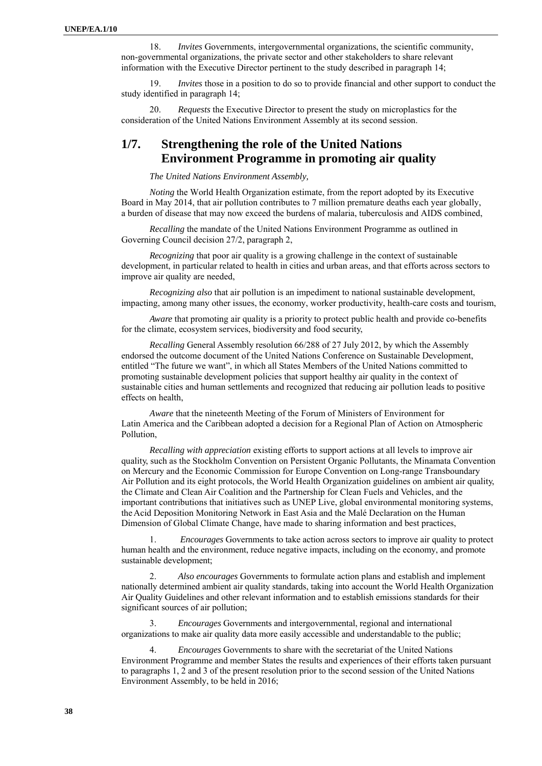18. *Invites* Governments, intergovernmental organizations, the scientific community, non-governmental organizations, the private sector and other stakeholders to share relevant information with the Executive Director pertinent to the study described in paragraph 14;

19. *Invites* those in a position to do so to provide financial and other support to conduct the study identified in paragraph 14;

20. *Requests* the Executive Director to present the study on microplastics for the consideration of the United Nations Environment Assembly at its second session.

## **1/7. Strengthening the role of the United Nations Environment Programme in promoting air quality**

*The United Nations Environment Assembly,* 

*Noting* the World Health Organization estimate, from the report adopted by its Executive Board in May 2014, that air pollution contributes to 7 million premature deaths each year globally, a burden of disease that may now exceed the burdens of malaria, tuberculosis and AIDS combined,

*Recalling* the mandate of the United Nations Environment Programme as outlined in Governing Council decision 27/2, paragraph 2,

*Recognizing* that poor air quality is a growing challenge in the context of sustainable development, in particular related to health in cities and urban areas, and that efforts across sectors to improve air quality are needed,

*Recognizing also* that air pollution is an impediment to national sustainable development, impacting, among many other issues, the economy, worker productivity, health-care costs and tourism,

*Aware* that promoting air quality is a priority to protect public health and provide co-benefits for the climate, ecosystem services, biodiversity and food security,

*Recalling* General Assembly resolution 66/288 of 27 July 2012, by which the Assembly endorsed the outcome document of the United Nations Conference on Sustainable Development, entitled "The future we want", in which all States Members of the United Nations committed to promoting sustainable development policies that support healthy air quality in the context of sustainable cities and human settlements and recognized that reducing air pollution leads to positive effects on health,

*Aware* that the nineteenth Meeting of the Forum of Ministers of Environment for Latin America and the Caribbean adopted a decision for a Regional Plan of Action on Atmospheric Pollution,

*Recalling with appreciation* existing efforts to support actions at all levels to improve air quality, such as the Stockholm Convention on Persistent Organic Pollutants, the Minamata Convention on Mercury and the Economic Commission for Europe Convention on Long-range Transboundary Air Pollution and its eight protocols, the World Health Organization guidelines on ambient air quality, the Climate and Clean Air Coalition and the Partnership for Clean Fuels and Vehicles, and the important contributions that initiatives such as UNEP Live, global environmental monitoring systems, the Acid Deposition Monitoring Network in East Asia and the Malé Declaration on the Human Dimension of Global Climate Change, have made to sharing information and best practices,

1. *Encourages* Governments to take action across sectors to improve air quality to protect human health and the environment, reduce negative impacts, including on the economy, and promote sustainable development;

2. *Also encourages* Governments to formulate action plans and establish and implement nationally determined ambient air quality standards, taking into account the World Health Organization Air Quality Guidelines and other relevant information and to establish emissions standards for their significant sources of air pollution;

3. *Encourages* Governments and intergovernmental, regional and international organizations to make air quality data more easily accessible and understandable to the public;

4. *Encourages* Governments to share with the secretariat of the United Nations Environment Programme and member States the results and experiences of their efforts taken pursuant to paragraphs 1, 2 and 3 of the present resolution prior to the second session of the United Nations Environment Assembly, to be held in 2016;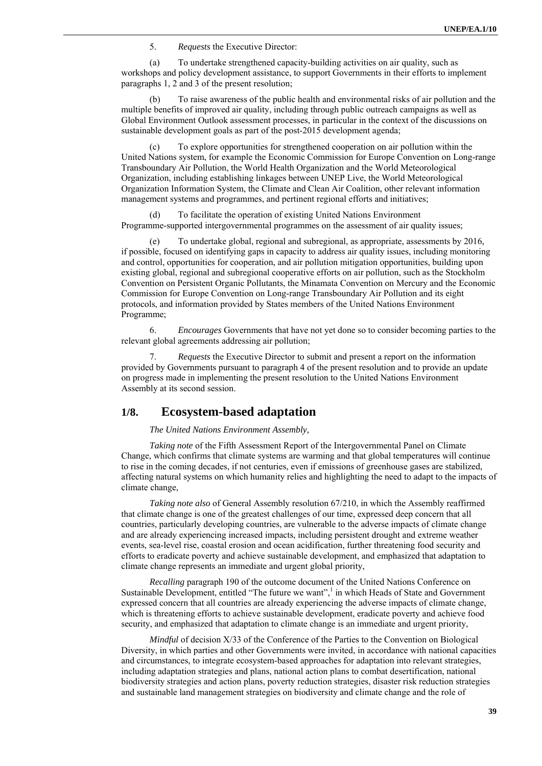5. *Requests* the Executive Director:

(a) To undertake strengthened capacity-building activities on air quality, such as workshops and policy development assistance, to support Governments in their efforts to implement paragraphs 1, 2 and 3 of the present resolution;

To raise awareness of the public health and environmental risks of air pollution and the multiple benefits of improved air quality, including through public outreach campaigns as well as Global Environment Outlook assessment processes, in particular in the context of the discussions on sustainable development goals as part of the post-2015 development agenda;

(c) To explore opportunities for strengthened cooperation on air pollution within the United Nations system, for example the Economic Commission for Europe Convention on Long-range Transboundary Air Pollution, the World Health Organization and the World Meteorological Organization, including establishing linkages between UNEP Live, the World Meteorological Organization Information System, the Climate and Clean Air Coalition, other relevant information management systems and programmes, and pertinent regional efforts and initiatives;

(d) To facilitate the operation of existing United Nations Environment Programme-supported intergovernmental programmes on the assessment of air quality issues;

(e) To undertake global, regional and subregional, as appropriate, assessments by 2016, if possible, focused on identifying gaps in capacity to address air quality issues, including monitoring and control, opportunities for cooperation, and air pollution mitigation opportunities, building upon existing global, regional and subregional cooperative efforts on air pollution, such as the Stockholm Convention on Persistent Organic Pollutants, the Minamata Convention on Mercury and the Economic Commission for Europe Convention on Long-range Transboundary Air Pollution and its eight protocols, and information provided by States members of the United Nations Environment Programme;

6. *Encourages* Governments that have not yet done so to consider becoming parties to the relevant global agreements addressing air pollution;

7. *Requests* the Executive Director to submit and present a report on the information provided by Governments pursuant to paragraph 4 of the present resolution and to provide an update on progress made in implementing the present resolution to the United Nations Environment Assembly at its second session.

### **1/8. Ecosystem-based adaptation**

*The United Nations Environment Assembly,* 

*Taking note* of the Fifth Assessment Report of the Intergovernmental Panel on Climate Change, which confirms that climate systems are warming and that global temperatures will continue to rise in the coming decades, if not centuries, even if emissions of greenhouse gases are stabilized, affecting natural systems on which humanity relies and highlighting the need to adapt to the impacts of climate change,

*Taking note also* of General Assembly resolution 67/210, in which the Assembly reaffirmed that climate change is one of the greatest challenges of our time, expressed deep concern that all countries, particularly developing countries, are vulnerable to the adverse impacts of climate change and are already experiencing increased impacts, including persistent drought and extreme weather events, sea-level rise, coastal erosion and ocean acidification, further threatening food security and efforts to eradicate poverty and achieve sustainable development, and emphasized that adaptation to climate change represents an immediate and urgent global priority,

*Recalling* paragraph 190 of the outcome document of the United Nations Conference on Sustainable Development, entitled "The future we want",<sup>1</sup> in which Heads of State and Government expressed concern that all countries are already experiencing the adverse impacts of climate change, which is threatening efforts to achieve sustainable development, eradicate poverty and achieve food security, and emphasized that adaptation to climate change is an immediate and urgent priority,

*Mindful* of decision X/33 of the Conference of the Parties to the Convention on Biological Diversity, in which parties and other Governments were invited, in accordance with national capacities and circumstances, to integrate ecosystem-based approaches for adaptation into relevant strategies, including adaptation strategies and plans, national action plans to combat desertification, national biodiversity strategies and action plans, poverty reduction strategies, disaster risk reduction strategies and sustainable land management strategies on biodiversity and climate change and the role of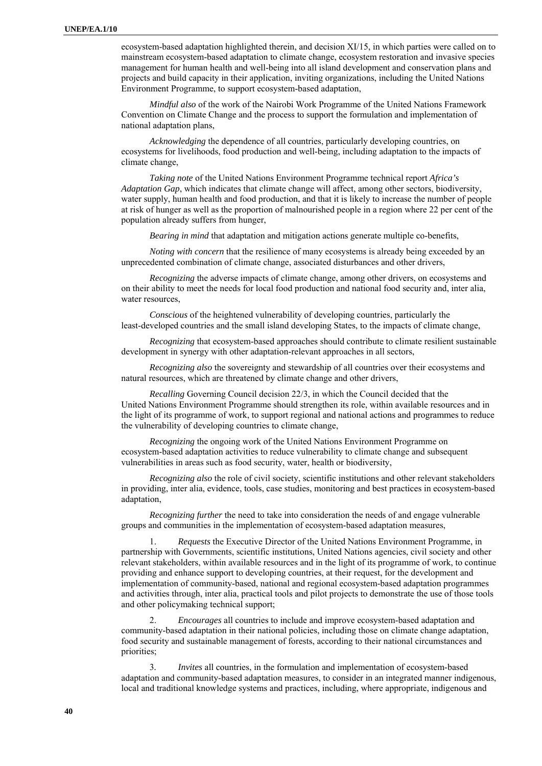ecosystem-based adaptation highlighted therein, and decision XI/15, in which parties were called on to mainstream ecosystem-based adaptation to climate change, ecosystem restoration and invasive species management for human health and well-being into all island development and conservation plans and projects and build capacity in their application, inviting organizations, including the United Nations Environment Programme, to support ecosystem-based adaptation,

*Mindful also* of the work of the Nairobi Work Programme of the United Nations Framework Convention on Climate Change and the process to support the formulation and implementation of national adaptation plans,

*Acknowledging* the dependence of all countries, particularly developing countries, on ecosystems for livelihoods, food production and well-being, including adaptation to the impacts of climate change,

*Taking note* of the United Nations Environment Programme technical report *Africa's Adaptation Gap*, which indicates that climate change will affect, among other sectors, biodiversity, water supply, human health and food production, and that it is likely to increase the number of people at risk of hunger as well as the proportion of malnourished people in a region where 22 per cent of the population already suffers from hunger,

*Bearing in mind* that adaptation and mitigation actions generate multiple co-benefits,

*Noting with concern* that the resilience of many ecosystems is already being exceeded by an unprecedented combination of climate change, associated disturbances and other drivers,

*Recognizing* the adverse impacts of climate change, among other drivers, on ecosystems and on their ability to meet the needs for local food production and national food security and, inter alia, water resources.

*Conscious* of the heightened vulnerability of developing countries, particularly the least-developed countries and the small island developing States, to the impacts of climate change,

*Recognizing* that ecosystem-based approaches should contribute to climate resilient sustainable development in synergy with other adaptation-relevant approaches in all sectors,

*Recognizing also* the sovereignty and stewardship of all countries over their ecosystems and natural resources, which are threatened by climate change and other drivers,

*Recalling* Governing Council decision 22/3, in which the Council decided that the United Nations Environment Programme should strengthen its role, within available resources and in the light of its programme of work, to support regional and national actions and programmes to reduce the vulnerability of developing countries to climate change,

*Recognizing* the ongoing work of the United Nations Environment Programme on ecosystem-based adaptation activities to reduce vulnerability to climate change and subsequent vulnerabilities in areas such as food security, water, health or biodiversity,

*Recognizing also* the role of civil society, scientific institutions and other relevant stakeholders in providing, inter alia, evidence, tools, case studies, monitoring and best practices in ecosystem-based adaptation,

*Recognizing further* the need to take into consideration the needs of and engage vulnerable groups and communities in the implementation of ecosystem-based adaptation measures,

1. *Requests* the Executive Director of the United Nations Environment Programme, in partnership with Governments, scientific institutions, United Nations agencies, civil society and other relevant stakeholders, within available resources and in the light of its programme of work, to continue providing and enhance support to developing countries, at their request, for the development and implementation of community-based, national and regional ecosystem-based adaptation programmes and activities through, inter alia, practical tools and pilot projects to demonstrate the use of those tools and other policymaking technical support;

2. *Encourages* all countries to include and improve ecosystem-based adaptation and community-based adaptation in their national policies, including those on climate change adaptation, food security and sustainable management of forests, according to their national circumstances and priorities;

3*. Invites* all countries, in the formulation and implementation of ecosystem-based adaptation and community-based adaptation measures, to consider in an integrated manner indigenous, local and traditional knowledge systems and practices, including, where appropriate, indigenous and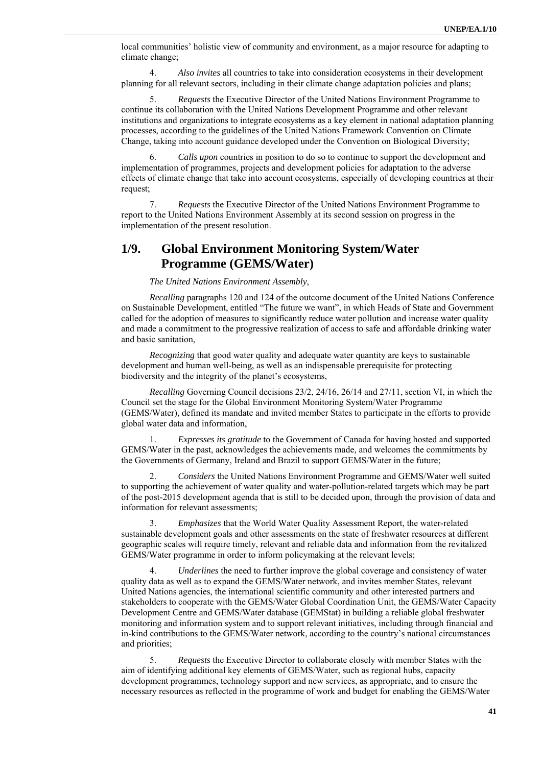local communities' holistic view of community and environment, as a major resource for adapting to climate change;

4. *Also invites* all countries to take into consideration ecosystems in their development planning for all relevant sectors, including in their climate change adaptation policies and plans;

5. *Requests* the Executive Director of the United Nations Environment Programme to continue its collaboration with the United Nations Development Programme and other relevant institutions and organizations to integrate ecosystems as a key element in national adaptation planning processes, according to the guidelines of the United Nations Framework Convention on Climate Change, taking into account guidance developed under the Convention on Biological Diversity;

6. *Calls upon* countries in position to do so to continue to support the development and implementation of programmes, projects and development policies for adaptation to the adverse effects of climate change that take into account ecosystems, especially of developing countries at their request;

7. *Requests* the Executive Director of the United Nations Environment Programme to report to the United Nations Environment Assembly at its second session on progress in the implementation of the present resolution.

## **1/9. Global Environment Monitoring System/Water Programme (GEMS/Water)**

*The United Nations Environment Assembly*,

*Recalling* paragraphs 120 and 124 of the outcome document of the United Nations Conference on Sustainable Development, entitled "The future we want", in which Heads of State and Government called for the adoption of measures to significantly reduce water pollution and increase water quality and made a commitment to the progressive realization of access to safe and affordable drinking water and basic sanitation,

*Recognizing* that good water quality and adequate water quantity are keys to sustainable development and human well-being, as well as an indispensable prerequisite for protecting biodiversity and the integrity of the planet's ecosystems,

*Recalling* Governing Council decisions 23/2, 24/16, 26/14 and 27/11, section VI, in which the Council set the stage for the Global Environment Monitoring System/Water Programme (GEMS/Water), defined its mandate and invited member States to participate in the efforts to provide global water data and information,

1. *Expresses its gratitude* to the Government of Canada for having hosted and supported GEMS/Water in the past, acknowledges the achievements made, and welcomes the commitments by the Governments of Germany, Ireland and Brazil to support GEMS/Water in the future;

2. *Considers* the United Nations Environment Programme and GEMS/Water well suited to supporting the achievement of water quality and water-pollution-related targets which may be part of the post-2015 development agenda that is still to be decided upon, through the provision of data and information for relevant assessments;

3. *Emphasizes* that the World Water Quality Assessment Report, the water-related sustainable development goals and other assessments on the state of freshwater resources at different geographic scales will require timely, relevant and reliable data and information from the revitalized GEMS/Water programme in order to inform policymaking at the relevant levels;

4. *Underlines* the need to further improve the global coverage and consistency of water quality data as well as to expand the GEMS/Water network, and invites member States, relevant United Nations agencies, the international scientific community and other interested partners and stakeholders to cooperate with the GEMS/Water Global Coordination Unit, the GEMS/Water Capacity Development Centre and GEMS/Water database (GEMStat) in building a reliable global freshwater monitoring and information system and to support relevant initiatives, including through financial and in-kind contributions to the GEMS/Water network, according to the country's national circumstances and priorities;

5. *Requests* the Executive Director to collaborate closely with member States with the aim of identifying additional key elements of GEMS/Water, such as regional hubs, capacity development programmes, technology support and new services, as appropriate, and to ensure the necessary resources as reflected in the programme of work and budget for enabling the GEMS/Water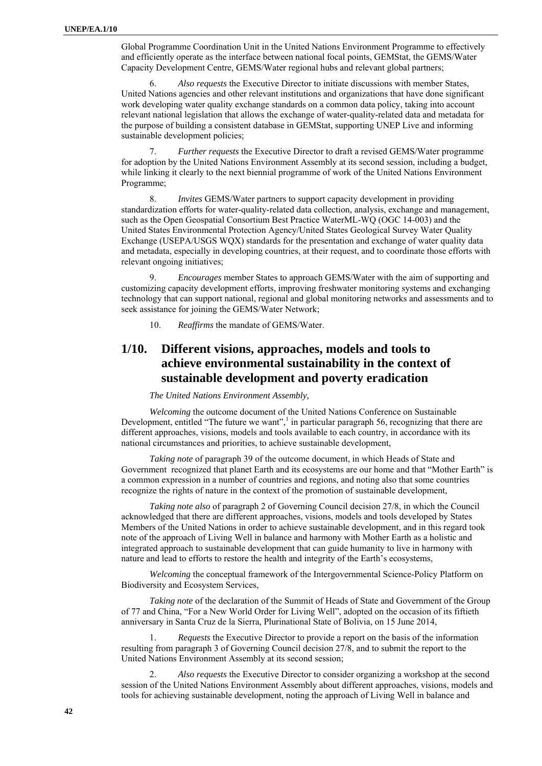Global Programme Coordination Unit in the United Nations Environment Programme to effectively and efficiently operate as the interface between national focal points, GEMStat, the GEMS/Water Capacity Development Centre, GEMS/Water regional hubs and relevant global partners;

6. *Also requests* the Executive Director to initiate discussions with member States, United Nations agencies and other relevant institutions and organizations that have done significant work developing water quality exchange standards on a common data policy, taking into account relevant national legislation that allows the exchange of water-quality-related data and metadata for the purpose of building a consistent database in GEMStat, supporting UNEP Live and informing sustainable development policies;

7. *Further requests* the Executive Director to draft a revised GEMS/Water programme for adoption by the United Nations Environment Assembly at its second session, including a budget, while linking it clearly to the next biennial programme of work of the United Nations Environment Programme;

8. *Invites* GEMS/Water partners to support capacity development in providing standardization efforts for water-quality-related data collection, analysis, exchange and management, such as the Open Geospatial Consortium Best Practice WaterML-WQ (OGC 14-003) and the United States Environmental Protection Agency/United States Geological Survey Water Quality Exchange (USEPA/USGS WQX) standards for the presentation and exchange of water quality data and metadata, especially in developing countries, at their request, and to coordinate those efforts with relevant ongoing initiatives;

9. *Encourages* member States to approach GEMS/Water with the aim of supporting and customizing capacity development efforts, improving freshwater monitoring systems and exchanging technology that can support national, regional and global monitoring networks and assessments and to seek assistance for joining the GEMS/Water Network;

10. *Reaffirms* the mandate of GEMS/Water.

# **1/10. Different visions, approaches, models and tools to achieve environmental sustainability in the context of sustainable development and poverty eradication**

#### *The United Nations Environment Assembly,*

*Welcoming* the outcome document of the United Nations Conference on Sustainable Development, entitled "The future we want", $\frac{1}{1}$  in particular paragraph 56, recognizing that there are different approaches, visions, models and tools available to each country, in accordance with its national circumstances and priorities, to achieve sustainable development,

*Taking note* of paragraph 39 of the outcome document, in which Heads of State and Government recognized that planet Earth and its ecosystems are our home and that "Mother Earth" is a common expression in a number of countries and regions, and noting also that some countries recognize the rights of nature in the context of the promotion of sustainable development,

*Taking note also* of paragraph 2 of Governing Council decision 27/8, in which the Council acknowledged that there are different approaches, visions, models and tools developed by States Members of the United Nations in order to achieve sustainable development, and in this regard took note of the approach of Living Well in balance and harmony with Mother Earth as a holistic and integrated approach to sustainable development that can guide humanity to live in harmony with nature and lead to efforts to restore the health and integrity of the Earth's ecosystems,

*Welcoming* the conceptual framework of the Intergovernmental Science-Policy Platform on Biodiversity and Ecosystem Services,

*Taking note* of the declaration of the Summit of Heads of State and Government of the Group of 77 and China, "For a New World Order for Living Well", adopted on the occasion of its fiftieth anniversary in Santa Cruz de la Sierra, Plurinational State of Bolivia, on 15 June 2014,

1. *Requests* the Executive Director to provide a report on the basis of the information resulting from paragraph 3 of Governing Council decision 27/8, and to submit the report to the United Nations Environment Assembly at its second session;

2. *Also requests* the Executive Director to consider organizing a workshop at the second session of the United Nations Environment Assembly about different approaches, visions, models and tools for achieving sustainable development, noting the approach of Living Well in balance and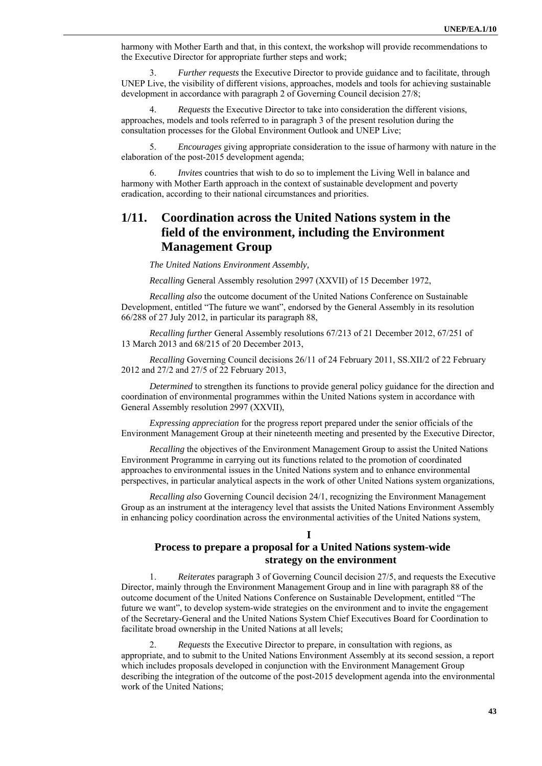harmony with Mother Earth and that, in this context, the workshop will provide recommendations to the Executive Director for appropriate further steps and work;

3. *Further requests* the Executive Director to provide guidance and to facilitate, through UNEP Live, the visibility of different visions, approaches, models and tools for achieving sustainable development in accordance with paragraph 2 of Governing Council decision 27/8;

4. *Requests* the Executive Director to take into consideration the different visions, approaches, models and tools referred to in paragraph 3 of the present resolution during the consultation processes for the Global Environment Outlook and UNEP Live;

5. *Encourages* giving appropriate consideration to the issue of harmony with nature in the elaboration of the post-2015 development agenda;

6. *Invites* countries that wish to do so to implement the Living Well in balance and harmony with Mother Earth approach in the context of sustainable development and poverty eradication, according to their national circumstances and priorities.

## **1/11. Coordination across the United Nations system in the field of the environment, including the Environment Management Group**

*The United Nations Environment Assembly,* 

*Recalling* General Assembly resolution 2997 (XXVII) of 15 December 1972,

*Recalling also* the outcome document of the United Nations Conference on Sustainable Development, entitled "The future we want", endorsed by the General Assembly in its resolution 66/288 of 27 July 2012, in particular its paragraph 88,

*Recalling further* General Assembly resolutions 67/213 of 21 December 2012, 67/251 of 13 March 2013 and 68/215 of 20 December 2013,

*Recalling* Governing Council decisions 26/11 of 24 February 2011, SS.XII/2 of 22 February 2012 and 27/2 and 27/5 of 22 February 2013,

*Determined* to strengthen its functions to provide general policy guidance for the direction and coordination of environmental programmes within the United Nations system in accordance with General Assembly resolution 2997 (XXVII),

*Expressing appreciation* for the progress report prepared under the senior officials of the Environment Management Group at their nineteenth meeting and presented by the Executive Director,

*Recalling* the objectives of the Environment Management Group to assist the United Nations Environment Programme in carrying out its functions related to the promotion of coordinated approaches to environmental issues in the United Nations system and to enhance environmental perspectives, in particular analytical aspects in the work of other United Nations system organizations,

*Recalling also* Governing Council decision 24/1, recognizing the Environment Management Group as an instrument at the interagency level that assists the United Nations Environment Assembly in enhancing policy coordination across the environmental activities of the United Nations system,

#### **I**

### **Process to prepare a proposal for a United Nations system-wide strategy on the environment**

1. *Reiterates* paragraph 3 of Governing Council decision 27/5, and requests the Executive Director, mainly through the Environment Management Group and in line with paragraph 88 of the outcome document of the United Nations Conference on Sustainable Development, entitled "The future we want", to develop system-wide strategies on the environment and to invite the engagement of the Secretary-General and the United Nations System Chief Executives Board for Coordination to facilitate broad ownership in the United Nations at all levels;

2. *Requests* the Executive Director to prepare, in consultation with regions, as appropriate, and to submit to the United Nations Environment Assembly at its second session, a report which includes proposals developed in conjunction with the Environment Management Group describing the integration of the outcome of the post-2015 development agenda into the environmental work of the United Nations;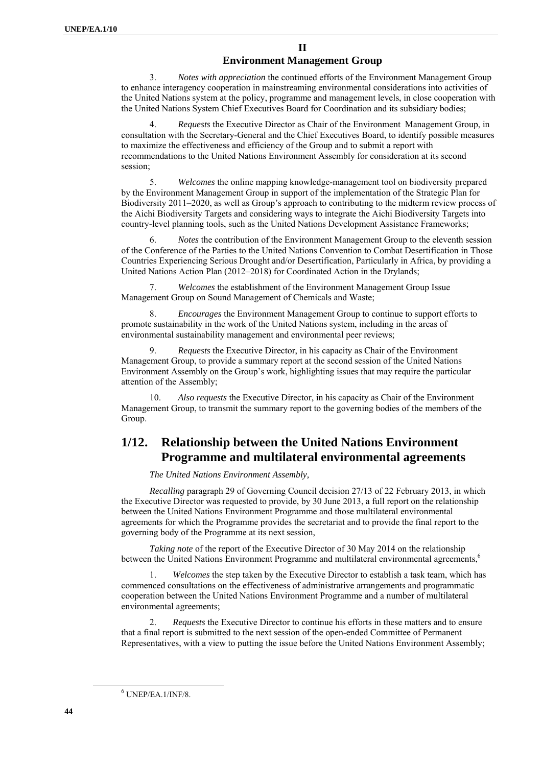#### **II**

#### **Environment Management Group**

3. *Notes with appreciation* the continued efforts of the Environment Management Group to enhance interagency cooperation in mainstreaming environmental considerations into activities of the United Nations system at the policy, programme and management levels, in close cooperation with the United Nations System Chief Executives Board for Coordination and its subsidiary bodies;

4. *Requests* the Executive Director as Chair of the Environment Management Group, in consultation with the Secretary-General and the Chief Executives Board, to identify possible measures to maximize the effectiveness and efficiency of the Group and to submit a report with recommendations to the United Nations Environment Assembly for consideration at its second session;

5. *Welcomes* the online mapping knowledge-management tool on biodiversity prepared by the Environment Management Group in support of the implementation of the Strategic Plan for Biodiversity 2011–2020, as well as Group's approach to contributing to the midterm review process of the Aichi Biodiversity Targets and considering ways to integrate the Aichi Biodiversity Targets into country-level planning tools, such as the United Nations Development Assistance Frameworks;

6. *Notes* the contribution of the Environment Management Group to the eleventh session of the Conference of the Parties to the United Nations Convention to Combat Desertification in Those Countries Experiencing Serious Drought and/or Desertification, Particularly in Africa, by providing a United Nations Action Plan (2012–2018) for Coordinated Action in the Drylands;

7. *Welcomes* the establishment of the Environment Management Group Issue Management Group on Sound Management of Chemicals and Waste;

8. *Encourages* the Environment Management Group to continue to support efforts to promote sustainability in the work of the United Nations system, including in the areas of environmental sustainability management and environmental peer reviews;

9. *Requests* the Executive Director, in his capacity as Chair of the Environment Management Group, to provide a summary report at the second session of the United Nations Environment Assembly on the Group's work, highlighting issues that may require the particular attention of the Assembly;

*Also requests* the Executive Director, in his capacity as Chair of the Environment Management Group, to transmit the summary report to the governing bodies of the members of the Group.

## **1/12. Relationship between the United Nations Environment Programme and multilateral environmental agreements**

*The United Nations Environment Assembly,* 

*Recalling* paragraph 29 of Governing Council decision 27/13 of 22 February 2013, in which the Executive Director was requested to provide, by 30 June 2013, a full report on the relationship between the United Nations Environment Programme and those multilateral environmental agreements for which the Programme provides the secretariat and to provide the final report to the governing body of the Programme at its next session,

*Taking note* of the report of the Executive Director of 30 May 2014 on the relationship between the United Nations Environment Programme and multilateral environmental agreements,<sup>6</sup>

1. *Welcomes* the step taken by the Executive Director to establish a task team, which has commenced consultations on the effectiveness of administrative arrangements and programmatic cooperation between the United Nations Environment Programme and a number of multilateral environmental agreements;

2. *Requests* the Executive Director to continue his efforts in these matters and to ensure that a final report is submitted to the next session of the open-ended Committee of Permanent Representatives, with a view to putting the issue before the United Nations Environment Assembly;

 6  $6$  UNEP/EA.1/INF/8.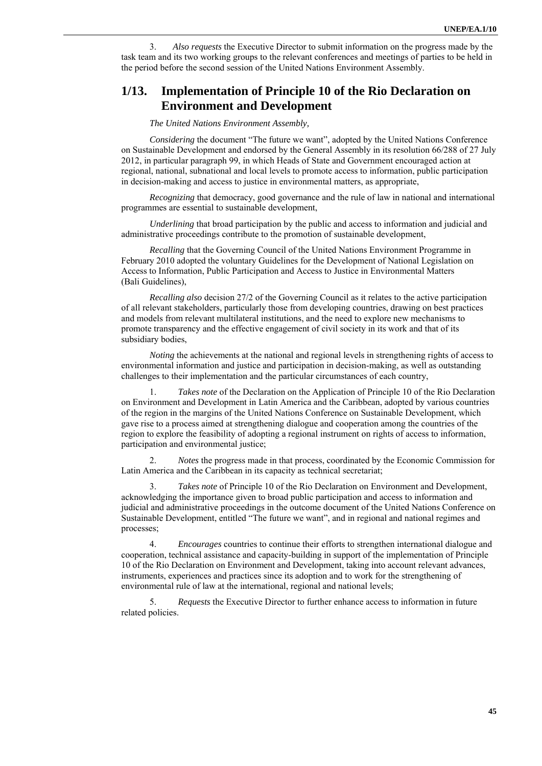3. *Also requests* the Executive Director to submit information on the progress made by the task team and its two working groups to the relevant conferences and meetings of parties to be held in the period before the second session of the United Nations Environment Assembly.

## **1/13. Implementation of Principle 10 of the Rio Declaration on Environment and Development**

#### *The United Nations Environment Assembly,*

*Considering* the document "The future we want", adopted by the United Nations Conference on Sustainable Development and endorsed by the General Assembly in its resolution 66/288 of 27 July 2012, in particular paragraph 99, in which Heads of State and Government encouraged action at regional, national, subnational and local levels to promote access to information, public participation in decision-making and access to justice in environmental matters, as appropriate,

*Recognizing* that democracy, good governance and the rule of law in national and international programmes are essential to sustainable development,

*Underlining* that broad participation by the public and access to information and judicial and administrative proceedings contribute to the promotion of sustainable development,

*Recalling* that the Governing Council of the United Nations Environment Programme in February 2010 adopted the voluntary Guidelines for the Development of National Legislation on Access to Information, Public Participation and Access to Justice in Environmental Matters (Bali Guidelines),

*Recalling also* decision 27/2 of the Governing Council as it relates to the active participation of all relevant stakeholders, particularly those from developing countries, drawing on best practices and models from relevant multilateral institutions, and the need to explore new mechanisms to promote transparency and the effective engagement of civil society in its work and that of its subsidiary bodies,

*Noting* the achievements at the national and regional levels in strengthening rights of access to environmental information and justice and participation in decision-making, as well as outstanding challenges to their implementation and the particular circumstances of each country,

1. *Takes note* of the Declaration on the Application of Principle 10 of the Rio Declaration on Environment and Development in Latin America and the Caribbean, adopted by various countries of the region in the margins of the United Nations Conference on Sustainable Development, which gave rise to a process aimed at strengthening dialogue and cooperation among the countries of the region to explore the feasibility of adopting a regional instrument on rights of access to information, participation and environmental justice;

2. *Notes* the progress made in that process, coordinated by the Economic Commission for Latin America and the Caribbean in its capacity as technical secretariat;

3. *Takes note* of Principle 10 of the Rio Declaration on Environment and Development, acknowledging the importance given to broad public participation and access to information and judicial and administrative proceedings in the outcome document of the United Nations Conference on Sustainable Development, entitled "The future we want", and in regional and national regimes and processes;

4. *Encourages* countries to continue their efforts to strengthen international dialogue and cooperation, technical assistance and capacity-building in support of the implementation of Principle 10 of the Rio Declaration on Environment and Development, taking into account relevant advances, instruments, experiences and practices since its adoption and to work for the strengthening of environmental rule of law at the international, regional and national levels;

5. *Requests* the Executive Director to further enhance access to information in future related policies.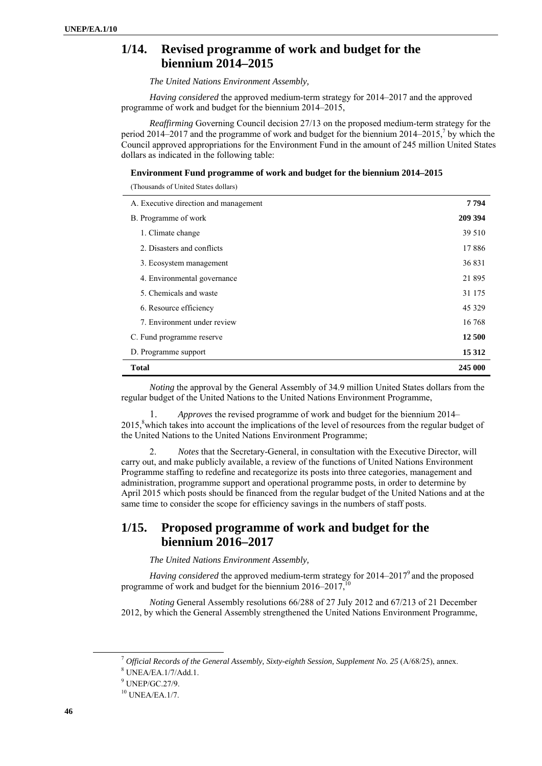## **1/14. Revised programme of work and budget for the biennium 2014–2015**

*The United Nations Environment Assembly,* 

*Having considered* the approved medium-term strategy for 2014–2017 and the approved programme of work and budget for the biennium 2014–2015,

*Reaffirming* Governing Council decision 27/13 on the proposed medium-term strategy for the period 2014–2017 and the programme of work and budget for the biennium 2014–2015,<sup>7</sup> by which the Council approved appropriations for the Environment Fund in the amount of 245 million United States dollars as indicated in the following table:

#### **Environment Fund programme of work and budget for the biennium 2014–2015**

(Thousands of United States dollars)

| A. Executive direction and management | 7 7 9 4 |
|---------------------------------------|---------|
| B. Programme of work                  | 209 394 |
| 1. Climate change                     | 39 510  |
| 2. Disasters and conflicts            | 17886   |
| 3. Ecosystem management               | 36831   |
| 4. Environmental governance           | 21 895  |
| 5. Chemicals and waste                | 31 175  |
| 6. Resource efficiency                | 45 3 29 |
| 7. Environment under review           | 16 768  |
| C. Fund programme reserve             | 12 500  |
| D. Programme support                  | 15 3 12 |
| <b>Total</b>                          | 245 000 |

*Noting* the approval by the General Assembly of 34.9 million United States dollars from the regular budget of the United Nations to the United Nations Environment Programme,

1. *Approves* the revised programme of work and budget for the biennium 2014– 2015,<sup>8</sup> which takes into account the implications of the level of resources from the regular budget of the United Nations to the United Nations Environment Programme;

2. *Notes* that the Secretary-General, in consultation with the Executive Director, will carry out, and make publicly available, a review of the functions of United Nations Environment Programme staffing to redefine and recategorize its posts into three categories, management and administration, programme support and operational programme posts, in order to determine by April 2015 which posts should be financed from the regular budget of the United Nations and at the same time to consider the scope for efficiency savings in the numbers of staff posts.

### **1/15. Proposed programme of work and budget for the biennium 2016–2017**

*The United Nations Environment Assembly,* 

Having considered the approved medium-term strategy for 2014–2017<sup>9</sup> and the proposed programme of work and budget for the biennium  $2016-2017$ ,<sup>10</sup>

*Noting* General Assembly resolutions 66/288 of 27 July 2012 and 67/213 of 21 December 2012, by which the General Assembly strengthened the United Nations Environment Programme,

<sup>7</sup> *Official Records of the General Assembly, Sixty-eighth Session, Supplement No. 25* (A/68/25), annex. 8

UNEA/EA.1/7/Add.1.

<sup>9</sup> UNEP/GC.27/9.

<sup>10</sup> UNEA/EA.1/7.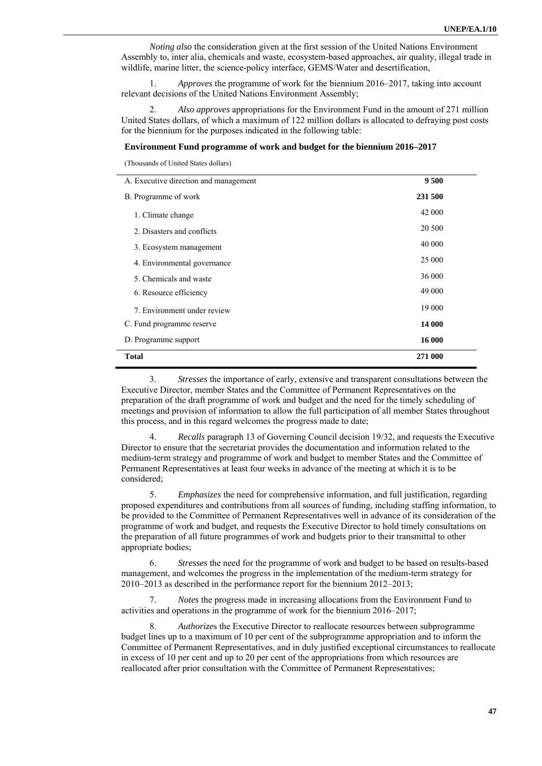*Noting also* the consideration given at the first session of the United Nations Environment Assembly to, inter alia, chemicals and waste, ecosystem-based approaches, air quality, illegal trade in wildlife, marine litter, the science-policy interface, GEMS/Water and desertification,

1. *Approves* the programme of work for the biennium 2016–2017, taking into account relevant decisions of the United Nations Environment Assembly;

2. *Also approves* appropriations for the Environment Fund in the amount of 271 million United States dollars, of which a maximum of 122 million dollars is allocated to defraying post costs for the biennium for the purposes indicated in the following table:

#### **Environment Fund programme of work and budget for the biennium 2016–2017**

(Thousands of United States dollars)

| A. Executive direction and management | 9500    |  |
|---------------------------------------|---------|--|
| B. Programme of work                  | 231 500 |  |
| 1. Climate change                     | 42 000  |  |
| 2. Disasters and conflicts            | 20 500  |  |
| 3. Ecosystem management               | 40 000  |  |
| 4. Environmental governance           | 25 000  |  |
| 5. Chemicals and waste                | 36 000  |  |
| 6. Resource efficiency                | 49 000  |  |
| 7. Environment under review           | 19 000  |  |
| C. Fund programme reserve             | 14 000  |  |
| D. Programme support                  | 16 000  |  |
| Total                                 | 271 000 |  |
|                                       |         |  |

3. *Stresses* the importance of early, extensive and transparent consultations between the Executive Director, member States and the Committee of Permanent Representatives on the preparation of the draft programme of work and budget and the need for the timely scheduling of meetings and provision of information to allow the full participation of all member States throughout this process, and in this regard welcomes the progress made to date;

4. *Recalls* paragraph 13 of Governing Council decision 19/32, and requests the Executive Director to ensure that the secretariat provides the documentation and information related to the medium-term strategy and programme of work and budget to member States and the Committee of Permanent Representatives at least four weeks in advance of the meeting at which it is to be considered;

5. *Emphasizes* the need for comprehensive information, and full justification, regarding proposed expenditures and contributions from all sources of funding, including staffing information, to be provided to the Committee of Permanent Representatives well in advance of its consideration of the programme of work and budget, and requests the Executive Director to hold timely consultations on the preparation of all future programmes of work and budgets prior to their transmittal to other appropriate bodies;

6. *Stresses* the need for the programme of work and budget to be based on results-based management, and welcomes the progress in the implementation of the medium-term strategy for 2010–2013 as described in the performance report for the biennium 2012–2013;

7. *Notes* the progress made in increasing allocations from the Environment Fund to activities and operations in the programme of work for the biennium 2016–2017;

Authorizes the Executive Director to reallocate resources between subprogramme budget lines up to a maximum of 10 per cent of the subprogramme appropriation and to inform the Committee of Permanent Representatives, and in duly justified exceptional circumstances to reallocate in excess of 10 per cent and up to 20 per cent of the appropriations from which resources are reallocated after prior consultation with the Committee of Permanent Representatives;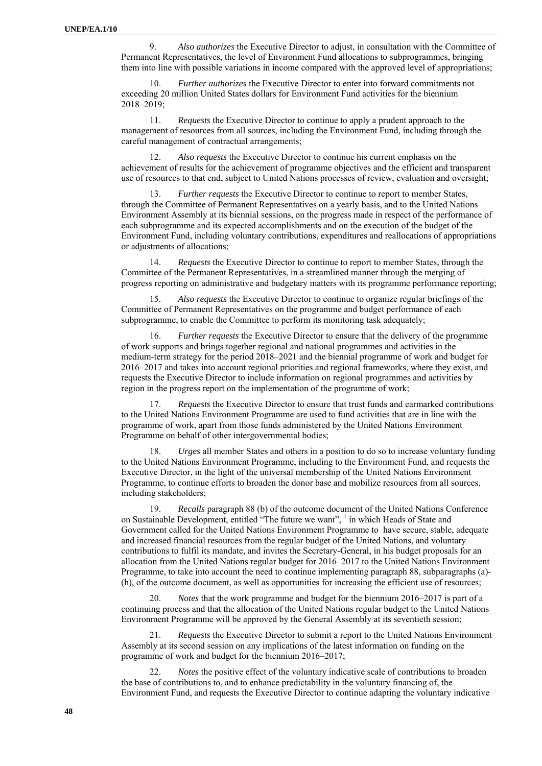9. *Also authorizes* the Executive Director to adjust, in consultation with the Committee of Permanent Representatives, the level of Environment Fund allocations to subprogrammes, bringing them into line with possible variations in income compared with the approved level of appropriations;

10. *Further authorizes* the Executive Director to enter into forward commitments not exceeding 20 million United States dollars for Environment Fund activities for the biennium 2018–2019;

11. *Requests* the Executive Director to continue to apply a prudent approach to the management of resources from all sources, including the Environment Fund, including through the careful management of contractual arrangements;

12. *Also requests* the Executive Director to continue his current emphasis on the achievement of results for the achievement of programme objectives and the efficient and transparent use of resources to that end, subject to United Nations processes of review, evaluation and oversight;

*Further requests* the Executive Director to continue to report to member States, through the Committee of Permanent Representatives on a yearly basis, and to the United Nations Environment Assembly at its biennial sessions, on the progress made in respect of the performance of each subprogramme and its expected accomplishments and on the execution of the budget of the Environment Fund, including voluntary contributions, expenditures and reallocations of appropriations or adjustments of allocations;

14. *Requests* the Executive Director to continue to report to member States, through the Committee of the Permanent Representatives, in a streamlined manner through the merging of progress reporting on administrative and budgetary matters with its programme performance reporting;

15. *Also requests* the Executive Director to continue to organize regular briefings of the Committee of Permanent Representatives on the programme and budget performance of each subprogramme, to enable the Committee to perform its monitoring task adequately;

16. *Further requests* the Executive Director to ensure that the delivery of the programme of work supports and brings together regional and national programmes and activities in the medium-term strategy for the period 2018–2021 and the biennial programme of work and budget for 2016–2017 and takes into account regional priorities and regional frameworks, where they exist, and requests the Executive Director to include information on regional programmes and activities by region in the progress report on the implementation of the programme of work;

17. *Requests* the Executive Director to ensure that trust funds and earmarked contributions to the United Nations Environment Programme are used to fund activities that are in line with the programme of work, apart from those funds administered by the United Nations Environment Programme on behalf of other intergovernmental bodies;

18. *Urges* all member States and others in a position to do so to increase voluntary funding to the United Nations Environment Programme, including to the Environment Fund, and requests the Executive Director, in the light of the universal membership of the United Nations Environment Programme, to continue efforts to broaden the donor base and mobilize resources from all sources, including stakeholders;

19. *Recalls* paragraph 88 (b) of the outcome document of the United Nations Conference on Sustainable Development, entitled "The future we want", <sup>1</sup> in which Heads of State and Government called for the United Nations Environment Programme to have secure, stable, adequate and increased financial resources from the regular budget of the United Nations, and voluntary contributions to fulfil its mandate, and invites the Secretary-General, in his budget proposals for an allocation from the United Nations regular budget for 2016–2017 to the United Nations Environment Programme, to take into account the need to continue implementing paragraph 88, subparagraphs (a)- (h), of the outcome document, as well as opportunities for increasing the efficient use of resources;

20. *Notes* that the work programme and budget for the biennium 2016–2017 is part of a continuing process and that the allocation of the United Nations regular budget to the United Nations Environment Programme will be approved by the General Assembly at its seventieth session;

21. *Requests* the Executive Director to submit a report to the United Nations Environment Assembly at its second session on any implications of the latest information on funding on the programme of work and budget for the biennium 2016–2017;

22. *Notes* the positive effect of the voluntary indicative scale of contributions to broaden the base of contributions to, and to enhance predictability in the voluntary financing of, the Environment Fund, and requests the Executive Director to continue adapting the voluntary indicative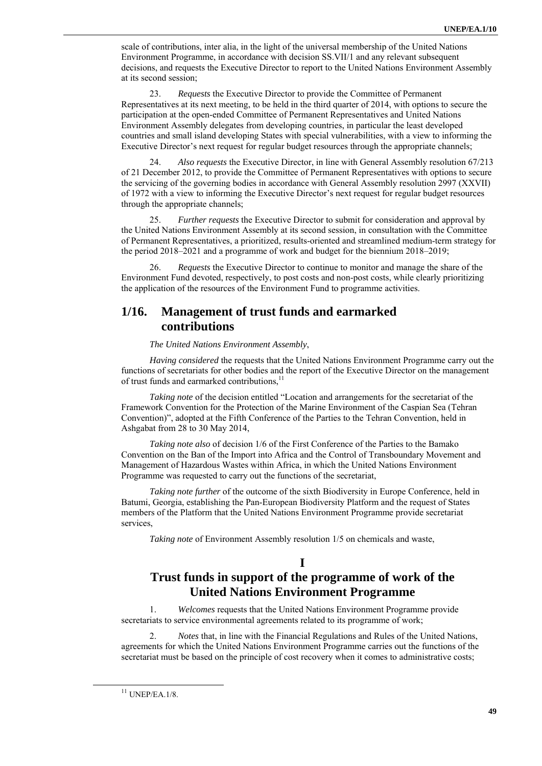scale of contributions, inter alia, in the light of the universal membership of the United Nations Environment Programme, in accordance with decision SS.VII/1 and any relevant subsequent decisions, and requests the Executive Director to report to the United Nations Environment Assembly at its second session;

23. *Requests* the Executive Director to provide the Committee of Permanent Representatives at its next meeting, to be held in the third quarter of 2014, with options to secure the participation at the open-ended Committee of Permanent Representatives and United Nations Environment Assembly delegates from developing countries, in particular the least developed countries and small island developing States with special vulnerabilities, with a view to informing the Executive Director's next request for regular budget resources through the appropriate channels;

24. *Also requests* the Executive Director, in line with General Assembly resolution 67/213 of 21 December 2012, to provide the Committee of Permanent Representatives with options to secure the servicing of the governing bodies in accordance with General Assembly resolution 2997 (XXVII) of 1972 with a view to informing the Executive Director's next request for regular budget resources through the appropriate channels;

25. *Further requests* the Executive Director to submit for consideration and approval by the United Nations Environment Assembly at its second session, in consultation with the Committee of Permanent Representatives, a prioritized, results-oriented and streamlined medium-term strategy for the period 2018–2021 and a programme of work and budget for the biennium 2018–2019;

26. *Requests* the Executive Director to continue to monitor and manage the share of the Environment Fund devoted, respectively, to post costs and non-post costs, while clearly prioritizing the application of the resources of the Environment Fund to programme activities.

## **1/16. Management of trust funds and earmarked contributions**

*The United Nations Environment Assembly*,

*Having considered* the requests that the United Nations Environment Programme carry out the functions of secretariats for other bodies and the report of the Executive Director on the management of trust funds and earmarked contributions, $^{11}$ 

*Taking note* of the decision entitled "Location and arrangements for the secretariat of the Framework Convention for the Protection of the Marine Environment of the Caspian Sea (Tehran Convention)", adopted at the Fifth Conference of the Parties to the Tehran Convention, held in Ashgabat from 28 to 30 May 2014,

*Taking note also* of decision 1/6 of the First Conference of the Parties to the Bamako Convention on the Ban of the Import into Africa and the Control of Transboundary Movement and Management of Hazardous Wastes within Africa, in which the United Nations Environment Programme was requested to carry out the functions of the secretariat,

*Taking note further* of the outcome of the sixth Biodiversity in Europe Conference, held in Batumi, Georgia, establishing the Pan-European Biodiversity Platform and the request of States members of the Platform that the United Nations Environment Programme provide secretariat services,

*Taking note* of Environment Assembly resolution 1/5 on chemicals and waste,

**I** 

# **Trust funds in support of the programme of work of the United Nations Environment Programme**

1. *Welcomes* requests that the United Nations Environment Programme provide secretariats to service environmental agreements related to its programme of work;

2. *Notes* that, in line with the Financial Regulations and Rules of the United Nations, agreements for which the United Nations Environment Programme carries out the functions of the secretariat must be based on the principle of cost recovery when it comes to administrative costs;

 $11$  UNEP/EA.1/8.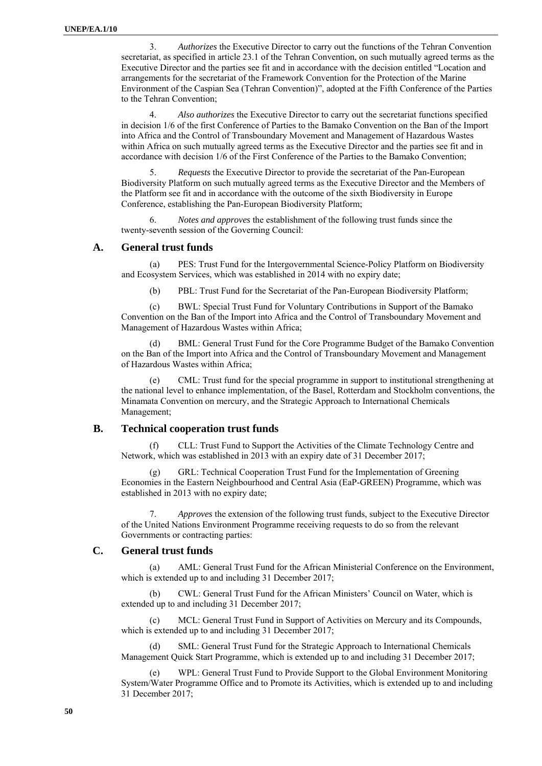3. *Authorizes* the Executive Director to carry out the functions of the Tehran Convention secretariat, as specified in article 23.1 of the Tehran Convention, on such mutually agreed terms as the Executive Director and the parties see fit and in accordance with the decision entitled "Location and arrangements for the secretariat of the Framework Convention for the Protection of the Marine Environment of the Caspian Sea (Tehran Convention)", adopted at the Fifth Conference of the Parties to the Tehran Convention;

4. *Also authorizes* the Executive Director to carry out the secretariat functions specified in decision 1/6 of the first Conference of Parties to the Bamako Convention on the Ban of the Import into Africa and the Control of Transboundary Movement and Management of Hazardous Wastes within Africa on such mutually agreed terms as the Executive Director and the parties see fit and in accordance with decision 1/6 of the First Conference of the Parties to the Bamako Convention;

5. *Requests* the Executive Director to provide the secretariat of the Pan-European Biodiversity Platform on such mutually agreed terms as the Executive Director and the Members of the Platform see fit and in accordance with the outcome of the sixth Biodiversity in Europe Conference, establishing the Pan-European Biodiversity Platform;

6. *Notes and approves* the establishment of the following trust funds since the twenty-seventh session of the Governing Council:

#### **A. General trust funds**

(a) PES: Trust Fund for the Intergovernmental Science-Policy Platform on Biodiversity and Ecosystem Services, which was established in 2014 with no expiry date;

(b) PBL: Trust Fund for the Secretariat of the Pan-European Biodiversity Platform;

(c) BWL: Special Trust Fund for Voluntary Contributions in Support of the Bamako Convention on the Ban of the Import into Africa and the Control of Transboundary Movement and Management of Hazardous Wastes within Africa;

(d) BML: General Trust Fund for the Core Programme Budget of the Bamako Convention on the Ban of the Import into Africa and the Control of Transboundary Movement and Management of Hazardous Wastes within Africa;

CML: Trust fund for the special programme in support to institutional strengthening at the national level to enhance implementation, of the Basel, Rotterdam and Stockholm conventions, the Minamata Convention on mercury, and the Strategic Approach to International Chemicals Management;

#### **B. Technical cooperation trust funds**

(f) CLL: Trust Fund to Support the Activities of the Climate Technology Centre and Network, which was established in 2013 with an expiry date of 31 December 2017;

 (g) GRL: Technical Cooperation Trust Fund for the Implementation of Greening Economies in the Eastern Neighbourhood and Central Asia (EaP-GREEN) Programme, which was established in 2013 with no expiry date;

7. *Approves* the extension of the following trust funds, subject to the Executive Director of the United Nations Environment Programme receiving requests to do so from the relevant Governments or contracting parties:

#### **C. General trust funds**

(a) AML: General Trust Fund for the African Ministerial Conference on the Environment, which is extended up to and including 31 December 2017:

(b) CWL: General Trust Fund for the African Ministers' Council on Water, which is extended up to and including 31 December 2017;

(c) MCL: General Trust Fund in Support of Activities on Mercury and its Compounds, which is extended up to and including 31 December 2017;

(d) SML: General Trust Fund for the Strategic Approach to International Chemicals Management Quick Start Programme, which is extended up to and including 31 December 2017;

(e) WPL: General Trust Fund to Provide Support to the Global Environment Monitoring System/Water Programme Office and to Promote its Activities, which is extended up to and including 31 December 2017;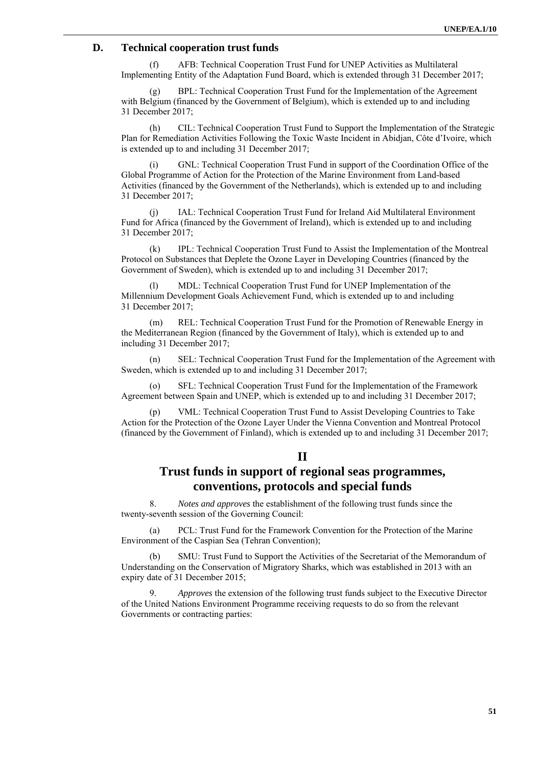### **D. Technical cooperation trust funds**

(f) AFB: Technical Cooperation Trust Fund for UNEP Activities as Multilateral Implementing Entity of the Adaptation Fund Board, which is extended through 31 December 2017;

BPL: Technical Cooperation Trust Fund for the Implementation of the Agreement with Belgium (financed by the Government of Belgium), which is extended up to and including 31 December 2017;

(h) CIL: Technical Cooperation Trust Fund to Support the Implementation of the Strategic Plan for Remediation Activities Following the Toxic Waste Incident in Abidjan, Côte d'Ivoire, which is extended up to and including 31 December 2017;

(i) GNL: Technical Cooperation Trust Fund in support of the Coordination Office of the Global Programme of Action for the Protection of the Marine Environment from Land-based Activities (financed by the Government of the Netherlands), which is extended up to and including 31 December 2017;

(j) IAL: Technical Cooperation Trust Fund for Ireland Aid Multilateral Environment Fund for Africa (financed by the Government of Ireland), which is extended up to and including 31 December 2017;

(k) IPL: Technical Cooperation Trust Fund to Assist the Implementation of the Montreal Protocol on Substances that Deplete the Ozone Layer in Developing Countries (financed by the Government of Sweden), which is extended up to and including 31 December 2017;

(l) MDL: Technical Cooperation Trust Fund for UNEP Implementation of the Millennium Development Goals Achievement Fund, which is extended up to and including 31 December 2017;

(m) REL: Technical Cooperation Trust Fund for the Promotion of Renewable Energy in the Mediterranean Region (financed by the Government of Italy), which is extended up to and including 31 December 2017;

(n) SEL: Technical Cooperation Trust Fund for the Implementation of the Agreement with Sweden, which is extended up to and including 31 December 2017;

SFL: Technical Cooperation Trust Fund for the Implementation of the Framework Agreement between Spain and UNEP, which is extended up to and including 31 December 2017;

(p) VML: Technical Cooperation Trust Fund to Assist Developing Countries to Take Action for the Protection of the Ozone Layer Under the Vienna Convention and Montreal Protocol (financed by the Government of Finland), which is extended up to and including 31 December 2017;

### **II**

## **Trust funds in support of regional seas programmes, conventions, protocols and special funds**

8. *Notes and approves* the establishment of the following trust funds since the twenty-seventh session of the Governing Council:

(a) PCL: Trust Fund for the Framework Convention for the Protection of the Marine Environment of the Caspian Sea (Tehran Convention);

(b) SMU: Trust Fund to Support the Activities of the Secretariat of the Memorandum of Understanding on the Conservation of Migratory Sharks, which was established in 2013 with an expiry date of 31 December 2015;

9. *Approves* the extension of the following trust funds subject to the Executive Director of the United Nations Environment Programme receiving requests to do so from the relevant Governments or contracting parties: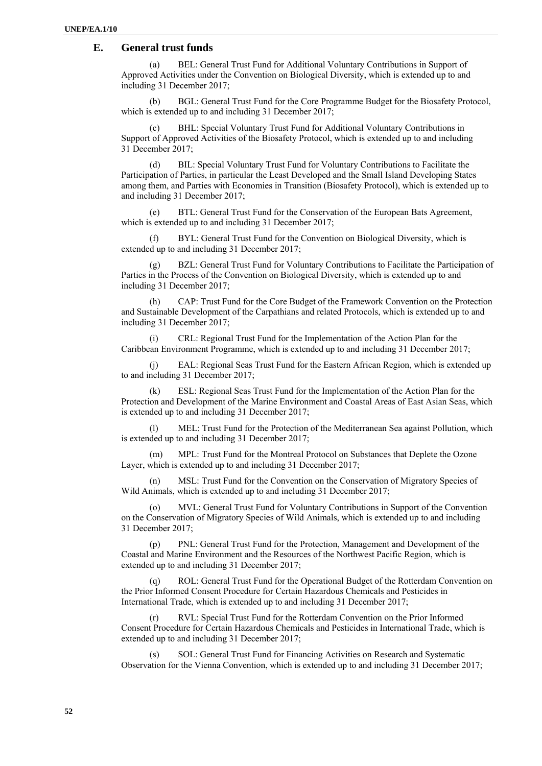#### **E. General trust funds**

(a) BEL: General Trust Fund for Additional Voluntary Contributions in Support of Approved Activities under the Convention on Biological Diversity, which is extended up to and including 31 December 2017;

(b) BGL: General Trust Fund for the Core Programme Budget for the Biosafety Protocol, which is extended up to and including 31 December 2017;

(c) BHL: Special Voluntary Trust Fund for Additional Voluntary Contributions in Support of Approved Activities of the Biosafety Protocol, which is extended up to and including 31 December 2017;

(d) BIL: Special Voluntary Trust Fund for Voluntary Contributions to Facilitate the Participation of Parties, in particular the Least Developed and the Small Island Developing States among them, and Parties with Economies in Transition (Biosafety Protocol), which is extended up to and including 31 December 2017;

(e) BTL: General Trust Fund for the Conservation of the European Bats Agreement, which is extended up to and including 31 December 2017;

BYL: General Trust Fund for the Convention on Biological Diversity, which is extended up to and including 31 December 2017;

(g) BZL: General Trust Fund for Voluntary Contributions to Facilitate the Participation of Parties in the Process of the Convention on Biological Diversity, which is extended up to and including 31 December 2017;

(h) CAP: Trust Fund for the Core Budget of the Framework Convention on the Protection and Sustainable Development of the Carpathians and related Protocols, which is extended up to and including 31 December 2017;

(i) CRL: Regional Trust Fund for the Implementation of the Action Plan for the Caribbean Environment Programme, which is extended up to and including 31 December 2017;

(j) EAL: Regional Seas Trust Fund for the Eastern African Region, which is extended up to and including 31 December 2017;

(k) ESL: Regional Seas Trust Fund for the Implementation of the Action Plan for the Protection and Development of the Marine Environment and Coastal Areas of East Asian Seas, which is extended up to and including 31 December 2017;

MEL: Trust Fund for the Protection of the Mediterranean Sea against Pollution, which is extended up to and including 31 December 2017;

(m) MPL: Trust Fund for the Montreal Protocol on Substances that Deplete the Ozone Layer, which is extended up to and including 31 December 2017;

(n) MSL: Trust Fund for the Convention on the Conservation of Migratory Species of Wild Animals, which is extended up to and including 31 December 2017;

MVL: General Trust Fund for Voluntary Contributions in Support of the Convention on the Conservation of Migratory Species of Wild Animals, which is extended up to and including 31 December 2017;

(p) PNL: General Trust Fund for the Protection, Management and Development of the Coastal and Marine Environment and the Resources of the Northwest Pacific Region, which is extended up to and including 31 December 2017;

(q) ROL: General Trust Fund for the Operational Budget of the Rotterdam Convention on the Prior Informed Consent Procedure for Certain Hazardous Chemicals and Pesticides in International Trade, which is extended up to and including 31 December 2017;

RVL: Special Trust Fund for the Rotterdam Convention on the Prior Informed Consent Procedure for Certain Hazardous Chemicals and Pesticides in International Trade, which is extended up to and including 31 December 2017;

(s) SOL: General Trust Fund for Financing Activities on Research and Systematic Observation for the Vienna Convention, which is extended up to and including 31 December 2017;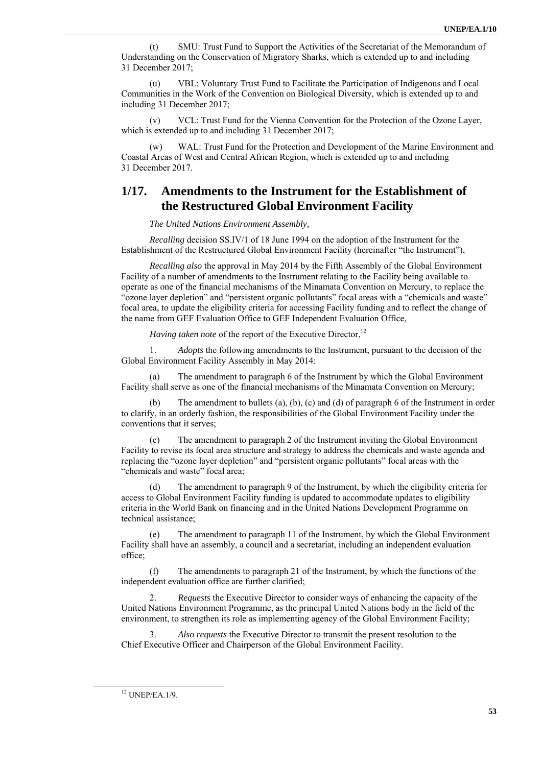(t) SMU: Trust Fund to Support the Activities of the Secretariat of the Memorandum of Understanding on the Conservation of Migratory Sharks, which is extended up to and including 31 December 2017;

(u) VBL: Voluntary Trust Fund to Facilitate the Participation of Indigenous and Local Communities in the Work of the Convention on Biological Diversity, which is extended up to and including 31 December 2017;

(v) VCL: Trust Fund for the Vienna Convention for the Protection of the Ozone Layer, which is extended up to and including 31 December 2017;

(w) WAL: Trust Fund for the Protection and Development of the Marine Environment and Coastal Areas of West and Central African Region, which is extended up to and including 31 December 2017.

### **1/17. Amendments to the Instrument for the Establishment of the Restructured Global Environment Facility**

*The United Nations Environment Assembly,* 

*Recalling* decision SS.IV/1 of 18 June 1994 on the adoption of the Instrument for the Establishment of the Restructured Global Environment Facility (hereinafter "the Instrument"),

*Recalling also* the approval in May 2014 by the Fifth Assembly of the Global Environment Facility of a number of amendments to the Instrument relating to the Facility being available to operate as one of the financial mechanisms of the Minamata Convention on Mercury, to replace the "ozone layer depletion" and "persistent organic pollutants" focal areas with a "chemicals and waste" focal area, to update the eligibility criteria for accessing Facility funding and to reflect the change of the name from GEF Evaluation Office to GEF Independent Evaluation Office,

*Having taken note* of the report of the Executive Director.<sup>12</sup>

1. *Adopts* the following amendments to the Instrument, pursuant to the decision of the Global Environment Facility Assembly in May 2014:

(a) The amendment to paragraph 6 of the Instrument by which the Global Environment Facility shall serve as one of the financial mechanisms of the Minamata Convention on Mercury;

The amendment to bullets (a), (b), (c) and (d) of paragraph 6 of the Instrument in order to clarify, in an orderly fashion, the responsibilities of the Global Environment Facility under the conventions that it serves;

(c) The amendment to paragraph 2 of the Instrument inviting the Global Environment Facility to revise its focal area structure and strategy to address the chemicals and waste agenda and replacing the "ozone layer depletion" and "persistent organic pollutants" focal areas with the "chemicals and waste" focal area;

The amendment to paragraph 9 of the Instrument, by which the eligibility criteria for access to Global Environment Facility funding is updated to accommodate updates to eligibility criteria in the World Bank on financing and in the United Nations Development Programme on technical assistance;

(e) The amendment to paragraph 11 of the Instrument, by which the Global Environment Facility shall have an assembly, a council and a secretariat, including an independent evaluation office;

(f) The amendments to paragraph 21 of the Instrument, by which the functions of the independent evaluation office are further clarified;

2. *Requests* the Executive Director to consider ways of enhancing the capacity of the United Nations Environment Programme, as the principal United Nations body in the field of the environment, to strengthen its role as implementing agency of the Global Environment Facility;

3. *Also requests* the Executive Director to transmit the present resolution to the Chief Executive Officer and Chairperson of the Global Environment Facility.

 <sup>12</sup> UNEP/EA.1/9.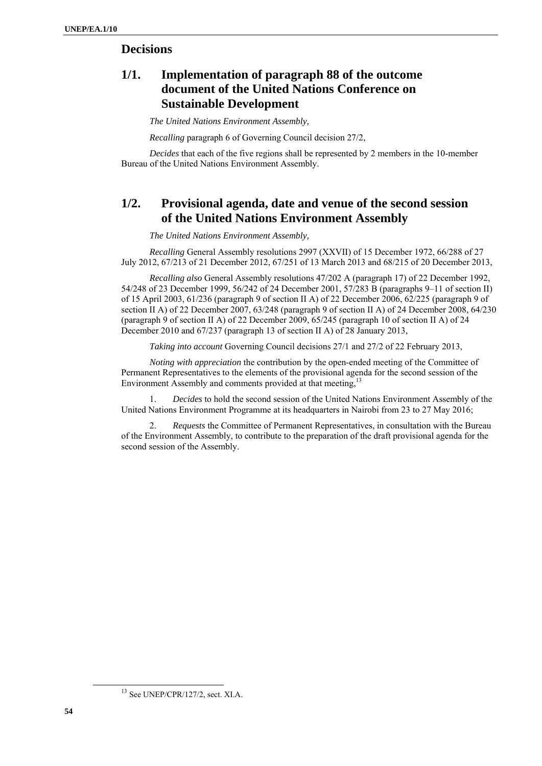## **Decisions**

# **1/1. Implementation of paragraph 88 of the outcome document of the United Nations Conference on Sustainable Development**

*The United Nations Environment Assembly,*

*Recalling* paragraph 6 of Governing Council decision 27/2,

*Decides* that each of the five regions shall be represented by 2 members in the 10-member Bureau of the United Nations Environment Assembly.

# **1/2. Provisional agenda, date and venue of the second session of the United Nations Environment Assembly**

*The United Nations Environment Assembly,* 

*Recalling* General Assembly resolutions 2997 (XXVII) of 15 December 1972, 66/288 of 27 July 2012, 67/213 of 21 December 2012, 67/251 of 13 March 2013 and 68/215 of 20 December 2013,

*Recalling also* General Assembly resolutions 47/202 A (paragraph 17) of 22 December 1992, 54/248 of 23 December 1999, 56/242 of 24 December 2001, 57/283 B (paragraphs 9–11 of section II) of 15 April 2003, 61/236 (paragraph 9 of section II A) of 22 December 2006, 62/225 (paragraph 9 of section II A) of 22 December 2007, 63/248 (paragraph 9 of section II A) of 24 December 2008, 64/230 (paragraph 9 of section II A) of 22 December 2009, 65/245 (paragraph 10 of section II A) of 24 December 2010 and 67/237 (paragraph 13 of section II A) of 28 January 2013,

*Taking into account* Governing Council decisions 27/1 and 27/2 of 22 February 2013,

*Noting with appreciation* the contribution by the open-ended meeting of the Committee of Permanent Representatives to the elements of the provisional agenda for the second session of the Environment Assembly and comments provided at that meeting.<sup>13</sup>

1. *Decides* to hold the second session of the United Nations Environment Assembly of the United Nations Environment Programme at its headquarters in Nairobi from 23 to 27 May 2016;

2. *Requests* the Committee of Permanent Representatives, in consultation with the Bureau of the Environment Assembly, to contribute to the preparation of the draft provisional agenda for the second session of the Assembly.

<sup>&</sup>lt;sup>13</sup> See UNEP/CPR/127/2, sect. XI.A.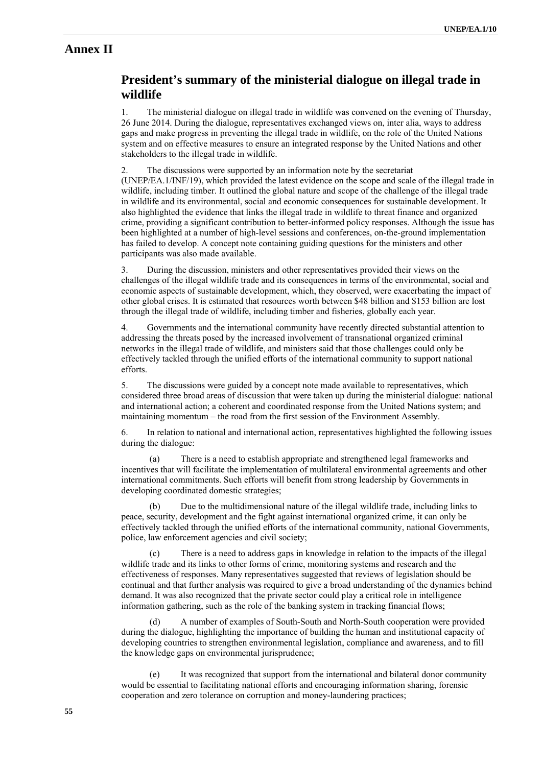### **Annex II**

## **President's summary of the ministerial dialogue on illegal trade in wildlife**

1. The ministerial dialogue on illegal trade in wildlife was convened on the evening of Thursday, 26 June 2014. During the dialogue, representatives exchanged views on, inter alia, ways to address gaps and make progress in preventing the illegal trade in wildlife, on the role of the United Nations system and on effective measures to ensure an integrated response by the United Nations and other stakeholders to the illegal trade in wildlife.

2. The discussions were supported by an information note by the secretariat (UNEP/EA.1/INF/19), which provided the latest evidence on the scope and scale of the illegal trade in wildlife, including timber. It outlined the global nature and scope of the challenge of the illegal trade in wildlife and its environmental, social and economic consequences for sustainable development. It also highlighted the evidence that links the illegal trade in wildlife to threat finance and organized crime, providing a significant contribution to better-informed policy responses. Although the issue has been highlighted at a number of high-level sessions and conferences, on-the-ground implementation has failed to develop. A concept note containing guiding questions for the ministers and other participants was also made available.

3. During the discussion, ministers and other representatives provided their views on the challenges of the illegal wildlife trade and its consequences in terms of the environmental, social and economic aspects of sustainable development, which, they observed, were exacerbating the impact of other global crises. It is estimated that resources worth between \$48 billion and \$153 billion are lost through the illegal trade of wildlife, including timber and fisheries, globally each year.

4. Governments and the international community have recently directed substantial attention to addressing the threats posed by the increased involvement of transnational organized criminal networks in the illegal trade of wildlife, and ministers said that those challenges could only be effectively tackled through the unified efforts of the international community to support national efforts.

5. The discussions were guided by a concept note made available to representatives, which considered three broad areas of discussion that were taken up during the ministerial dialogue: national and international action; a coherent and coordinated response from the United Nations system; and maintaining momentum – the road from the first session of the Environment Assembly.

6. In relation to national and international action, representatives highlighted the following issues during the dialogue:

(a) There is a need to establish appropriate and strengthened legal frameworks and incentives that will facilitate the implementation of multilateral environmental agreements and other international commitments. Such efforts will benefit from strong leadership by Governments in developing coordinated domestic strategies;

(b) Due to the multidimensional nature of the illegal wildlife trade, including links to peace, security, development and the fight against international organized crime, it can only be effectively tackled through the unified efforts of the international community, national Governments, police, law enforcement agencies and civil society;

(c) There is a need to address gaps in knowledge in relation to the impacts of the illegal wildlife trade and its links to other forms of crime, monitoring systems and research and the effectiveness of responses. Many representatives suggested that reviews of legislation should be continual and that further analysis was required to give a broad understanding of the dynamics behind demand. It was also recognized that the private sector could play a critical role in intelligence information gathering, such as the role of the banking system in tracking financial flows;

(d) A number of examples of South-South and North-South cooperation were provided during the dialogue, highlighting the importance of building the human and institutional capacity of developing countries to strengthen environmental legislation, compliance and awareness, and to fill the knowledge gaps on environmental jurisprudence;

(e) It was recognized that support from the international and bilateral donor community would be essential to facilitating national efforts and encouraging information sharing, forensic cooperation and zero tolerance on corruption and money-laundering practices;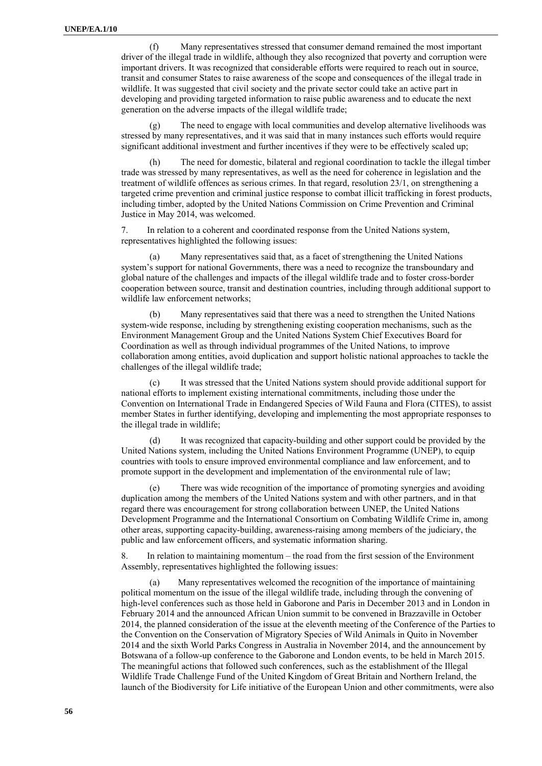(f) Many representatives stressed that consumer demand remained the most important driver of the illegal trade in wildlife, although they also recognized that poverty and corruption were important drivers. It was recognized that considerable efforts were required to reach out in source, transit and consumer States to raise awareness of the scope and consequences of the illegal trade in wildlife. It was suggested that civil society and the private sector could take an active part in developing and providing targeted information to raise public awareness and to educate the next generation on the adverse impacts of the illegal wildlife trade;

(g) The need to engage with local communities and develop alternative livelihoods was stressed by many representatives, and it was said that in many instances such efforts would require significant additional investment and further incentives if they were to be effectively scaled up;

(h) The need for domestic, bilateral and regional coordination to tackle the illegal timber trade was stressed by many representatives, as well as the need for coherence in legislation and the treatment of wildlife offences as serious crimes. In that regard, resolution 23/1, on strengthening a targeted crime prevention and criminal justice response to combat illicit trafficking in forest products, including timber, adopted by the United Nations Commission on Crime Prevention and Criminal Justice in May 2014, was welcomed.

7. In relation to a coherent and coordinated response from the United Nations system, representatives highlighted the following issues:

(a) Many representatives said that, as a facet of strengthening the United Nations system's support for national Governments, there was a need to recognize the transboundary and global nature of the challenges and impacts of the illegal wildlife trade and to foster cross-border cooperation between source, transit and destination countries, including through additional support to wildlife law enforcement networks;

(b) Many representatives said that there was a need to strengthen the United Nations system-wide response, including by strengthening existing cooperation mechanisms, such as the Environment Management Group and the United Nations System Chief Executives Board for Coordination as well as through individual programmes of the United Nations, to improve collaboration among entities, avoid duplication and support holistic national approaches to tackle the challenges of the illegal wildlife trade;

(c) It was stressed that the United Nations system should provide additional support for national efforts to implement existing international commitments, including those under the Convention on International Trade in Endangered Species of Wild Fauna and Flora (CITES), to assist member States in further identifying, developing and implementing the most appropriate responses to the illegal trade in wildlife;

(d) It was recognized that capacity-building and other support could be provided by the United Nations system, including the United Nations Environment Programme (UNEP), to equip countries with tools to ensure improved environmental compliance and law enforcement, and to promote support in the development and implementation of the environmental rule of law;

(e) There was wide recognition of the importance of promoting synergies and avoiding duplication among the members of the United Nations system and with other partners, and in that regard there was encouragement for strong collaboration between UNEP, the United Nations Development Programme and the International Consortium on Combating Wildlife Crime in, among other areas, supporting capacity-building, awareness-raising among members of the judiciary, the public and law enforcement officers, and systematic information sharing.

8. In relation to maintaining momentum – the road from the first session of the Environment Assembly, representatives highlighted the following issues:

(a) Many representatives welcomed the recognition of the importance of maintaining political momentum on the issue of the illegal wildlife trade, including through the convening of high-level conferences such as those held in Gaborone and Paris in December 2013 and in London in February 2014 and the announced African Union summit to be convened in Brazzaville in October 2014, the planned consideration of the issue at the eleventh meeting of the Conference of the Parties to the Convention on the Conservation of Migratory Species of Wild Animals in Quito in November 2014 and the sixth World Parks Congress in Australia in November 2014, and the announcement by Botswana of a follow-up conference to the Gaborone and London events, to be held in March 2015. The meaningful actions that followed such conferences, such as the establishment of the Illegal Wildlife Trade Challenge Fund of the United Kingdom of Great Britain and Northern Ireland, the launch of the Biodiversity for Life initiative of the European Union and other commitments, were also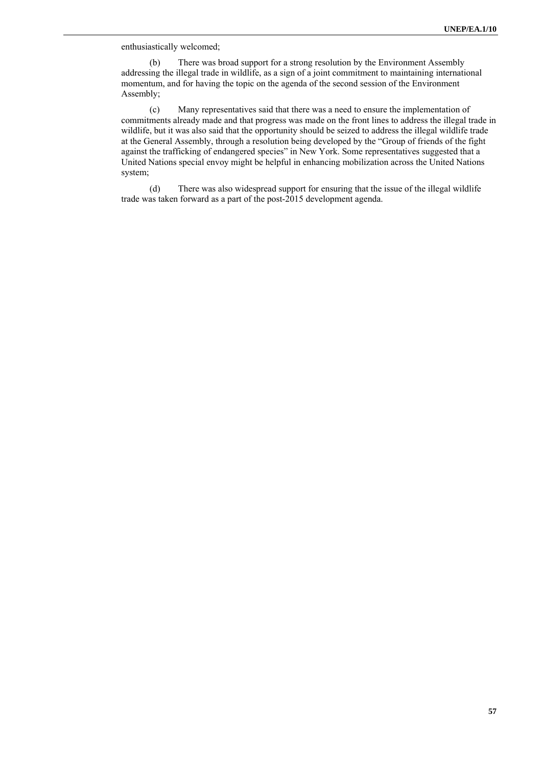enthusiastically welcomed;

(b) There was broad support for a strong resolution by the Environment Assembly addressing the illegal trade in wildlife, as a sign of a joint commitment to maintaining international momentum, and for having the topic on the agenda of the second session of the Environment Assembly;

(c) Many representatives said that there was a need to ensure the implementation of commitments already made and that progress was made on the front lines to address the illegal trade in wildlife, but it was also said that the opportunity should be seized to address the illegal wildlife trade at the General Assembly, through a resolution being developed by the "Group of friends of the fight against the trafficking of endangered species" in New York. Some representatives suggested that a United Nations special envoy might be helpful in enhancing mobilization across the United Nations system;

(d) There was also widespread support for ensuring that the issue of the illegal wildlife trade was taken forward as a part of the post-2015 development agenda.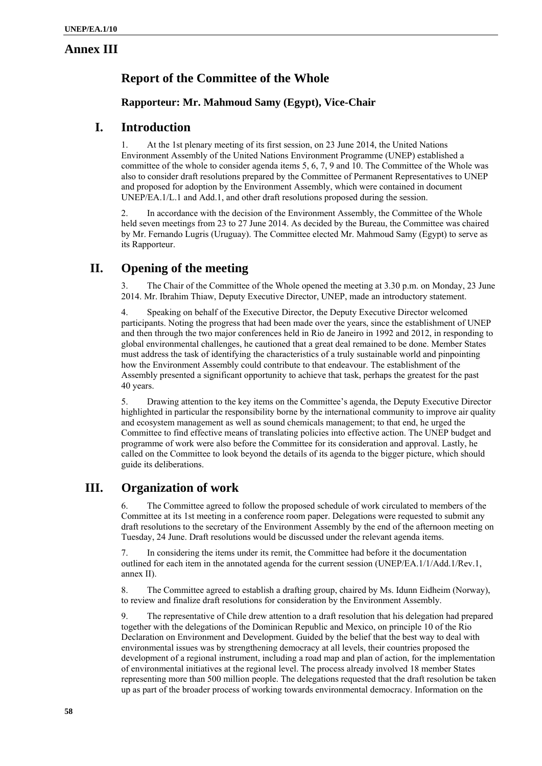### **Annex III**

# **Report of the Committee of the Whole**

### **Rapporteur: Mr. Mahmoud Samy (Egypt), Vice-Chair**

# **I. Introduction**

1. At the 1st plenary meeting of its first session, on 23 June 2014, the United Nations Environment Assembly of the United Nations Environment Programme (UNEP) established a committee of the whole to consider agenda items 5, 6, 7, 9 and 10. The Committee of the Whole was also to consider draft resolutions prepared by the Committee of Permanent Representatives to UNEP and proposed for adoption by the Environment Assembly, which were contained in document UNEP/EA.1/L.1 and Add.1, and other draft resolutions proposed during the session.

2. In accordance with the decision of the Environment Assembly, the Committee of the Whole held seven meetings from 23 to 27 June 2014. As decided by the Bureau, the Committee was chaired by Mr. Fernando Lugris (Uruguay). The Committee elected Mr. Mahmoud Samy (Egypt) to serve as its Rapporteur.

# **II. Opening of the meeting**

3. The Chair of the Committee of the Whole opened the meeting at 3.30 p.m. on Monday, 23 June 2014. Mr. Ibrahim Thiaw, Deputy Executive Director, UNEP, made an introductory statement.

4. Speaking on behalf of the Executive Director, the Deputy Executive Director welcomed participants. Noting the progress that had been made over the years, since the establishment of UNEP and then through the two major conferences held in Rio de Janeiro in 1992 and 2012, in responding to global environmental challenges, he cautioned that a great deal remained to be done. Member States must address the task of identifying the characteristics of a truly sustainable world and pinpointing how the Environment Assembly could contribute to that endeavour. The establishment of the Assembly presented a significant opportunity to achieve that task, perhaps the greatest for the past 40 years.

5. Drawing attention to the key items on the Committee's agenda, the Deputy Executive Director highlighted in particular the responsibility borne by the international community to improve air quality and ecosystem management as well as sound chemicals management; to that end, he urged the Committee to find effective means of translating policies into effective action. The UNEP budget and programme of work were also before the Committee for its consideration and approval. Lastly, he called on the Committee to look beyond the details of its agenda to the bigger picture, which should guide its deliberations.

# **III. Organization of work**

6. The Committee agreed to follow the proposed schedule of work circulated to members of the Committee at its 1st meeting in a conference room paper. Delegations were requested to submit any draft resolutions to the secretary of the Environment Assembly by the end of the afternoon meeting on Tuesday, 24 June. Draft resolutions would be discussed under the relevant agenda items.

7. In considering the items under its remit, the Committee had before it the documentation outlined for each item in the annotated agenda for the current session (UNEP/EA.1/1/Add.1/Rev.1, annex II).

8. The Committee agreed to establish a drafting group, chaired by Ms. Idunn Eidheim (Norway), to review and finalize draft resolutions for consideration by the Environment Assembly.

9. The representative of Chile drew attention to a draft resolution that his delegation had prepared together with the delegations of the Dominican Republic and Mexico, on principle 10 of the Rio Declaration on Environment and Development. Guided by the belief that the best way to deal with environmental issues was by strengthening democracy at all levels, their countries proposed the development of a regional instrument, including a road map and plan of action, for the implementation of environmental initiatives at the regional level. The process already involved 18 member States representing more than 500 million people. The delegations requested that the draft resolution be taken up as part of the broader process of working towards environmental democracy. Information on the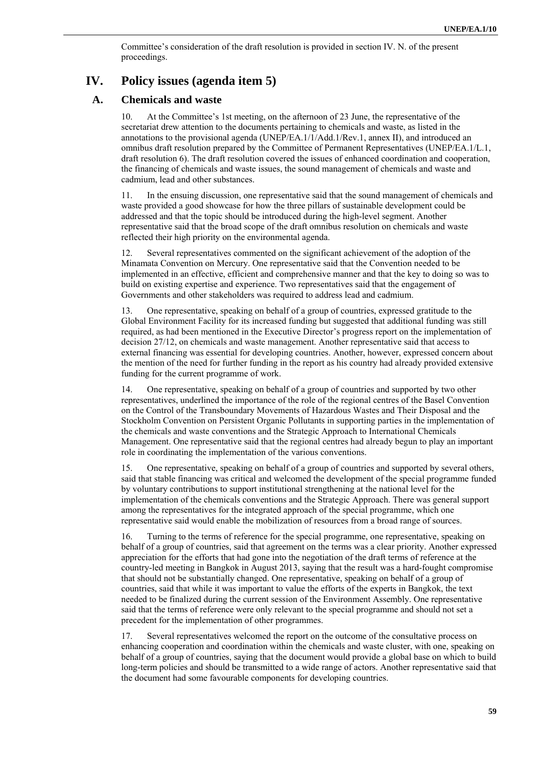Committee's consideration of the draft resolution is provided in section IV. N. of the present proceedings.

### **IV. Policy issues (agenda item 5)**

#### **A. Chemicals and waste**

10. At the Committee's 1st meeting, on the afternoon of 23 June, the representative of the secretariat drew attention to the documents pertaining to chemicals and waste, as listed in the annotations to the provisional agenda (UNEP/EA.1/1/Add.1/Rev.1, annex II), and introduced an omnibus draft resolution prepared by the Committee of Permanent Representatives (UNEP/EA.1/L.1, draft resolution 6). The draft resolution covered the issues of enhanced coordination and cooperation, the financing of chemicals and waste issues, the sound management of chemicals and waste and cadmium, lead and other substances.

11. In the ensuing discussion, one representative said that the sound management of chemicals and waste provided a good showcase for how the three pillars of sustainable development could be addressed and that the topic should be introduced during the high-level segment. Another representative said that the broad scope of the draft omnibus resolution on chemicals and waste reflected their high priority on the environmental agenda.

12. Several representatives commented on the significant achievement of the adoption of the Minamata Convention on Mercury. One representative said that the Convention needed to be implemented in an effective, efficient and comprehensive manner and that the key to doing so was to build on existing expertise and experience. Two representatives said that the engagement of Governments and other stakeholders was required to address lead and cadmium.

13. One representative, speaking on behalf of a group of countries, expressed gratitude to the Global Environment Facility for its increased funding but suggested that additional funding was still required, as had been mentioned in the Executive Director's progress report on the implementation of decision 27/12, on chemicals and waste management. Another representative said that access to external financing was essential for developing countries. Another, however, expressed concern about the mention of the need for further funding in the report as his country had already provided extensive funding for the current programme of work.

14. One representative, speaking on behalf of a group of countries and supported by two other representatives, underlined the importance of the role of the regional centres of the Basel Convention on the Control of the Transboundary Movements of Hazardous Wastes and Their Disposal and the Stockholm Convention on Persistent Organic Pollutants in supporting parties in the implementation of the chemicals and waste conventions and the Strategic Approach to International Chemicals Management. One representative said that the regional centres had already begun to play an important role in coordinating the implementation of the various conventions.

15. One representative, speaking on behalf of a group of countries and supported by several others, said that stable financing was critical and welcomed the development of the special programme funded by voluntary contributions to support institutional strengthening at the national level for the implementation of the chemicals conventions and the Strategic Approach. There was general support among the representatives for the integrated approach of the special programme, which one representative said would enable the mobilization of resources from a broad range of sources.

16. Turning to the terms of reference for the special programme, one representative, speaking on behalf of a group of countries, said that agreement on the terms was a clear priority. Another expressed appreciation for the efforts that had gone into the negotiation of the draft terms of reference at the country-led meeting in Bangkok in August 2013, saying that the result was a hard-fought compromise that should not be substantially changed. One representative, speaking on behalf of a group of countries, said that while it was important to value the efforts of the experts in Bangkok, the text needed to be finalized during the current session of the Environment Assembly. One representative said that the terms of reference were only relevant to the special programme and should not set a precedent for the implementation of other programmes.

17. Several representatives welcomed the report on the outcome of the consultative process on enhancing cooperation and coordination within the chemicals and waste cluster, with one, speaking on behalf of a group of countries, saying that the document would provide a global base on which to build long-term policies and should be transmitted to a wide range of actors. Another representative said that the document had some favourable components for developing countries.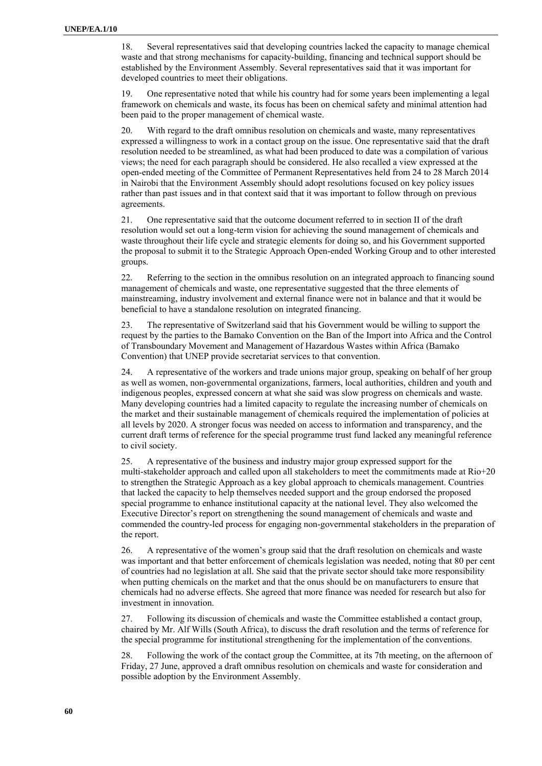18. Several representatives said that developing countries lacked the capacity to manage chemical waste and that strong mechanisms for capacity-building, financing and technical support should be established by the Environment Assembly. Several representatives said that it was important for developed countries to meet their obligations.

19. One representative noted that while his country had for some years been implementing a legal framework on chemicals and waste, its focus has been on chemical safety and minimal attention had been paid to the proper management of chemical waste.

20. With regard to the draft omnibus resolution on chemicals and waste, many representatives expressed a willingness to work in a contact group on the issue. One representative said that the draft resolution needed to be streamlined, as what had been produced to date was a compilation of various views; the need for each paragraph should be considered. He also recalled a view expressed at the open-ended meeting of the Committee of Permanent Representatives held from 24 to 28 March 2014 in Nairobi that the Environment Assembly should adopt resolutions focused on key policy issues rather than past issues and in that context said that it was important to follow through on previous agreements.

21. One representative said that the outcome document referred to in section II of the draft resolution would set out a long-term vision for achieving the sound management of chemicals and waste throughout their life cycle and strategic elements for doing so, and his Government supported the proposal to submit it to the Strategic Approach Open-ended Working Group and to other interested groups.

22. Referring to the section in the omnibus resolution on an integrated approach to financing sound management of chemicals and waste, one representative suggested that the three elements of mainstreaming, industry involvement and external finance were not in balance and that it would be beneficial to have a standalone resolution on integrated financing.

23. The representative of Switzerland said that his Government would be willing to support the request by the parties to the Bamako Convention on the Ban of the Import into Africa and the Control of Transboundary Movement and Management of Hazardous Wastes within Africa (Bamako Convention) that UNEP provide secretariat services to that convention.

24. A representative of the workers and trade unions major group, speaking on behalf of her group as well as women, non-governmental organizations, farmers, local authorities, children and youth and indigenous peoples, expressed concern at what she said was slow progress on chemicals and waste. Many developing countries had a limited capacity to regulate the increasing number of chemicals on the market and their sustainable management of chemicals required the implementation of policies at all levels by 2020. A stronger focus was needed on access to information and transparency, and the current draft terms of reference for the special programme trust fund lacked any meaningful reference to civil society.

25. A representative of the business and industry major group expressed support for the multi-stakeholder approach and called upon all stakeholders to meet the commitments made at Rio+20 to strengthen the Strategic Approach as a key global approach to chemicals management. Countries that lacked the capacity to help themselves needed support and the group endorsed the proposed special programme to enhance institutional capacity at the national level. They also welcomed the Executive Director's report on strengthening the sound management of chemicals and waste and commended the country-led process for engaging non-governmental stakeholders in the preparation of the report.

26. A representative of the women's group said that the draft resolution on chemicals and waste was important and that better enforcement of chemicals legislation was needed, noting that 80 per cent of countries had no legislation at all. She said that the private sector should take more responsibility when putting chemicals on the market and that the onus should be on manufacturers to ensure that chemicals had no adverse effects. She agreed that more finance was needed for research but also for investment in innovation.

27. Following its discussion of chemicals and waste the Committee established a contact group, chaired by Mr. Alf Wills (South Africa), to discuss the draft resolution and the terms of reference for the special programme for institutional strengthening for the implementation of the conventions.

28. Following the work of the contact group the Committee, at its 7th meeting, on the afternoon of Friday, 27 June, approved a draft omnibus resolution on chemicals and waste for consideration and possible adoption by the Environment Assembly.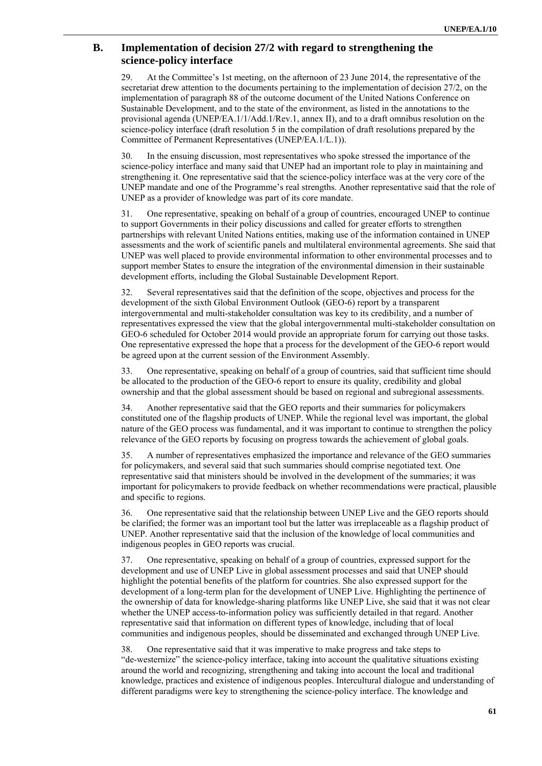### **B. Implementation of decision 27/2 with regard to strengthening the science-policy interface**

29. At the Committee's 1st meeting, on the afternoon of 23 June 2014, the representative of the secretariat drew attention to the documents pertaining to the implementation of decision 27/2, on the implementation of paragraph 88 of the outcome document of the United Nations Conference on Sustainable Development, and to the state of the environment, as listed in the annotations to the provisional agenda (UNEP/EA.1/1/Add.1/Rev.1, annex II), and to a draft omnibus resolution on the science-policy interface (draft resolution 5 in the compilation of draft resolutions prepared by the Committee of Permanent Representatives (UNEP/EA.1/L.1)).

30. In the ensuing discussion, most representatives who spoke stressed the importance of the science-policy interface and many said that UNEP had an important role to play in maintaining and strengthening it. One representative said that the science-policy interface was at the very core of the UNEP mandate and one of the Programme's real strengths. Another representative said that the role of UNEP as a provider of knowledge was part of its core mandate.

31. One representative, speaking on behalf of a group of countries, encouraged UNEP to continue to support Governments in their policy discussions and called for greater efforts to strengthen partnerships with relevant United Nations entities, making use of the information contained in UNEP assessments and the work of scientific panels and multilateral environmental agreements. She said that UNEP was well placed to provide environmental information to other environmental processes and to support member States to ensure the integration of the environmental dimension in their sustainable development efforts, including the Global Sustainable Development Report.

32. Several representatives said that the definition of the scope, objectives and process for the development of the sixth Global Environment Outlook (GEO-6) report by a transparent intergovernmental and multi-stakeholder consultation was key to its credibility, and a number of representatives expressed the view that the global intergovernmental multi-stakeholder consultation on GEO-6 scheduled for October 2014 would provide an appropriate forum for carrying out those tasks. One representative expressed the hope that a process for the development of the GEO-6 report would be agreed upon at the current session of the Environment Assembly.

33. One representative, speaking on behalf of a group of countries, said that sufficient time should be allocated to the production of the GEO-6 report to ensure its quality, credibility and global ownership and that the global assessment should be based on regional and subregional assessments.

34. Another representative said that the GEO reports and their summaries for policymakers constituted one of the flagship products of UNEP. While the regional level was important, the global nature of the GEO process was fundamental, and it was important to continue to strengthen the policy relevance of the GEO reports by focusing on progress towards the achievement of global goals.

35. A number of representatives emphasized the importance and relevance of the GEO summaries for policymakers, and several said that such summaries should comprise negotiated text. One representative said that ministers should be involved in the development of the summaries; it was important for policymakers to provide feedback on whether recommendations were practical, plausible and specific to regions.

36. One representative said that the relationship between UNEP Live and the GEO reports should be clarified; the former was an important tool but the latter was irreplaceable as a flagship product of UNEP. Another representative said that the inclusion of the knowledge of local communities and indigenous peoples in GEO reports was crucial.

37. One representative, speaking on behalf of a group of countries, expressed support for the development and use of UNEP Live in global assessment processes and said that UNEP should highlight the potential benefits of the platform for countries. She also expressed support for the development of a long-term plan for the development of UNEP Live. Highlighting the pertinence of the ownership of data for knowledge-sharing platforms like UNEP Live, she said that it was not clear whether the UNEP access-to-information policy was sufficiently detailed in that regard. Another representative said that information on different types of knowledge, including that of local communities and indigenous peoples, should be disseminated and exchanged through UNEP Live.

38. One representative said that it was imperative to make progress and take steps to "de-westernize" the science-policy interface, taking into account the qualitative situations existing around the world and recognizing, strengthening and taking into account the local and traditional knowledge, practices and existence of indigenous peoples. Intercultural dialogue and understanding of different paradigms were key to strengthening the science-policy interface. The knowledge and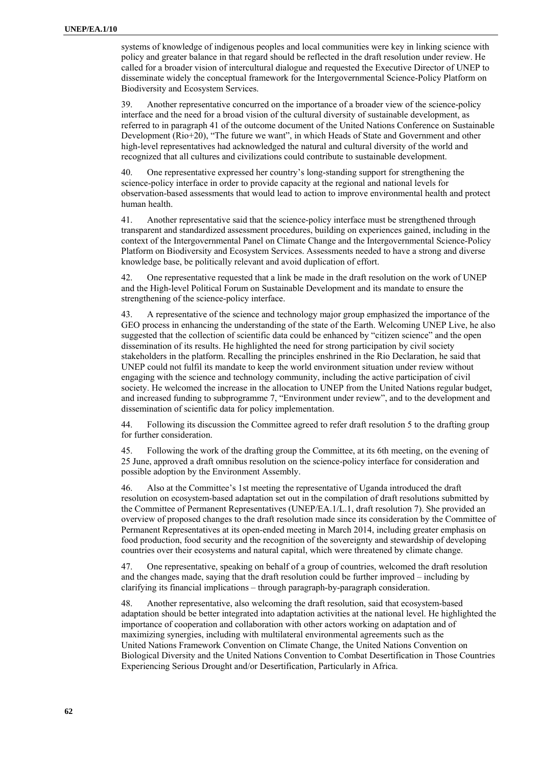systems of knowledge of indigenous peoples and local communities were key in linking science with policy and greater balance in that regard should be reflected in the draft resolution under review. He called for a broader vision of intercultural dialogue and requested the Executive Director of UNEP to disseminate widely the conceptual framework for the Intergovernmental Science-Policy Platform on Biodiversity and Ecosystem Services.

39. Another representative concurred on the importance of a broader view of the science-policy interface and the need for a broad vision of the cultural diversity of sustainable development, as referred to in paragraph 41 of the outcome document of the United Nations Conference on Sustainable Development (Rio+20), "The future we want", in which Heads of State and Government and other high-level representatives had acknowledged the natural and cultural diversity of the world and recognized that all cultures and civilizations could contribute to sustainable development.

40. One representative expressed her country's long-standing support for strengthening the science-policy interface in order to provide capacity at the regional and national levels for observation-based assessments that would lead to action to improve environmental health and protect human health.

41. Another representative said that the science-policy interface must be strengthened through transparent and standardized assessment procedures, building on experiences gained, including in the context of the Intergovernmental Panel on Climate Change and the Intergovernmental Science-Policy Platform on Biodiversity and Ecosystem Services. Assessments needed to have a strong and diverse knowledge base, be politically relevant and avoid duplication of effort.

42. One representative requested that a link be made in the draft resolution on the work of UNEP and the High-level Political Forum on Sustainable Development and its mandate to ensure the strengthening of the science-policy interface.

43. A representative of the science and technology major group emphasized the importance of the GEO process in enhancing the understanding of the state of the Earth. Welcoming UNEP Live, he also suggested that the collection of scientific data could be enhanced by "citizen science" and the open dissemination of its results. He highlighted the need for strong participation by civil society stakeholders in the platform. Recalling the principles enshrined in the Rio Declaration, he said that UNEP could not fulfil its mandate to keep the world environment situation under review without engaging with the science and technology community, including the active participation of civil society. He welcomed the increase in the allocation to UNEP from the United Nations regular budget, and increased funding to subprogramme 7, "Environment under review", and to the development and dissemination of scientific data for policy implementation.

44. Following its discussion the Committee agreed to refer draft resolution 5 to the drafting group for further consideration.

45. Following the work of the drafting group the Committee, at its 6th meeting, on the evening of 25 June, approved a draft omnibus resolution on the science-policy interface for consideration and possible adoption by the Environment Assembly.

46. Also at the Committee's 1st meeting the representative of Uganda introduced the draft resolution on ecosystem-based adaptation set out in the compilation of draft resolutions submitted by the Committee of Permanent Representatives (UNEP/EA.1/L.1, draft resolution 7). She provided an overview of proposed changes to the draft resolution made since its consideration by the Committee of Permanent Representatives at its open-ended meeting in March 2014, including greater emphasis on food production, food security and the recognition of the sovereignty and stewardship of developing countries over their ecosystems and natural capital, which were threatened by climate change.

47. One representative, speaking on behalf of a group of countries, welcomed the draft resolution and the changes made, saying that the draft resolution could be further improved – including by clarifying its financial implications – through paragraph-by-paragraph consideration.

48. Another representative, also welcoming the draft resolution, said that ecosystem-based adaptation should be better integrated into adaptation activities at the national level. He highlighted the importance of cooperation and collaboration with other actors working on adaptation and of maximizing synergies, including with multilateral environmental agreements such as the United Nations Framework Convention on Climate Change, the United Nations Convention on Biological Diversity and the United Nations Convention to Combat Desertification in Those Countries Experiencing Serious Drought and/or Desertification, Particularly in Africa.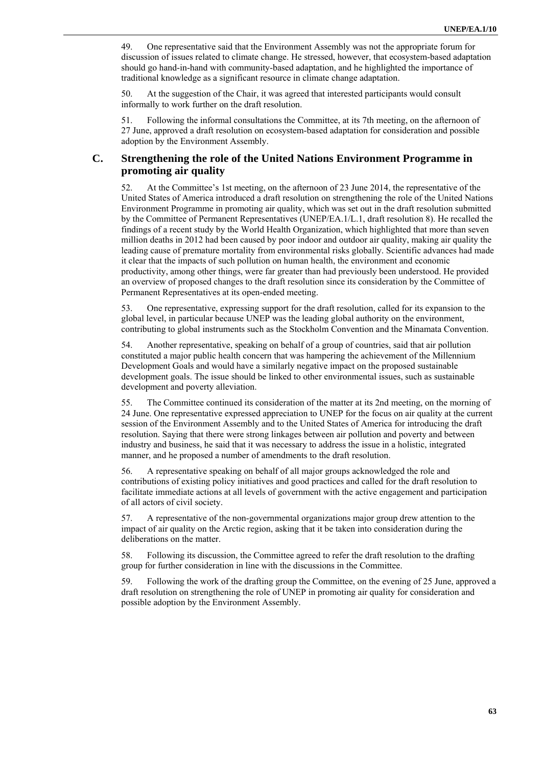49. One representative said that the Environment Assembly was not the appropriate forum for discussion of issues related to climate change. He stressed, however, that ecosystem-based adaptation should go hand-in-hand with community-based adaptation, and he highlighted the importance of traditional knowledge as a significant resource in climate change adaptation.

50. At the suggestion of the Chair, it was agreed that interested participants would consult informally to work further on the draft resolution.

51. Following the informal consultations the Committee, at its 7th meeting, on the afternoon of 27 June, approved a draft resolution on ecosystem-based adaptation for consideration and possible adoption by the Environment Assembly.

### **C. Strengthening the role of the United Nations Environment Programme in promoting air quality**

52. At the Committee's 1st meeting, on the afternoon of 23 June 2014, the representative of the United States of America introduced a draft resolution on strengthening the role of the United Nations Environment Programme in promoting air quality, which was set out in the draft resolution submitted by the Committee of Permanent Representatives (UNEP/EA.1/L.1, draft resolution 8). He recalled the findings of a recent study by the World Health Organization, which highlighted that more than seven million deaths in 2012 had been caused by poor indoor and outdoor air quality, making air quality the leading cause of premature mortality from environmental risks globally. Scientific advances had made it clear that the impacts of such pollution on human health, the environment and economic productivity, among other things, were far greater than had previously been understood. He provided an overview of proposed changes to the draft resolution since its consideration by the Committee of Permanent Representatives at its open-ended meeting.

53. One representative, expressing support for the draft resolution, called for its expansion to the global level, in particular because UNEP was the leading global authority on the environment, contributing to global instruments such as the Stockholm Convention and the Minamata Convention.

54. Another representative, speaking on behalf of a group of countries, said that air pollution constituted a major public health concern that was hampering the achievement of the Millennium Development Goals and would have a similarly negative impact on the proposed sustainable development goals. The issue should be linked to other environmental issues, such as sustainable development and poverty alleviation.

55. The Committee continued its consideration of the matter at its 2nd meeting, on the morning of 24 June. One representative expressed appreciation to UNEP for the focus on air quality at the current session of the Environment Assembly and to the United States of America for introducing the draft resolution. Saying that there were strong linkages between air pollution and poverty and between industry and business, he said that it was necessary to address the issue in a holistic, integrated manner, and he proposed a number of amendments to the draft resolution.

56. A representative speaking on behalf of all major groups acknowledged the role and contributions of existing policy initiatives and good practices and called for the draft resolution to facilitate immediate actions at all levels of government with the active engagement and participation of all actors of civil society.

57. A representative of the non-governmental organizations major group drew attention to the impact of air quality on the Arctic region, asking that it be taken into consideration during the deliberations on the matter.

58. Following its discussion, the Committee agreed to refer the draft resolution to the drafting group for further consideration in line with the discussions in the Committee.

59. Following the work of the drafting group the Committee, on the evening of 25 June, approved a draft resolution on strengthening the role of UNEP in promoting air quality for consideration and possible adoption by the Environment Assembly.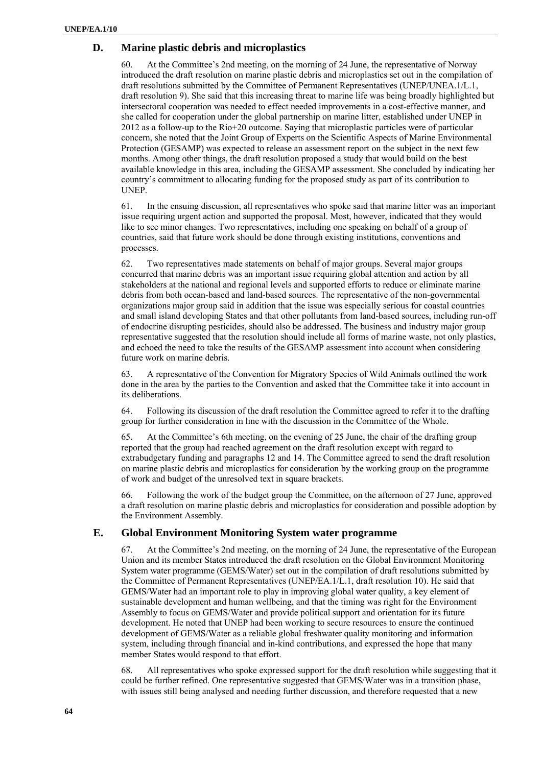#### **D. Marine plastic debris and microplastics**

60. At the Committee's 2nd meeting, on the morning of 24 June, the representative of Norway introduced the draft resolution on marine plastic debris and microplastics set out in the compilation of draft resolutions submitted by the Committee of Permanent Representatives (UNEP/UNEA.1/L.1, draft resolution 9). She said that this increasing threat to marine life was being broadly highlighted but intersectoral cooperation was needed to effect needed improvements in a cost-effective manner, and she called for cooperation under the global partnership on marine litter, established under UNEP in 2012 as a follow-up to the Rio+20 outcome. Saying that microplastic particles were of particular concern, she noted that the Joint Group of Experts on the Scientific Aspects of Marine Environmental Protection (GESAMP) was expected to release an assessment report on the subject in the next few months. Among other things, the draft resolution proposed a study that would build on the best available knowledge in this area, including the GESAMP assessment. She concluded by indicating her country's commitment to allocating funding for the proposed study as part of its contribution to UNEP.

61. In the ensuing discussion, all representatives who spoke said that marine litter was an important issue requiring urgent action and supported the proposal. Most, however, indicated that they would like to see minor changes. Two representatives, including one speaking on behalf of a group of countries, said that future work should be done through existing institutions, conventions and processes.

62. Two representatives made statements on behalf of major groups. Several major groups concurred that marine debris was an important issue requiring global attention and action by all stakeholders at the national and regional levels and supported efforts to reduce or eliminate marine debris from both ocean-based and land-based sources. The representative of the non-governmental organizations major group said in addition that the issue was especially serious for coastal countries and small island developing States and that other pollutants from land-based sources, including run-off of endocrine disrupting pesticides, should also be addressed. The business and industry major group representative suggested that the resolution should include all forms of marine waste, not only plastics, and echoed the need to take the results of the GESAMP assessment into account when considering future work on marine debris.

63. A representative of the Convention for Migratory Species of Wild Animals outlined the work done in the area by the parties to the Convention and asked that the Committee take it into account in its deliberations.

64. Following its discussion of the draft resolution the Committee agreed to refer it to the drafting group for further consideration in line with the discussion in the Committee of the Whole.

65. At the Committee's 6th meeting, on the evening of 25 June, the chair of the drafting group reported that the group had reached agreement on the draft resolution except with regard to extrabudgetary funding and paragraphs 12 and 14. The Committee agreed to send the draft resolution on marine plastic debris and microplastics for consideration by the working group on the programme of work and budget of the unresolved text in square brackets.

66. Following the work of the budget group the Committee, on the afternoon of 27 June, approved a draft resolution on marine plastic debris and microplastics for consideration and possible adoption by the Environment Assembly.

#### **E. Global Environment Monitoring System water programme**

67. At the Committee's 2nd meeting, on the morning of 24 June, the representative of the European Union and its member States introduced the draft resolution on the Global Environment Monitoring System water programme (GEMS/Water) set out in the compilation of draft resolutions submitted by the Committee of Permanent Representatives (UNEP/EA.1/L.1, draft resolution 10). He said that GEMS/Water had an important role to play in improving global water quality, a key element of sustainable development and human wellbeing, and that the timing was right for the Environment Assembly to focus on GEMS/Water and provide political support and orientation for its future development. He noted that UNEP had been working to secure resources to ensure the continued development of GEMS/Water as a reliable global freshwater quality monitoring and information system, including through financial and in-kind contributions, and expressed the hope that many member States would respond to that effort.

68. All representatives who spoke expressed support for the draft resolution while suggesting that it could be further refined. One representative suggested that GEMS/Water was in a transition phase, with issues still being analysed and needing further discussion, and therefore requested that a new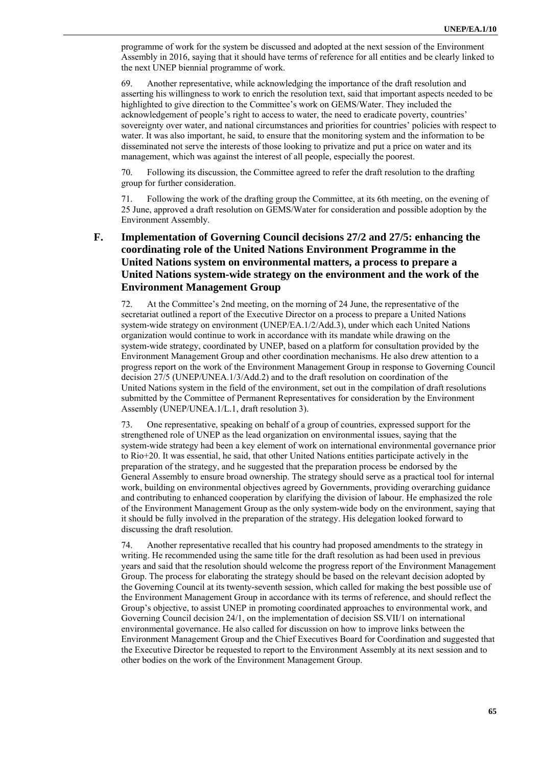programme of work for the system be discussed and adopted at the next session of the Environment Assembly in 2016, saying that it should have terms of reference for all entities and be clearly linked to the next UNEP biennial programme of work.

69. Another representative, while acknowledging the importance of the draft resolution and asserting his willingness to work to enrich the resolution text, said that important aspects needed to be highlighted to give direction to the Committee's work on GEMS/Water. They included the acknowledgement of people's right to access to water, the need to eradicate poverty, countries' sovereignty over water, and national circumstances and priorities for countries' policies with respect to water. It was also important, he said, to ensure that the monitoring system and the information to be disseminated not serve the interests of those looking to privatize and put a price on water and its management, which was against the interest of all people, especially the poorest.

70. Following its discussion, the Committee agreed to refer the draft resolution to the drafting group for further consideration.

71. Following the work of the drafting group the Committee, at its 6th meeting, on the evening of 25 June, approved a draft resolution on GEMS/Water for consideration and possible adoption by the Environment Assembly.

### **F. Implementation of Governing Council decisions 27/2 and 27/5: enhancing the coordinating role of the United Nations Environment Programme in the United Nations system on environmental matters, a process to prepare a United Nations system-wide strategy on the environment and the work of the Environment Management Group**

72. At the Committee's 2nd meeting, on the morning of 24 June, the representative of the secretariat outlined a report of the Executive Director on a process to prepare a United Nations system-wide strategy on environment (UNEP/EA.1/2/Add.3), under which each United Nations organization would continue to work in accordance with its mandate while drawing on the system-wide strategy, coordinated by UNEP, based on a platform for consultation provided by the Environment Management Group and other coordination mechanisms. He also drew attention to a progress report on the work of the Environment Management Group in response to Governing Council decision 27/5 (UNEP/UNEA.1/3/Add.2) and to the draft resolution on coordination of the United Nations system in the field of the environment, set out in the compilation of draft resolutions submitted by the Committee of Permanent Representatives for consideration by the Environment Assembly (UNEP/UNEA.1/L.1, draft resolution 3).

73. One representative, speaking on behalf of a group of countries, expressed support for the strengthened role of UNEP as the lead organization on environmental issues, saying that the system-wide strategy had been a key element of work on international environmental governance prior to Rio+20. It was essential, he said, that other United Nations entities participate actively in the preparation of the strategy, and he suggested that the preparation process be endorsed by the General Assembly to ensure broad ownership. The strategy should serve as a practical tool for internal work, building on environmental objectives agreed by Governments, providing overarching guidance and contributing to enhanced cooperation by clarifying the division of labour. He emphasized the role of the Environment Management Group as the only system-wide body on the environment, saying that it should be fully involved in the preparation of the strategy. His delegation looked forward to discussing the draft resolution.

74. Another representative recalled that his country had proposed amendments to the strategy in writing. He recommended using the same title for the draft resolution as had been used in previous years and said that the resolution should welcome the progress report of the Environment Management Group. The process for elaborating the strategy should be based on the relevant decision adopted by the Governing Council at its twenty-seventh session, which called for making the best possible use of the Environment Management Group in accordance with its terms of reference, and should reflect the Group's objective, to assist UNEP in promoting coordinated approaches to environmental work, and Governing Council decision 24/1, on the implementation of decision SS.VII/1 on international environmental governance. He also called for discussion on how to improve links between the Environment Management Group and the Chief Executives Board for Coordination and suggested that the Executive Director be requested to report to the Environment Assembly at its next session and to other bodies on the work of the Environment Management Group.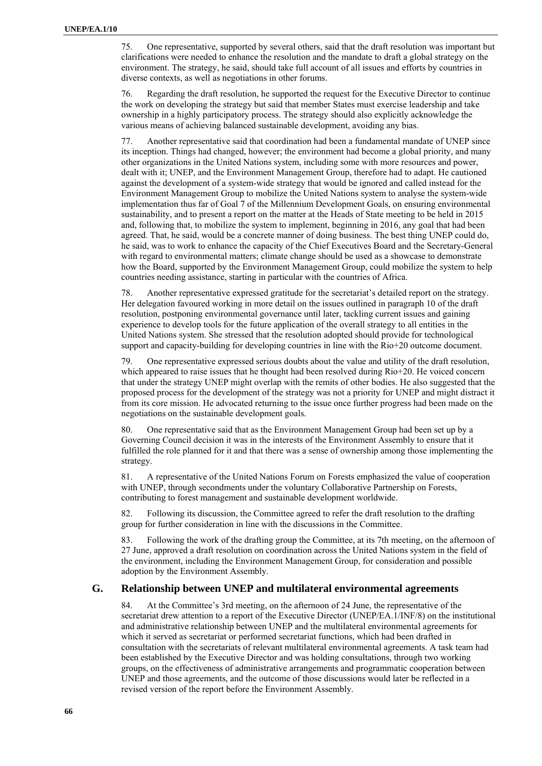75. One representative, supported by several others, said that the draft resolution was important but clarifications were needed to enhance the resolution and the mandate to draft a global strategy on the environment. The strategy, he said, should take full account of all issues and efforts by countries in diverse contexts, as well as negotiations in other forums.

76. Regarding the draft resolution, he supported the request for the Executive Director to continue the work on developing the strategy but said that member States must exercise leadership and take ownership in a highly participatory process. The strategy should also explicitly acknowledge the various means of achieving balanced sustainable development, avoiding any bias.

77. Another representative said that coordination had been a fundamental mandate of UNEP since its inception. Things had changed, however; the environment had become a global priority, and many other organizations in the United Nations system, including some with more resources and power, dealt with it; UNEP, and the Environment Management Group, therefore had to adapt. He cautioned against the development of a system-wide strategy that would be ignored and called instead for the Environment Management Group to mobilize the United Nations system to analyse the system-wide implementation thus far of Goal 7 of the Millennium Development Goals, on ensuring environmental sustainability, and to present a report on the matter at the Heads of State meeting to be held in 2015 and, following that, to mobilize the system to implement, beginning in 2016, any goal that had been agreed. That, he said, would be a concrete manner of doing business. The best thing UNEP could do, he said, was to work to enhance the capacity of the Chief Executives Board and the Secretary-General with regard to environmental matters; climate change should be used as a showcase to demonstrate how the Board, supported by the Environment Management Group, could mobilize the system to help countries needing assistance, starting in particular with the countries of Africa.

78. Another representative expressed gratitude for the secretariat's detailed report on the strategy. Her delegation favoured working in more detail on the issues outlined in paragraph 10 of the draft resolution, postponing environmental governance until later, tackling current issues and gaining experience to develop tools for the future application of the overall strategy to all entities in the United Nations system. She stressed that the resolution adopted should provide for technological support and capacity-building for developing countries in line with the Rio+20 outcome document.

79. One representative expressed serious doubts about the value and utility of the draft resolution, which appeared to raise issues that he thought had been resolved during Rio+20. He voiced concern that under the strategy UNEP might overlap with the remits of other bodies. He also suggested that the proposed process for the development of the strategy was not a priority for UNEP and might distract it from its core mission. He advocated returning to the issue once further progress had been made on the negotiations on the sustainable development goals.

80. One representative said that as the Environment Management Group had been set up by a Governing Council decision it was in the interests of the Environment Assembly to ensure that it fulfilled the role planned for it and that there was a sense of ownership among those implementing the strategy.

81. A representative of the United Nations Forum on Forests emphasized the value of cooperation with UNEP, through secondments under the voluntary Collaborative Partnership on Forests, contributing to forest management and sustainable development worldwide.

82. Following its discussion, the Committee agreed to refer the draft resolution to the drafting group for further consideration in line with the discussions in the Committee.

83. Following the work of the drafting group the Committee, at its 7th meeting, on the afternoon of 27 June, approved a draft resolution on coordination across the United Nations system in the field of the environment, including the Environment Management Group, for consideration and possible adoption by the Environment Assembly.

### **G. Relationship between UNEP and multilateral environmental agreements**

84. At the Committee's 3rd meeting, on the afternoon of 24 June, the representative of the secretariat drew attention to a report of the Executive Director (UNEP/EA.1/INF/8) on the institutional and administrative relationship between UNEP and the multilateral environmental agreements for which it served as secretariat or performed secretariat functions, which had been drafted in consultation with the secretariats of relevant multilateral environmental agreements. A task team had been established by the Executive Director and was holding consultations, through two working groups, on the effectiveness of administrative arrangements and programmatic cooperation between UNEP and those agreements, and the outcome of those discussions would later be reflected in a revised version of the report before the Environment Assembly.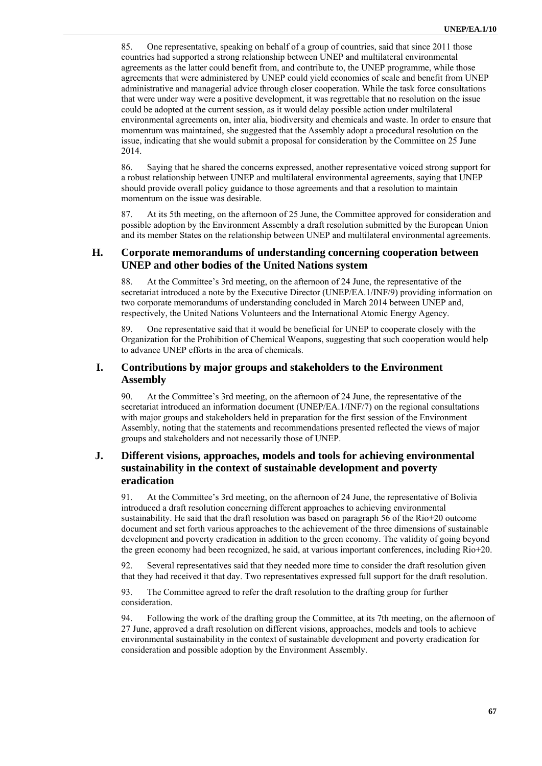85. One representative, speaking on behalf of a group of countries, said that since 2011 those countries had supported a strong relationship between UNEP and multilateral environmental agreements as the latter could benefit from, and contribute to, the UNEP programme, while those agreements that were administered by UNEP could yield economies of scale and benefit from UNEP administrative and managerial advice through closer cooperation. While the task force consultations that were under way were a positive development, it was regrettable that no resolution on the issue could be adopted at the current session, as it would delay possible action under multilateral environmental agreements on, inter alia, biodiversity and chemicals and waste. In order to ensure that momentum was maintained, she suggested that the Assembly adopt a procedural resolution on the issue, indicating that she would submit a proposal for consideration by the Committee on 25 June 2014.

86. Saying that he shared the concerns expressed, another representative voiced strong support for a robust relationship between UNEP and multilateral environmental agreements, saying that UNEP should provide overall policy guidance to those agreements and that a resolution to maintain momentum on the issue was desirable.

87. At its 5th meeting, on the afternoon of 25 June, the Committee approved for consideration and possible adoption by the Environment Assembly a draft resolution submitted by the European Union and its member States on the relationship between UNEP and multilateral environmental agreements.

### **H. Corporate memorandums of understanding concerning cooperation between UNEP and other bodies of the United Nations system**

88. At the Committee's 3rd meeting, on the afternoon of 24 June, the representative of the secretariat introduced a note by the Executive Director (UNEP/EA.1/INF/9) providing information on two corporate memorandums of understanding concluded in March 2014 between UNEP and, respectively, the United Nations Volunteers and the International Atomic Energy Agency.

89. One representative said that it would be beneficial for UNEP to cooperate closely with the Organization for the Prohibition of Chemical Weapons, suggesting that such cooperation would help to advance UNEP efforts in the area of chemicals.

### **I. Contributions by major groups and stakeholders to the Environment Assembly**

90. At the Committee's 3rd meeting, on the afternoon of 24 June, the representative of the secretariat introduced an information document (UNEP/EA.1/INF/7) on the regional consultations with major groups and stakeholders held in preparation for the first session of the Environment Assembly, noting that the statements and recommendations presented reflected the views of major groups and stakeholders and not necessarily those of UNEP.

### **J. Different visions, approaches, models and tools for achieving environmental sustainability in the context of sustainable development and poverty eradication**

91. At the Committee's 3rd meeting, on the afternoon of 24 June, the representative of Bolivia introduced a draft resolution concerning different approaches to achieving environmental sustainability. He said that the draft resolution was based on paragraph 56 of the Rio+20 outcome document and set forth various approaches to the achievement of the three dimensions of sustainable development and poverty eradication in addition to the green economy. The validity of going beyond the green economy had been recognized, he said, at various important conferences, including Rio+20.

92. Several representatives said that they needed more time to consider the draft resolution given that they had received it that day. Two representatives expressed full support for the draft resolution.

93. The Committee agreed to refer the draft resolution to the drafting group for further consideration.

94. Following the work of the drafting group the Committee, at its 7th meeting, on the afternoon of 27 June, approved a draft resolution on different visions, approaches, models and tools to achieve environmental sustainability in the context of sustainable development and poverty eradication for consideration and possible adoption by the Environment Assembly.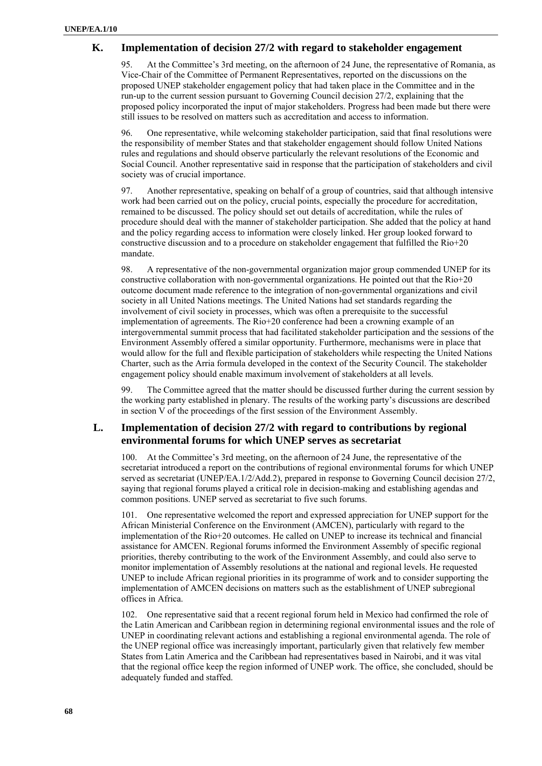#### **K. Implementation of decision 27/2 with regard to stakeholder engagement**

95. At the Committee's 3rd meeting, on the afternoon of 24 June, the representative of Romania, as Vice-Chair of the Committee of Permanent Representatives, reported on the discussions on the proposed UNEP stakeholder engagement policy that had taken place in the Committee and in the run-up to the current session pursuant to Governing Council decision 27/2, explaining that the proposed policy incorporated the input of major stakeholders. Progress had been made but there were still issues to be resolved on matters such as accreditation and access to information.

96. One representative, while welcoming stakeholder participation, said that final resolutions were the responsibility of member States and that stakeholder engagement should follow United Nations rules and regulations and should observe particularly the relevant resolutions of the Economic and Social Council. Another representative said in response that the participation of stakeholders and civil society was of crucial importance.

97. Another representative, speaking on behalf of a group of countries, said that although intensive work had been carried out on the policy, crucial points, especially the procedure for accreditation, remained to be discussed. The policy should set out details of accreditation, while the rules of procedure should deal with the manner of stakeholder participation. She added that the policy at hand and the policy regarding access to information were closely linked. Her group looked forward to constructive discussion and to a procedure on stakeholder engagement that fulfilled the Rio+20 mandate.

98. A representative of the non-governmental organization major group commended UNEP for its constructive collaboration with non-governmental organizations. He pointed out that the Rio+20 outcome document made reference to the integration of non-governmental organizations and civil society in all United Nations meetings. The United Nations had set standards regarding the involvement of civil society in processes, which was often a prerequisite to the successful implementation of agreements. The Rio+20 conference had been a crowning example of an intergovernmental summit process that had facilitated stakeholder participation and the sessions of the Environment Assembly offered a similar opportunity. Furthermore, mechanisms were in place that would allow for the full and flexible participation of stakeholders while respecting the United Nations Charter, such as the Arria formula developed in the context of the Security Council. The stakeholder engagement policy should enable maximum involvement of stakeholders at all levels.

99. The Committee agreed that the matter should be discussed further during the current session by the working party established in plenary. The results of the working party's discussions are described in section V of the proceedings of the first session of the Environment Assembly.

### **L. Implementation of decision 27/2 with regard to contributions by regional environmental forums for which UNEP serves as secretariat**

100. At the Committee's 3rd meeting, on the afternoon of 24 June, the representative of the secretariat introduced a report on the contributions of regional environmental forums for which UNEP served as secretariat (UNEP/EA.1/2/Add.2), prepared in response to Governing Council decision 27/2, saying that regional forums played a critical role in decision-making and establishing agendas and common positions. UNEP served as secretariat to five such forums.

101. One representative welcomed the report and expressed appreciation for UNEP support for the African Ministerial Conference on the Environment (AMCEN), particularly with regard to the implementation of the Rio+20 outcomes. He called on UNEP to increase its technical and financial assistance for AMCEN. Regional forums informed the Environment Assembly of specific regional priorities, thereby contributing to the work of the Environment Assembly, and could also serve to monitor implementation of Assembly resolutions at the national and regional levels. He requested UNEP to include African regional priorities in its programme of work and to consider supporting the implementation of AMCEN decisions on matters such as the establishment of UNEP subregional offices in Africa.

102. One representative said that a recent regional forum held in Mexico had confirmed the role of the Latin American and Caribbean region in determining regional environmental issues and the role of UNEP in coordinating relevant actions and establishing a regional environmental agenda. The role of the UNEP regional office was increasingly important, particularly given that relatively few member States from Latin America and the Caribbean had representatives based in Nairobi, and it was vital that the regional office keep the region informed of UNEP work. The office, she concluded, should be adequately funded and staffed.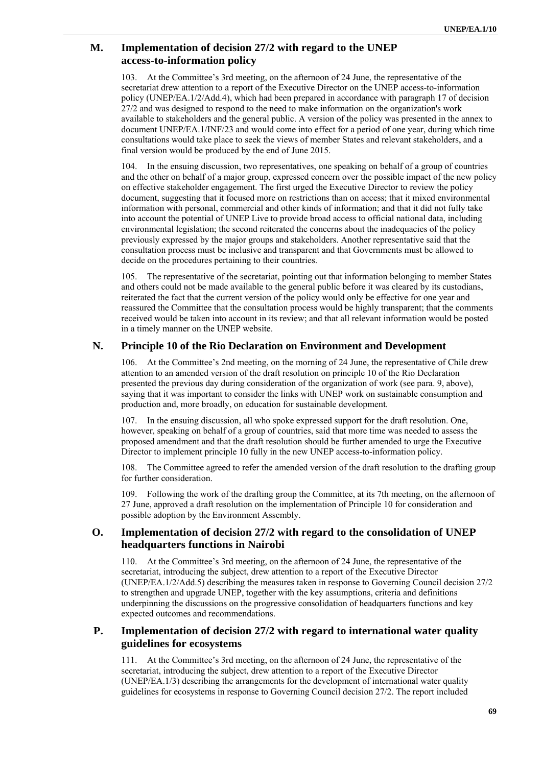### **M. Implementation of decision 27/2 with regard to the UNEP access-to-information policy**

103. At the Committee's 3rd meeting, on the afternoon of 24 June, the representative of the secretariat drew attention to a report of the Executive Director on the UNEP access-to-information policy (UNEP/EA.1/2/Add.4), which had been prepared in accordance with paragraph 17 of decision 27/2 and was designed to respond to the need to make information on the organization's work available to stakeholders and the general public. A version of the policy was presented in the annex to document UNEP/EA.1/INF/23 and would come into effect for a period of one year, during which time consultations would take place to seek the views of member States and relevant stakeholders, and a final version would be produced by the end of June 2015.

104. In the ensuing discussion, two representatives, one speaking on behalf of a group of countries and the other on behalf of a major group, expressed concern over the possible impact of the new policy on effective stakeholder engagement. The first urged the Executive Director to review the policy document, suggesting that it focused more on restrictions than on access; that it mixed environmental information with personal, commercial and other kinds of information; and that it did not fully take into account the potential of UNEP Live to provide broad access to official national data, including environmental legislation; the second reiterated the concerns about the inadequacies of the policy previously expressed by the major groups and stakeholders. Another representative said that the consultation process must be inclusive and transparent and that Governments must be allowed to decide on the procedures pertaining to their countries.

105. The representative of the secretariat, pointing out that information belonging to member States and others could not be made available to the general public before it was cleared by its custodians, reiterated the fact that the current version of the policy would only be effective for one year and reassured the Committee that the consultation process would be highly transparent; that the comments received would be taken into account in its review; and that all relevant information would be posted in a timely manner on the UNEP website.

### **N. Principle 10 of the Rio Declaration on Environment and Development**

106. At the Committee's 2nd meeting, on the morning of 24 June, the representative of Chile drew attention to an amended version of the draft resolution on principle 10 of the Rio Declaration presented the previous day during consideration of the organization of work (see para. 9, above), saying that it was important to consider the links with UNEP work on sustainable consumption and production and, more broadly, on education for sustainable development.

107. In the ensuing discussion, all who spoke expressed support for the draft resolution. One, however, speaking on behalf of a group of countries, said that more time was needed to assess the proposed amendment and that the draft resolution should be further amended to urge the Executive Director to implement principle 10 fully in the new UNEP access-to-information policy.

108. The Committee agreed to refer the amended version of the draft resolution to the drafting group for further consideration.

109. Following the work of the drafting group the Committee, at its 7th meeting, on the afternoon of 27 June, approved a draft resolution on the implementation of Principle 10 for consideration and possible adoption by the Environment Assembly.

### **O. Implementation of decision 27/2 with regard to the consolidation of UNEP headquarters functions in Nairobi**

110. At the Committee's 3rd meeting, on the afternoon of 24 June, the representative of the secretariat, introducing the subject, drew attention to a report of the Executive Director (UNEP/EA.1/2/Add.5) describing the measures taken in response to Governing Council decision 27/2 to strengthen and upgrade UNEP, together with the key assumptions, criteria and definitions underpinning the discussions on the progressive consolidation of headquarters functions and key expected outcomes and recommendations.

### **P. Implementation of decision 27/2 with regard to international water quality guidelines for ecosystems**

111. At the Committee's 3rd meeting, on the afternoon of 24 June, the representative of the secretariat, introducing the subject, drew attention to a report of the Executive Director (UNEP/EA.1/3) describing the arrangements for the development of international water quality guidelines for ecosystems in response to Governing Council decision 27/2. The report included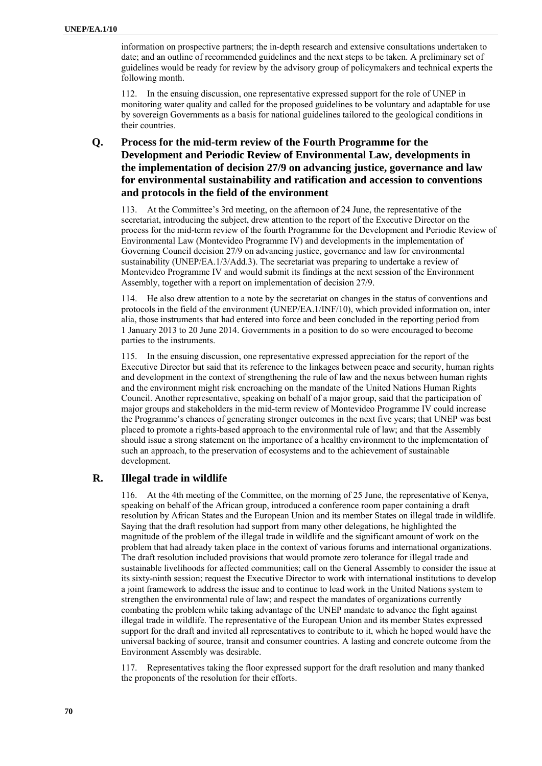information on prospective partners; the in-depth research and extensive consultations undertaken to date; and an outline of recommended guidelines and the next steps to be taken. A preliminary set of guidelines would be ready for review by the advisory group of policymakers and technical experts the following month.

112. In the ensuing discussion, one representative expressed support for the role of UNEP in monitoring water quality and called for the proposed guidelines to be voluntary and adaptable for use by sovereign Governments as a basis for national guidelines tailored to the geological conditions in their countries.

### **Q. Process for the mid-term review of the Fourth Programme for the Development and Periodic Review of Environmental Law, developments in the implementation of decision 27/9 on advancing justice, governance and law for environmental sustainability and ratification and accession to conventions and protocols in the field of the environment**

113. At the Committee's 3rd meeting, on the afternoon of 24 June, the representative of the secretariat, introducing the subject, drew attention to the report of the Executive Director on the process for the mid-term review of the fourth Programme for the Development and Periodic Review of Environmental Law (Montevideo Programme IV) and developments in the implementation of Governing Council decision 27/9 on advancing justice, governance and law for environmental sustainability (UNEP/EA.1/3/Add.3). The secretariat was preparing to undertake a review of Montevideo Programme IV and would submit its findings at the next session of the Environment Assembly, together with a report on implementation of decision 27/9.

114. He also drew attention to a note by the secretariat on changes in the status of conventions and protocols in the field of the environment (UNEP/EA.1/INF/10), which provided information on, inter alia, those instruments that had entered into force and been concluded in the reporting period from 1 January 2013 to 20 June 2014. Governments in a position to do so were encouraged to become parties to the instruments.

115. In the ensuing discussion, one representative expressed appreciation for the report of the Executive Director but said that its reference to the linkages between peace and security, human rights and development in the context of strengthening the rule of law and the nexus between human rights and the environment might risk encroaching on the mandate of the United Nations Human Rights Council. Another representative, speaking on behalf of a major group, said that the participation of major groups and stakeholders in the mid-term review of Montevideo Programme IV could increase the Programme's chances of generating stronger outcomes in the next five years; that UNEP was best placed to promote a rights-based approach to the environmental rule of law; and that the Assembly should issue a strong statement on the importance of a healthy environment to the implementation of such an approach, to the preservation of ecosystems and to the achievement of sustainable development.

### **R. Illegal trade in wildlife**

116. At the 4th meeting of the Committee, on the morning of 25 June, the representative of Kenya, speaking on behalf of the African group, introduced a conference room paper containing a draft resolution by African States and the European Union and its member States on illegal trade in wildlife. Saying that the draft resolution had support from many other delegations, he highlighted the magnitude of the problem of the illegal trade in wildlife and the significant amount of work on the problem that had already taken place in the context of various forums and international organizations. The draft resolution included provisions that would promote zero tolerance for illegal trade and sustainable livelihoods for affected communities; call on the General Assembly to consider the issue at its sixty-ninth session; request the Executive Director to work with international institutions to develop a joint framework to address the issue and to continue to lead work in the United Nations system to strengthen the environmental rule of law; and respect the mandates of organizations currently combating the problem while taking advantage of the UNEP mandate to advance the fight against illegal trade in wildlife. The representative of the European Union and its member States expressed support for the draft and invited all representatives to contribute to it, which he hoped would have the universal backing of source, transit and consumer countries. A lasting and concrete outcome from the Environment Assembly was desirable.

117. Representatives taking the floor expressed support for the draft resolution and many thanked the proponents of the resolution for their efforts.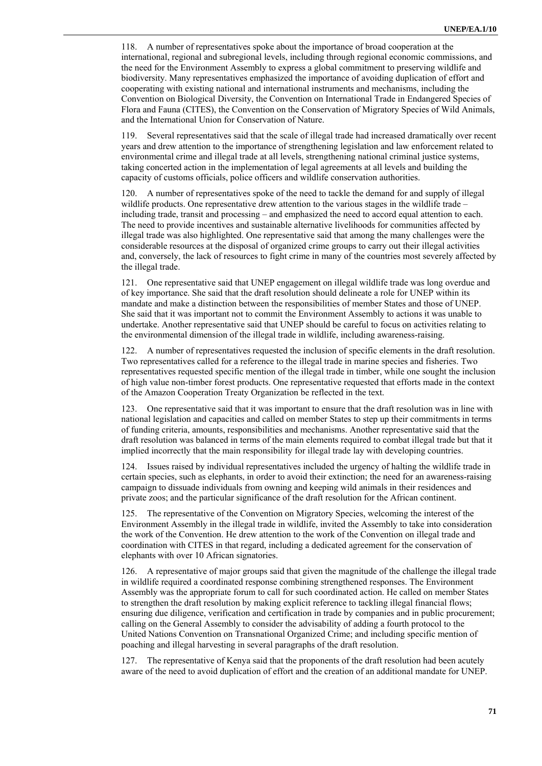118. A number of representatives spoke about the importance of broad cooperation at the international, regional and subregional levels, including through regional economic commissions, and the need for the Environment Assembly to express a global commitment to preserving wildlife and biodiversity. Many representatives emphasized the importance of avoiding duplication of effort and cooperating with existing national and international instruments and mechanisms, including the Convention on Biological Diversity, the Convention on International Trade in Endangered Species of Flora and Fauna (CITES), the Convention on the Conservation of Migratory Species of Wild Animals, and the International Union for Conservation of Nature.

119. Several representatives said that the scale of illegal trade had increased dramatically over recent years and drew attention to the importance of strengthening legislation and law enforcement related to environmental crime and illegal trade at all levels, strengthening national criminal justice systems, taking concerted action in the implementation of legal agreements at all levels and building the capacity of customs officials, police officers and wildlife conservation authorities.

A number of representatives spoke of the need to tackle the demand for and supply of illegal wildlife products. One representative drew attention to the various stages in the wildlife trade – including trade, transit and processing – and emphasized the need to accord equal attention to each. The need to provide incentives and sustainable alternative livelihoods for communities affected by illegal trade was also highlighted. One representative said that among the many challenges were the considerable resources at the disposal of organized crime groups to carry out their illegal activities and, conversely, the lack of resources to fight crime in many of the countries most severely affected by the illegal trade.

121. One representative said that UNEP engagement on illegal wildlife trade was long overdue and of key importance. She said that the draft resolution should delineate a role for UNEP within its mandate and make a distinction between the responsibilities of member States and those of UNEP. She said that it was important not to commit the Environment Assembly to actions it was unable to undertake. Another representative said that UNEP should be careful to focus on activities relating to the environmental dimension of the illegal trade in wildlife, including awareness-raising.

122. A number of representatives requested the inclusion of specific elements in the draft resolution. Two representatives called for a reference to the illegal trade in marine species and fisheries. Two representatives requested specific mention of the illegal trade in timber, while one sought the inclusion of high value non-timber forest products. One representative requested that efforts made in the context of the Amazon Cooperation Treaty Organization be reflected in the text.

123. One representative said that it was important to ensure that the draft resolution was in line with national legislation and capacities and called on member States to step up their commitments in terms of funding criteria, amounts, responsibilities and mechanisms. Another representative said that the draft resolution was balanced in terms of the main elements required to combat illegal trade but that it implied incorrectly that the main responsibility for illegal trade lay with developing countries.

124. Issues raised by individual representatives included the urgency of halting the wildlife trade in certain species, such as elephants, in order to avoid their extinction; the need for an awareness-raising campaign to dissuade individuals from owning and keeping wild animals in their residences and private zoos; and the particular significance of the draft resolution for the African continent.

125. The representative of the Convention on Migratory Species, welcoming the interest of the Environment Assembly in the illegal trade in wildlife, invited the Assembly to take into consideration the work of the Convention. He drew attention to the work of the Convention on illegal trade and coordination with CITES in that regard, including a dedicated agreement for the conservation of elephants with over 10 African signatories.

126. A representative of major groups said that given the magnitude of the challenge the illegal trade in wildlife required a coordinated response combining strengthened responses. The Environment Assembly was the appropriate forum to call for such coordinated action. He called on member States to strengthen the draft resolution by making explicit reference to tackling illegal financial flows; ensuring due diligence, verification and certification in trade by companies and in public procurement; calling on the General Assembly to consider the advisability of adding a fourth protocol to the United Nations Convention on Transnational Organized Crime; and including specific mention of poaching and illegal harvesting in several paragraphs of the draft resolution.

127. The representative of Kenya said that the proponents of the draft resolution had been acutely aware of the need to avoid duplication of effort and the creation of an additional mandate for UNEP.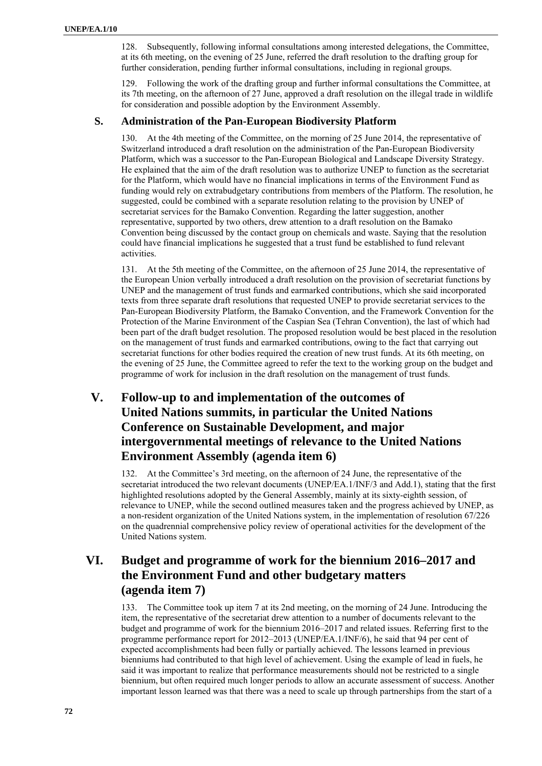128. Subsequently, following informal consultations among interested delegations, the Committee, at its 6th meeting, on the evening of 25 June, referred the draft resolution to the drafting group for further consideration, pending further informal consultations, including in regional groups.

129. Following the work of the drafting group and further informal consultations the Committee, at its 7th meeting, on the afternoon of 27 June, approved a draft resolution on the illegal trade in wildlife for consideration and possible adoption by the Environment Assembly.

### **S. Administration of the Pan-European Biodiversity Platform**

130. At the 4th meeting of the Committee, on the morning of 25 June 2014, the representative of Switzerland introduced a draft resolution on the administration of the Pan-European Biodiversity Platform, which was a successor to the Pan-European Biological and Landscape Diversity Strategy. He explained that the aim of the draft resolution was to authorize UNEP to function as the secretariat for the Platform, which would have no financial implications in terms of the Environment Fund as funding would rely on extrabudgetary contributions from members of the Platform. The resolution, he suggested, could be combined with a separate resolution relating to the provision by UNEP of secretariat services for the Bamako Convention. Regarding the latter suggestion, another representative, supported by two others, drew attention to a draft resolution on the Bamako Convention being discussed by the contact group on chemicals and waste. Saying that the resolution could have financial implications he suggested that a trust fund be established to fund relevant activities.

131. At the 5th meeting of the Committee, on the afternoon of 25 June 2014, the representative of the European Union verbally introduced a draft resolution on the provision of secretariat functions by UNEP and the management of trust funds and earmarked contributions, which she said incorporated texts from three separate draft resolutions that requested UNEP to provide secretariat services to the Pan-European Biodiversity Platform, the Bamako Convention, and the Framework Convention for the Protection of the Marine Environment of the Caspian Sea (Tehran Convention), the last of which had been part of the draft budget resolution. The proposed resolution would be best placed in the resolution on the management of trust funds and earmarked contributions, owing to the fact that carrying out secretariat functions for other bodies required the creation of new trust funds. At its 6th meeting, on the evening of 25 June, the Committee agreed to refer the text to the working group on the budget and programme of work for inclusion in the draft resolution on the management of trust funds.

# **V. Follow-up to and implementation of the outcomes of United Nations summits, in particular the United Nations Conference on Sustainable Development, and major intergovernmental meetings of relevance to the United Nations Environment Assembly (agenda item 6)**

132. At the Committee's 3rd meeting, on the afternoon of 24 June, the representative of the secretariat introduced the two relevant documents (UNEP/EA.1/INF/3 and Add.1), stating that the first highlighted resolutions adopted by the General Assembly, mainly at its sixty-eighth session, of relevance to UNEP, while the second outlined measures taken and the progress achieved by UNEP, as a non-resident organization of the United Nations system, in the implementation of resolution 67/226 on the quadrennial comprehensive policy review of operational activities for the development of the United Nations system.

# **VI. Budget and programme of work for the biennium 2016–2017 and the Environment Fund and other budgetary matters (agenda item 7)**

133. The Committee took up item 7 at its 2nd meeting, on the morning of 24 June. Introducing the item, the representative of the secretariat drew attention to a number of documents relevant to the budget and programme of work for the biennium 2016–2017 and related issues. Referring first to the programme performance report for 2012–2013 (UNEP/EA.1/INF/6), he said that 94 per cent of expected accomplishments had been fully or partially achieved. The lessons learned in previous bienniums had contributed to that high level of achievement. Using the example of lead in fuels, he said it was important to realize that performance measurements should not be restricted to a single biennium, but often required much longer periods to allow an accurate assessment of success. Another important lesson learned was that there was a need to scale up through partnerships from the start of a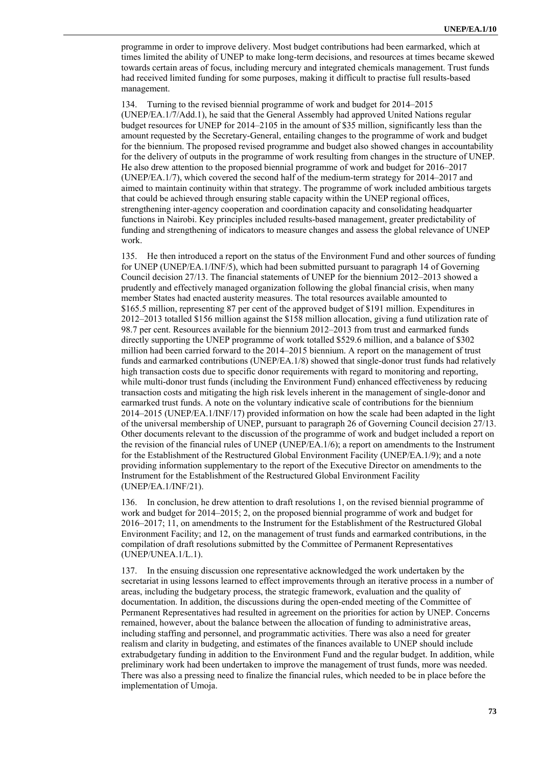programme in order to improve delivery. Most budget contributions had been earmarked, which at times limited the ability of UNEP to make long-term decisions, and resources at times became skewed towards certain areas of focus, including mercury and integrated chemicals management. Trust funds had received limited funding for some purposes, making it difficult to practise full results-based management.

134. Turning to the revised biennial programme of work and budget for 2014–2015 (UNEP/EA.1/7/Add.1), he said that the General Assembly had approved United Nations regular budget resources for UNEP for 2014–2105 in the amount of \$35 million, significantly less than the amount requested by the Secretary-General, entailing changes to the programme of work and budget for the biennium. The proposed revised programme and budget also showed changes in accountability for the delivery of outputs in the programme of work resulting from changes in the structure of UNEP. He also drew attention to the proposed biennial programme of work and budget for 2016–2017 (UNEP/EA.1/7), which covered the second half of the medium-term strategy for 2014–2017 and aimed to maintain continuity within that strategy. The programme of work included ambitious targets that could be achieved through ensuring stable capacity within the UNEP regional offices, strengthening inter-agency cooperation and coordination capacity and consolidating headquarter functions in Nairobi. Key principles included results-based management, greater predictability of funding and strengthening of indicators to measure changes and assess the global relevance of UNEP work.

135. He then introduced a report on the status of the Environment Fund and other sources of funding for UNEP (UNEP/EA.1/INF/5), which had been submitted pursuant to paragraph 14 of Governing Council decision 27/13. The financial statements of UNEP for the biennium 2012–2013 showed a prudently and effectively managed organization following the global financial crisis, when many member States had enacted austerity measures. The total resources available amounted to \$165.5 million, representing 87 per cent of the approved budget of \$191 million. Expenditures in 2012–2013 totalled \$156 million against the \$158 million allocation, giving a fund utilization rate of 98.7 per cent. Resources available for the biennium 2012–2013 from trust and earmarked funds directly supporting the UNEP programme of work totalled \$529.6 million, and a balance of \$302 million had been carried forward to the 2014–2015 biennium. A report on the management of trust funds and earmarked contributions (UNEP/EA.1/8) showed that single-donor trust funds had relatively high transaction costs due to specific donor requirements with regard to monitoring and reporting, while multi-donor trust funds (including the Environment Fund) enhanced effectiveness by reducing transaction costs and mitigating the high risk levels inherent in the management of single-donor and earmarked trust funds. A note on the voluntary indicative scale of contributions for the biennium 2014–2015 (UNEP/EA.1/INF/17) provided information on how the scale had been adapted in the light of the universal membership of UNEP, pursuant to paragraph 26 of Governing Council decision 27/13. Other documents relevant to the discussion of the programme of work and budget included a report on the revision of the financial rules of UNEP (UNEP/EA.1/6); a report on amendments to the Instrument for the Establishment of the Restructured Global Environment Facility (UNEP/EA.1/9); and a note providing information supplementary to the report of the Executive Director on amendments to the Instrument for the Establishment of the Restructured Global Environment Facility (UNEP/EA.1/INF/21).

136. In conclusion, he drew attention to draft resolutions 1, on the revised biennial programme of work and budget for 2014–2015; 2, on the proposed biennial programme of work and budget for 2016–2017; 11, on amendments to the Instrument for the Establishment of the Restructured Global Environment Facility; and 12, on the management of trust funds and earmarked contributions, in the compilation of draft resolutions submitted by the Committee of Permanent Representatives (UNEP/UNEA.1/L.1).

137. In the ensuing discussion one representative acknowledged the work undertaken by the secretariat in using lessons learned to effect improvements through an iterative process in a number of areas, including the budgetary process, the strategic framework, evaluation and the quality of documentation. In addition, the discussions during the open-ended meeting of the Committee of Permanent Representatives had resulted in agreement on the priorities for action by UNEP. Concerns remained, however, about the balance between the allocation of funding to administrative areas, including staffing and personnel, and programmatic activities. There was also a need for greater realism and clarity in budgeting, and estimates of the finances available to UNEP should include extrabudgetary funding in addition to the Environment Fund and the regular budget. In addition, while preliminary work had been undertaken to improve the management of trust funds, more was needed. There was also a pressing need to finalize the financial rules, which needed to be in place before the implementation of Umoja.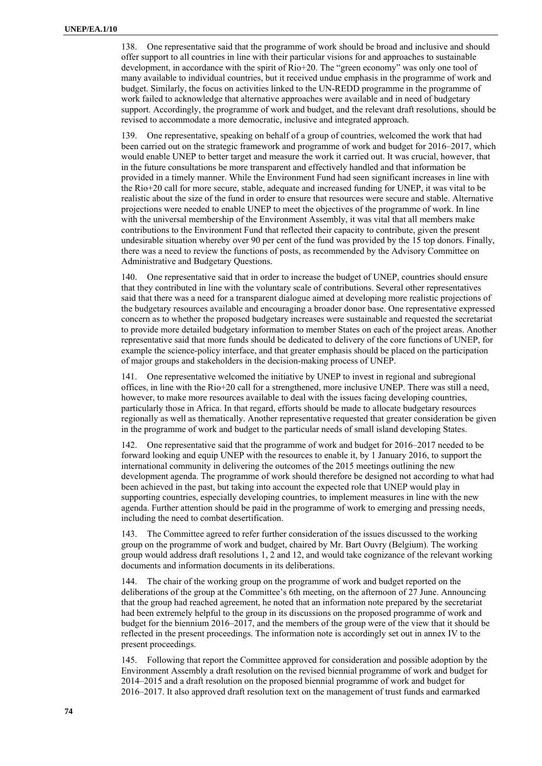138. One representative said that the programme of work should be broad and inclusive and should offer support to all countries in line with their particular visions for and approaches to sustainable development, in accordance with the spirit of Rio+20. The "green economy" was only one tool of many available to individual countries, but it received undue emphasis in the programme of work and budget. Similarly, the focus on activities linked to the UN-REDD programme in the programme of work failed to acknowledge that alternative approaches were available and in need of budgetary support. Accordingly, the programme of work and budget, and the relevant draft resolutions, should be revised to accommodate a more democratic, inclusive and integrated approach.

139. One representative, speaking on behalf of a group of countries, welcomed the work that had been carried out on the strategic framework and programme of work and budget for 2016–2017, which would enable UNEP to better target and measure the work it carried out. It was crucial, however, that in the future consultations be more transparent and effectively handled and that information be provided in a timely manner. While the Environment Fund had seen significant increases in line with the Rio+20 call for more secure, stable, adequate and increased funding for UNEP, it was vital to be realistic about the size of the fund in order to ensure that resources were secure and stable. Alternative projections were needed to enable UNEP to meet the objectives of the programme of work. In line with the universal membership of the Environment Assembly, it was vital that all members make contributions to the Environment Fund that reflected their capacity to contribute, given the present undesirable situation whereby over 90 per cent of the fund was provided by the 15 top donors. Finally, there was a need to review the functions of posts, as recommended by the Advisory Committee on Administrative and Budgetary Questions.

140. One representative said that in order to increase the budget of UNEP, countries should ensure that they contributed in line with the voluntary scale of contributions. Several other representatives said that there was a need for a transparent dialogue aimed at developing more realistic projections of the budgetary resources available and encouraging a broader donor base. One representative expressed concern as to whether the proposed budgetary increases were sustainable and requested the secretariat to provide more detailed budgetary information to member States on each of the project areas. Another representative said that more funds should be dedicated to delivery of the core functions of UNEP, for example the science-policy interface, and that greater emphasis should be placed on the participation of major groups and stakeholders in the decision-making process of UNEP.

141. One representative welcomed the initiative by UNEP to invest in regional and subregional offices, in line with the Rio+20 call for a strengthened, more inclusive UNEP. There was still a need, however, to make more resources available to deal with the issues facing developing countries, particularly those in Africa. In that regard, efforts should be made to allocate budgetary resources regionally as well as thematically. Another representative requested that greater consideration be given in the programme of work and budget to the particular needs of small island developing States.

142. One representative said that the programme of work and budget for 2016–2017 needed to be forward looking and equip UNEP with the resources to enable it, by 1 January 2016, to support the international community in delivering the outcomes of the 2015 meetings outlining the new development agenda. The programme of work should therefore be designed not according to what had been achieved in the past, but taking into account the expected role that UNEP would play in supporting countries, especially developing countries, to implement measures in line with the new agenda. Further attention should be paid in the programme of work to emerging and pressing needs, including the need to combat desertification.

143. The Committee agreed to refer further consideration of the issues discussed to the working group on the programme of work and budget, chaired by Mr. Bart Ouvry (Belgium). The working group would address draft resolutions 1, 2 and 12, and would take cognizance of the relevant working documents and information documents in its deliberations.

144. The chair of the working group on the programme of work and budget reported on the deliberations of the group at the Committee's 6th meeting, on the afternoon of 27 June. Announcing that the group had reached agreement, he noted that an information note prepared by the secretariat had been extremely helpful to the group in its discussions on the proposed programme of work and budget for the biennium 2016–2017, and the members of the group were of the view that it should be reflected in the present proceedings. The information note is accordingly set out in annex IV to the present proceedings.

145. Following that report the Committee approved for consideration and possible adoption by the Environment Assembly a draft resolution on the revised biennial programme of work and budget for 2014–2015 and a draft resolution on the proposed biennial programme of work and budget for 2016–2017. It also approved draft resolution text on the management of trust funds and earmarked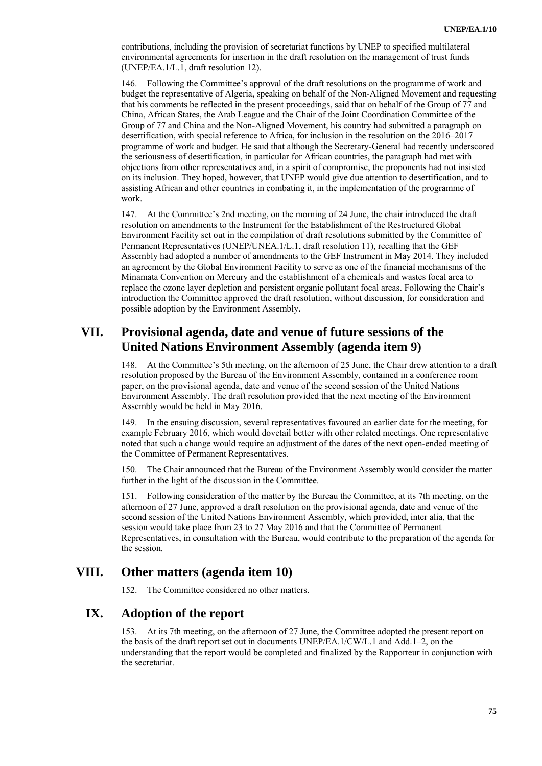contributions, including the provision of secretariat functions by UNEP to specified multilateral environmental agreements for insertion in the draft resolution on the management of trust funds (UNEP/EA.1/L.1, draft resolution 12).

146. Following the Committee's approval of the draft resolutions on the programme of work and budget the representative of Algeria, speaking on behalf of the Non-Aligned Movement and requesting that his comments be reflected in the present proceedings, said that on behalf of the Group of 77 and China, African States, the Arab League and the Chair of the Joint Coordination Committee of the Group of 77 and China and the Non-Aligned Movement, his country had submitted a paragraph on desertification, with special reference to Africa, for inclusion in the resolution on the 2016–2017 programme of work and budget. He said that although the Secretary-General had recently underscored the seriousness of desertification, in particular for African countries, the paragraph had met with objections from other representatives and, in a spirit of compromise, the proponents had not insisted on its inclusion. They hoped, however, that UNEP would give due attention to desertification, and to assisting African and other countries in combating it, in the implementation of the programme of work.

147. At the Committee's 2nd meeting, on the morning of 24 June, the chair introduced the draft resolution on amendments to the Instrument for the Establishment of the Restructured Global Environment Facility set out in the compilation of draft resolutions submitted by the Committee of Permanent Representatives (UNEP/UNEA.1/L.1, draft resolution 11), recalling that the GEF Assembly had adopted a number of amendments to the GEF Instrument in May 2014. They included an agreement by the Global Environment Facility to serve as one of the financial mechanisms of the Minamata Convention on Mercury and the establishment of a chemicals and wastes focal area to replace the ozone layer depletion and persistent organic pollutant focal areas. Following the Chair's introduction the Committee approved the draft resolution, without discussion, for consideration and possible adoption by the Environment Assembly.

# **VII. Provisional agenda, date and venue of future sessions of the United Nations Environment Assembly (agenda item 9)**

148. At the Committee's 5th meeting, on the afternoon of 25 June, the Chair drew attention to a draft resolution proposed by the Bureau of the Environment Assembly, contained in a conference room paper, on the provisional agenda, date and venue of the second session of the United Nations Environment Assembly. The draft resolution provided that the next meeting of the Environment Assembly would be held in May 2016.

149. In the ensuing discussion, several representatives favoured an earlier date for the meeting, for example February 2016, which would dovetail better with other related meetings. One representative noted that such a change would require an adjustment of the dates of the next open-ended meeting of the Committee of Permanent Representatives.

150. The Chair announced that the Bureau of the Environment Assembly would consider the matter further in the light of the discussion in the Committee.

151. Following consideration of the matter by the Bureau the Committee, at its 7th meeting, on the afternoon of 27 June, approved a draft resolution on the provisional agenda, date and venue of the second session of the United Nations Environment Assembly, which provided, inter alia, that the session would take place from 23 to 27 May 2016 and that the Committee of Permanent Representatives, in consultation with the Bureau, would contribute to the preparation of the agenda for the session.

## **VIII. Other matters (agenda item 10)**

152. The Committee considered no other matters.

## **IX. Adoption of the report**

153. At its 7th meeting, on the afternoon of 27 June, the Committee adopted the present report on the basis of the draft report set out in documents UNEP/EA.1/CW/L.1 and Add.1–2, on the understanding that the report would be completed and finalized by the Rapporteur in conjunction with the secretariat.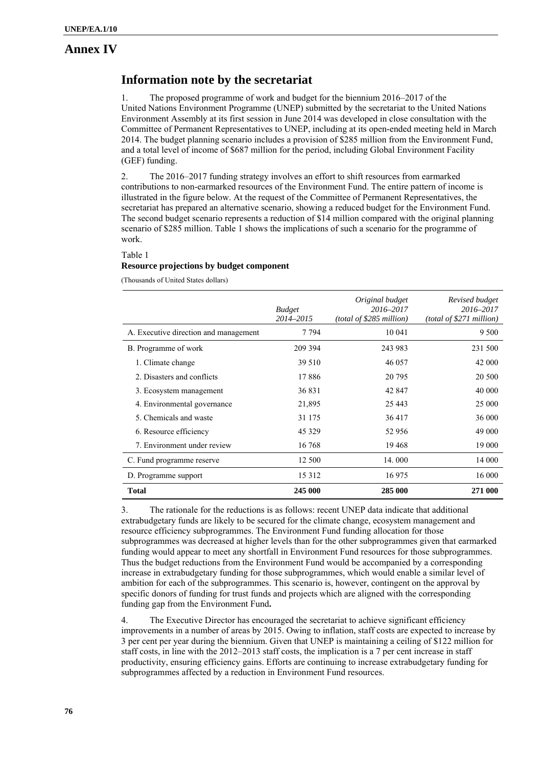#### **Annex IV**

## **Information note by the secretariat**

1. The proposed programme of work and budget for the biennium 2016–2017 of the United Nations Environment Programme (UNEP) submitted by the secretariat to the United Nations Environment Assembly at its first session in June 2014 was developed in close consultation with the Committee of Permanent Representatives to UNEP, including at its open-ended meeting held in March 2014. The budget planning scenario includes a provision of \$285 million from the Environment Fund, and a total level of income of \$687 million for the period, including Global Environment Facility (GEF) funding.

2. The 2016–2017 funding strategy involves an effort to shift resources from earmarked contributions to non-earmarked resources of the Environment Fund. The entire pattern of income is illustrated in the figure below. At the request of the Committee of Permanent Representatives, the secretariat has prepared an alternative scenario, showing a reduced budget for the Environment Fund. The second budget scenario represents a reduction of \$14 million compared with the original planning scenario of \$285 million. Table 1 shows the implications of such a scenario for the programme of work.

Table 1

#### **Resource projections by budget component**

(Thousands of United States dollars)

|                                       | <b>Budget</b><br>2014-2015 | Original budget<br>2016-2017<br>(total of \$285 million) | Revised budget<br>2016-2017<br>(total of \$271 million) |
|---------------------------------------|----------------------------|----------------------------------------------------------|---------------------------------------------------------|
| A. Executive direction and management | 7 7 9 4                    | 10 041                                                   | 9 500                                                   |
| B. Programme of work                  | 209 394                    | 243 983                                                  | 231 500                                                 |
| 1. Climate change                     | 39 510                     | 46 057                                                   | 42 000                                                  |
| 2. Disasters and conflicts            | 17886                      | 20 795                                                   | 20 500                                                  |
| 3. Ecosystem management               | 36 831                     | 42 847                                                   | 40 000                                                  |
| 4. Environmental governance           | 21,895                     | 25 4 43                                                  | 25 000                                                  |
| 5. Chemicals and waste                | 31 175                     | 36 417                                                   | 36 000                                                  |
| 6. Resource efficiency                | 45 3 29                    | 52 956                                                   | 49 000                                                  |
| 7. Environment under review           | 16 768                     | 19468                                                    | 19 000                                                  |
| C. Fund programme reserve             | 12 500                     | 14.000                                                   | 14 000                                                  |
| D. Programme support                  | 15 3 12                    | 16975                                                    | 16 000                                                  |
| <b>Total</b>                          | 245 000                    | 285 000                                                  | 271 000                                                 |

3. The rationale for the reductions is as follows: recent UNEP data indicate that additional extrabudgetary funds are likely to be secured for the climate change, ecosystem management and resource efficiency subprogrammes. The Environment Fund funding allocation for those subprogrammes was decreased at higher levels than for the other subprogrammes given that earmarked funding would appear to meet any shortfall in Environment Fund resources for those subprogrammes. Thus the budget reductions from the Environment Fund would be accompanied by a corresponding increase in extrabudgetary funding for those subprogrammes, which would enable a similar level of ambition for each of the subprogrammes. This scenario is, however, contingent on the approval by specific donors of funding for trust funds and projects which are aligned with the corresponding funding gap from the Environment Fund**.**

4. The Executive Director has encouraged the secretariat to achieve significant efficiency improvements in a number of areas by 2015. Owing to inflation, staff costs are expected to increase by 3 per cent per year during the biennium. Given that UNEP is maintaining a ceiling of \$122 million for staff costs, in line with the 2012–2013 staff costs, the implication is a 7 per cent increase in staff productivity, ensuring efficiency gains. Efforts are continuing to increase extrabudgetary funding for subprogrammes affected by a reduction in Environment Fund resources.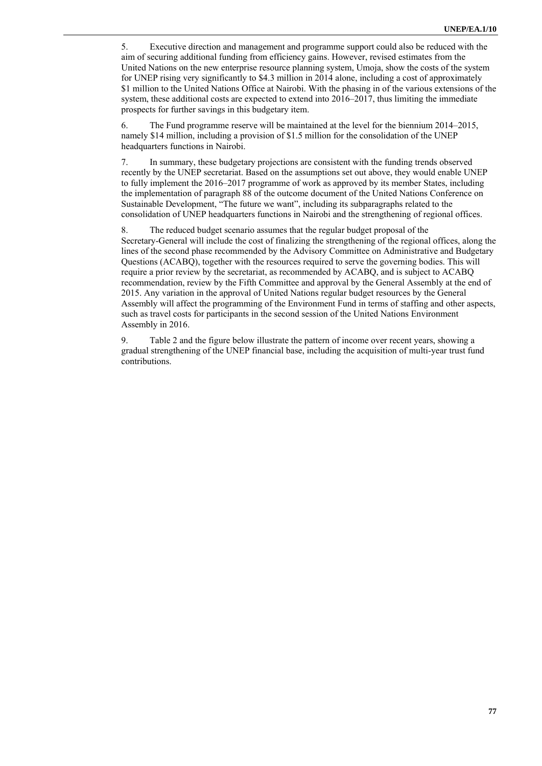5. Executive direction and management and programme support could also be reduced with the aim of securing additional funding from efficiency gains. However, revised estimates from the United Nations on the new enterprise resource planning system, Umoja, show the costs of the system for UNEP rising very significantly to \$4.3 million in 2014 alone, including a cost of approximately \$1 million to the United Nations Office at Nairobi. With the phasing in of the various extensions of the system, these additional costs are expected to extend into 2016–2017, thus limiting the immediate prospects for further savings in this budgetary item.

6. The Fund programme reserve will be maintained at the level for the biennium 2014–2015, namely \$14 million, including a provision of \$1.5 million for the consolidation of the UNEP headquarters functions in Nairobi.

7. In summary, these budgetary projections are consistent with the funding trends observed recently by the UNEP secretariat. Based on the assumptions set out above, they would enable UNEP to fully implement the 2016–2017 programme of work as approved by its member States, including the implementation of paragraph 88 of the outcome document of the United Nations Conference on Sustainable Development, "The future we want", including its subparagraphs related to the consolidation of UNEP headquarters functions in Nairobi and the strengthening of regional offices.

8. The reduced budget scenario assumes that the regular budget proposal of the Secretary-General will include the cost of finalizing the strengthening of the regional offices, along the lines of the second phase recommended by the Advisory Committee on Administrative and Budgetary Questions (ACABQ), together with the resources required to serve the governing bodies. This will require a prior review by the secretariat, as recommended by ACABQ, and is subject to ACABQ recommendation, review by the Fifth Committee and approval by the General Assembly at the end of 2015. Any variation in the approval of United Nations regular budget resources by the General Assembly will affect the programming of the Environment Fund in terms of staffing and other aspects, such as travel costs for participants in the second session of the United Nations Environment Assembly in 2016.

9. Table 2 and the figure below illustrate the pattern of income over recent years, showing a gradual strengthening of the UNEP financial base, including the acquisition of multi-year trust fund contributions.